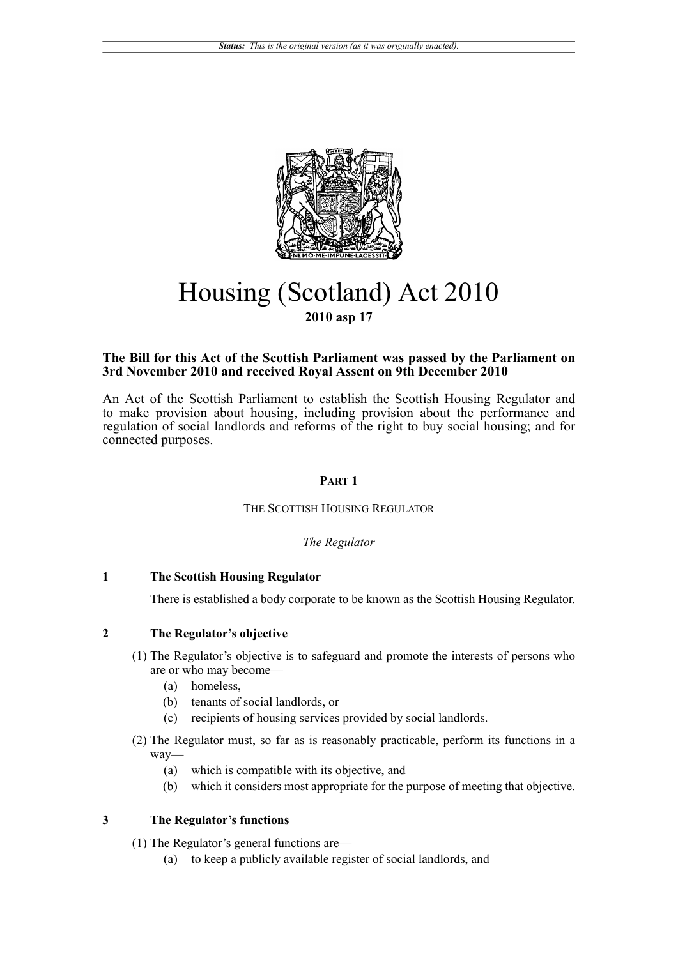

# Housing (Scotland) Act 2010 **2010 asp 17**

# **The Bill for this Act of the Scottish Parliament was passed by the Parliament on 3rd November 2010 and received Royal Assent on 9th December 2010**

An Act of the Scottish Parliament to establish the Scottish Housing Regulator and to make provision about housing, including provision about the performance and regulation of social landlords and reforms of the right to buy social housing; and for connected purposes.

# **PART 1**

# THE SCOTTISH HOUSING REGULATOR

# *The Regulator*

# **1 The Scottish Housing Regulator**

There is established a body corporate to be known as the Scottish Housing Regulator.

# **2 The Regulator's objective**

- (1) The Regulator's objective is to safeguard and promote the interests of persons who are or who may become—
	- (a) homeless,
	- (b) tenants of social landlords, or
	- (c) recipients of housing services provided by social landlords.
- (2) The Regulator must, so far as is reasonably practicable, perform its functions in a way—
	- (a) which is compatible with its objective, and
	- (b) which it considers most appropriate for the purpose of meeting that objective.

# **3 The Regulator's functions**

(1) The Regulator's general functions are—

(a) to keep a publicly available register of social landlords, and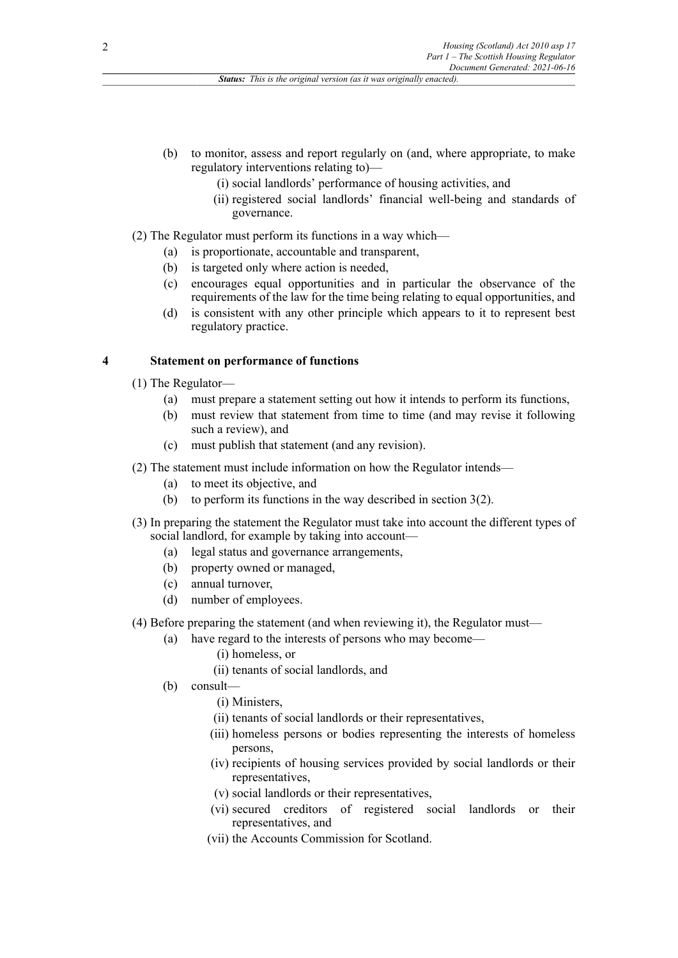- (b) to monitor, assess and report regularly on (and, where appropriate, to make regulatory interventions relating to)—
	- (i) social landlords' performance of housing activities, and
	- (ii) registered social landlords' financial well-being and standards of governance.
- (2) The Regulator must perform its functions in a way which—
	- (a) is proportionate, accountable and transparent,
	- (b) is targeted only where action is needed,
	- (c) encourages equal opportunities and in particular the observance of the requirements of the law for the time being relating to equal opportunities, and
	- (d) is consistent with any other principle which appears to it to represent best regulatory practice.

#### **4 Statement on performance of functions**

- (1) The Regulator—
	- (a) must prepare a statement setting out how it intends to perform its functions,
	- (b) must review that statement from time to time (and may revise it following such a review), and
	- (c) must publish that statement (and any revision).
- (2) The statement must include information on how the Regulator intends—
	- (a) to meet its objective, and
	- (b) to perform its functions in the way described in section 3(2).
- (3) In preparing the statement the Regulator must take into account the different types of social landlord, for example by taking into account—
	- (a) legal status and governance arrangements,
	- (b) property owned or managed,
	- (c) annual turnover,
	- (d) number of employees.
- (4) Before preparing the statement (and when reviewing it), the Regulator must—
	- (a) have regard to the interests of persons who may become—
		- (i) homeless, or
		- (ii) tenants of social landlords, and
	- (b) consult—
		- (i) Ministers,
		- (ii) tenants of social landlords or their representatives,
		- (iii) homeless persons or bodies representing the interests of homeless persons,
		- (iv) recipients of housing services provided by social landlords or their representatives,
		- (v) social landlords or their representatives,
		- (vi) secured creditors of registered social landlords or their representatives, and
		- (vii) the Accounts Commission for Scotland.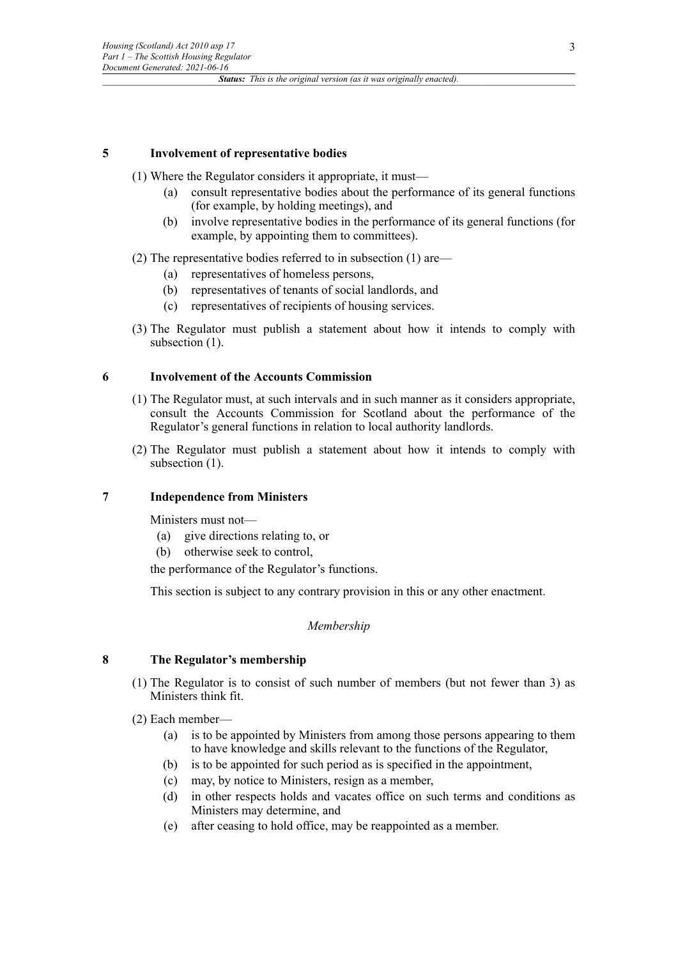# **5 Involvement of representative bodies**

- (1) Where the Regulator considers it appropriate, it must—
	- (a) consult representative bodies about the performance of its general functions (for example, by holding meetings), and
	- (b) involve representative bodies in the performance of its general functions (for example, by appointing them to committees).
- (2) The representative bodies referred to in subsection (1) are—
	- (a) representatives of homeless persons,
	- (b) representatives of tenants of social landlords, and
	- (c) representatives of recipients of housing services.
- (3) The Regulator must publish a statement about how it intends to comply with subsection  $(1)$ .

### **6 Involvement of the Accounts Commission**

- (1) The Regulator must, at such intervals and in such manner as it considers appropriate, consult the Accounts Commission for Scotland about the performance of the Regulator's general functions in relation to local authority landlords.
- (2) The Regulator must publish a statement about how it intends to comply with subsection  $(1)$ .

# **7 Independence from Ministers**

Ministers must not—

- (a) give directions relating to, or
- (b) otherwise seek to control,

the performance of the Regulator's functions.

This section is subject to any contrary provision in this or any other enactment.

### *Membership*

# **8 The Regulator's membership**

- (1) The Regulator is to consist of such number of members (but not fewer than 3) as Ministers think fit.
- (2) Each member—
	- (a) is to be appointed by Ministers from among those persons appearing to them to have knowledge and skills relevant to the functions of the Regulator,
	- (b) is to be appointed for such period as is specified in the appointment,
	- (c) may, by notice to Ministers, resign as a member,
	- (d) in other respects holds and vacates office on such terms and conditions as Ministers may determine, and
	- (e) after ceasing to hold office, may be reappointed as a member.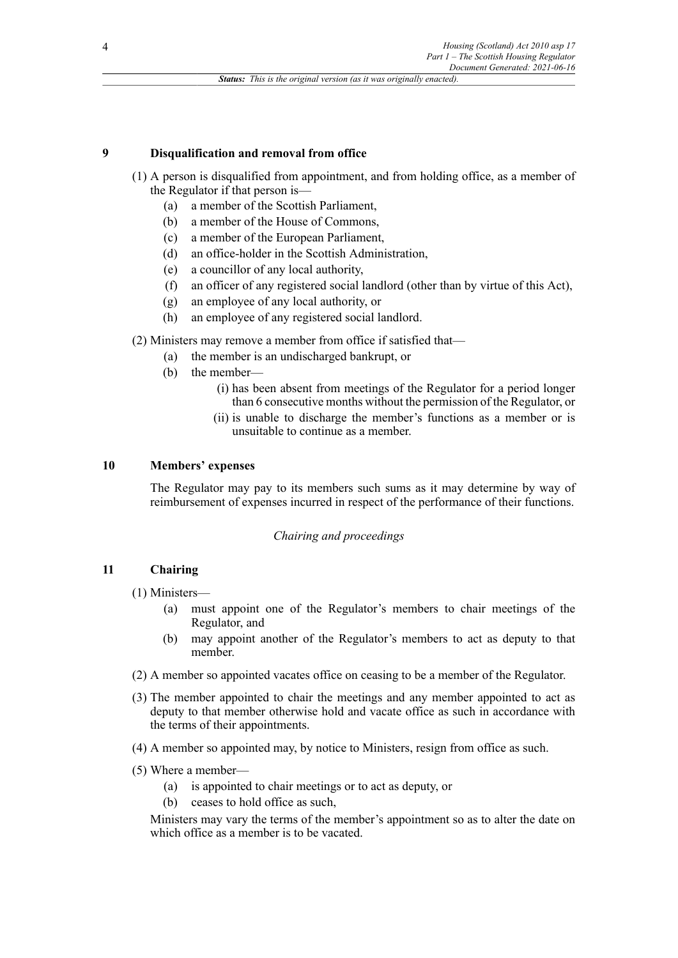# **9 Disqualification and removal from office**

- (1) A person is disqualified from appointment, and from holding office, as a member of the Regulator if that person is—
	- (a) a member of the Scottish Parliament,
	- (b) a member of the House of Commons,
	- (c) a member of the European Parliament,
	- (d) an office-holder in the Scottish Administration,
	- (e) a councillor of any local authority,
	- (f) an officer of any registered social landlord (other than by virtue of this Act),
	- (g) an employee of any local authority, or
	- (h) an employee of any registered social landlord.
- (2) Ministers may remove a member from office if satisfied that—
	- (a) the member is an undischarged bankrupt, or
	- (b) the member—
		- (i) has been absent from meetings of the Regulator for a period longer than 6 consecutive months without the permission of the Regulator, or
		- (ii) is unable to discharge the member's functions as a member or is unsuitable to continue as a member.

### **10 Members' expenses**

The Regulator may pay to its members such sums as it may determine by way of reimbursement of expenses incurred in respect of the performance of their functions.

# *Chairing and proceedings*

# **11 Chairing**

- (1) Ministers—
	- (a) must appoint one of the Regulator's members to chair meetings of the Regulator, and
	- (b) may appoint another of the Regulator's members to act as deputy to that member.
- (2) A member so appointed vacates office on ceasing to be a member of the Regulator.
- (3) The member appointed to chair the meetings and any member appointed to act as deputy to that member otherwise hold and vacate office as such in accordance with the terms of their appointments.
- (4) A member so appointed may, by notice to Ministers, resign from office as such.
- (5) Where a member—
	- (a) is appointed to chair meetings or to act as deputy, or
	- (b) ceases to hold office as such,

Ministers may vary the terms of the member's appointment so as to alter the date on which office as a member is to be vacated.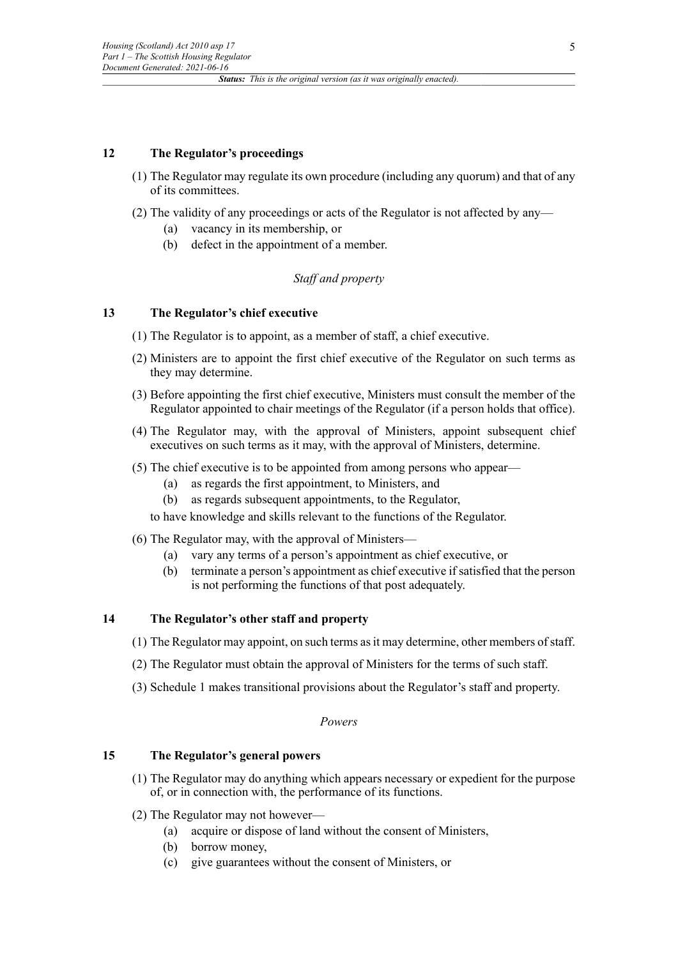# **12 The Regulator's proceedings**

- (1) The Regulator may regulate its own procedure (including any quorum) and that of any of its committees.
- (2) The validity of any proceedings or acts of the Regulator is not affected by any—
	- (a) vacancy in its membership, or
	- (b) defect in the appointment of a member.

# *Staff and property*

# **13 The Regulator's chief executive**

- (1) The Regulator is to appoint, as a member of staff, a chief executive.
- (2) Ministers are to appoint the first chief executive of the Regulator on such terms as they may determine.
- (3) Before appointing the first chief executive, Ministers must consult the member of the Regulator appointed to chair meetings of the Regulator (if a person holds that office).
- (4) The Regulator may, with the approval of Ministers, appoint subsequent chief executives on such terms as it may, with the approval of Ministers, determine.
- (5) The chief executive is to be appointed from among persons who appear—
	- (a) as regards the first appointment, to Ministers, and
	- (b) as regards subsequent appointments, to the Regulator,
	- to have knowledge and skills relevant to the functions of the Regulator.
- (6) The Regulator may, with the approval of Ministers—
	- (a) vary any terms of a person's appointment as chief executive, or
	- (b) terminate a person's appointment as chief executive if satisfied that the person is not performing the functions of that post adequately.

# **14 The Regulator's other staff and property**

- (1) The Regulator may appoint, on such terms asit may determine, other members ofstaff.
- (2) The Regulator must obtain the approval of Ministers for the terms of such staff.
- (3) Schedule 1 makes transitional provisions about the Regulator's staff and property.

#### *Powers*

# **15 The Regulator's general powers**

- (1) The Regulator may do anything which appears necessary or expedient for the purpose of, or in connection with, the performance of its functions.
- (2) The Regulator may not however—
	- (a) acquire or dispose of land without the consent of Ministers,
	- (b) borrow money,
	- (c) give guarantees without the consent of Ministers, or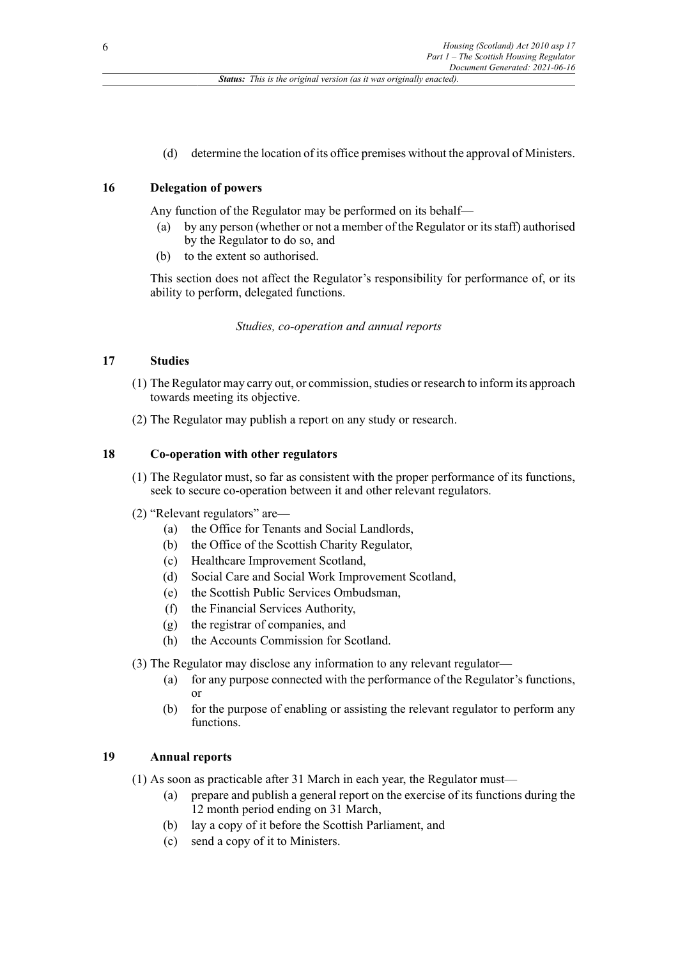(d) determine the location of its office premises without the approval of Ministers.

# **16 Delegation of powers**

Any function of the Regulator may be performed on its behalf—

- (a) by any person (whether or not a member of the Regulator or itsstaff) authorised by the Regulator to do so, and
- (b) to the extent so authorised.

This section does not affect the Regulator's responsibility for performance of, or its ability to perform, delegated functions.

*Studies, co-operation and annual reports*

### **17 Studies**

- (1) The Regulator may carry out, or commission, studies or research to inform its approach towards meeting its objective.
- (2) The Regulator may publish a report on any study or research.

# **18 Co-operation with other regulators**

- (1) The Regulator must, so far as consistent with the proper performance of its functions, seek to secure co-operation between it and other relevant regulators.
- (2) "Relevant regulators" are—
	- (a) the Office for Tenants and Social Landlords,
	- (b) the Office of the Scottish Charity Regulator,
	- (c) Healthcare Improvement Scotland,
	- (d) Social Care and Social Work Improvement Scotland,
	- (e) the Scottish Public Services Ombudsman,
	- (f) the Financial Services Authority,
	- (g) the registrar of companies, and
	- (h) the Accounts Commission for Scotland.

(3) The Regulator may disclose any information to any relevant regulator—

- (a) for any purpose connected with the performance of the Regulator's functions, or
- (b) for the purpose of enabling or assisting the relevant regulator to perform any functions.

# **19 Annual reports**

(1) As soon as practicable after 31 March in each year, the Regulator must—

- (a) prepare and publish a general report on the exercise of its functions during the 12 month period ending on 31 March,
- (b) lay a copy of it before the Scottish Parliament, and
- (c) send a copy of it to Ministers.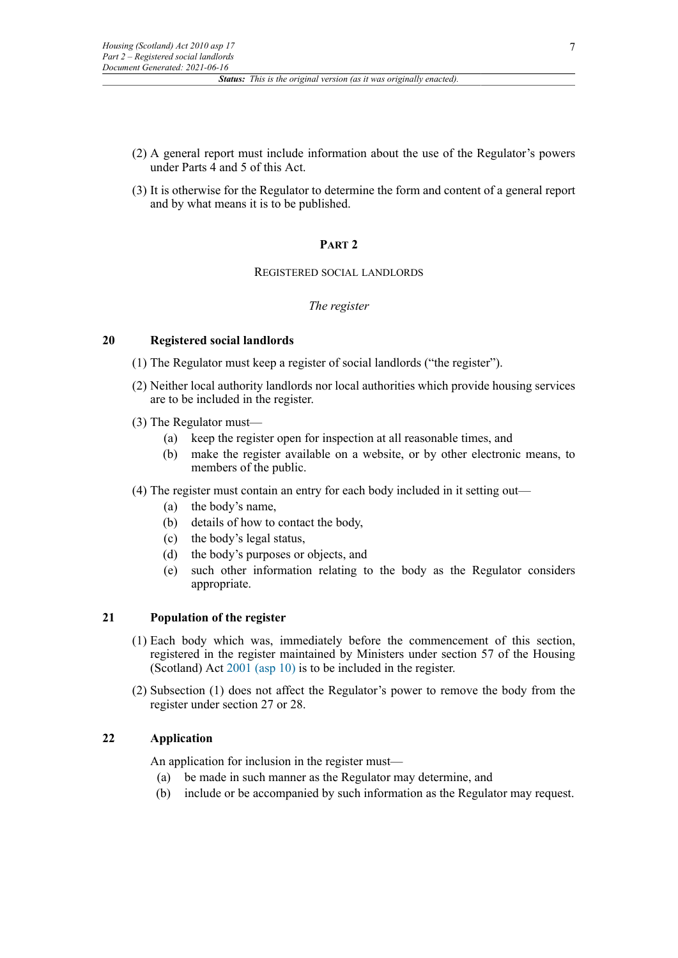- (2) A general report must include information about the use of the Regulator's powers under Parts 4 and 5 of this Act.
- (3) It is otherwise for the Regulator to determine the form and content of a general report and by what means it is to be published.

# **PART 2**

# REGISTERED SOCIAL LANDLORDS

# *The register*

# **20 Registered social landlords**

- (1) The Regulator must keep a register of social landlords ("the register").
- (2) Neither local authority landlords nor local authorities which provide housing services are to be included in the register.
- (3) The Regulator must—
	- (a) keep the register open for inspection at all reasonable times, and
	- (b) make the register available on a website, or by other electronic means, to members of the public.

# (4) The register must contain an entry for each body included in it setting out—

- (a) the body's name,
- (b) details of how to contact the body,
- (c) the body's legal status,
- (d) the body's purposes or objects, and
- (e) such other information relating to the body as the Regulator considers appropriate.

# **21 Population of the register**

- (1) Each body which was, immediately before the commencement of this section, registered in the register maintained by Ministers under section 57 of the Housing (Scotland) Act [2001 \(asp 10\)](http://www.legislation.gov.uk/id/asp/2001/10) is to be included in the register.
- (2) Subsection (1) does not affect the Regulator's power to remove the body from the register under section 27 or 28.

# **22 Application**

An application for inclusion in the register must—

- (a) be made in such manner as the Regulator may determine, and
- (b) include or be accompanied by such information as the Regulator may request.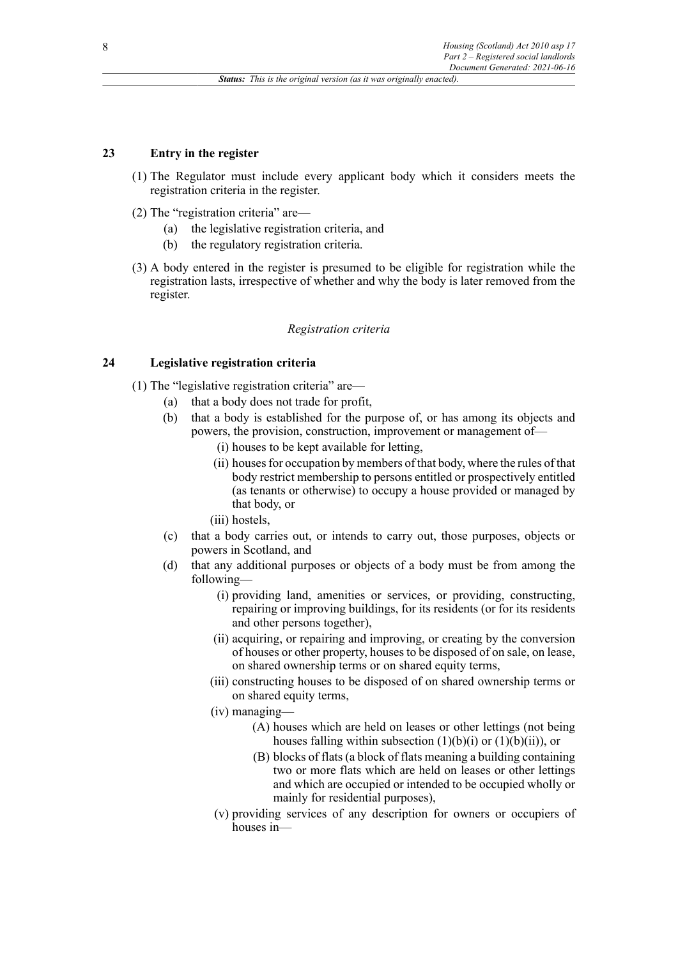# **23 Entry in the register**

- (1) The Regulator must include every applicant body which it considers meets the registration criteria in the register.
- (2) The "registration criteria" are—
	- (a) the legislative registration criteria, and
	- (b) the regulatory registration criteria.
- (3) A body entered in the register is presumed to be eligible for registration while the registration lasts, irrespective of whether and why the body is later removed from the register.

### *Registration criteria*

# **24 Legislative registration criteria**

- (1) The "legislative registration criteria" are—
	- (a) that a body does not trade for profit,
	- (b) that a body is established for the purpose of, or has among its objects and powers, the provision, construction, improvement or management of—
		- (i) houses to be kept available for letting,
		- (ii) houses for occupation by members of that body, where the rules of that body restrict membership to persons entitled or prospectively entitled (as tenants or otherwise) to occupy a house provided or managed by that body, or
		- (iii) hostels,
	- (c) that a body carries out, or intends to carry out, those purposes, objects or powers in Scotland, and
	- (d) that any additional purposes or objects of a body must be from among the following—
		- (i) providing land, amenities or services, or providing, constructing, repairing or improving buildings, for its residents (or for its residents and other persons together),
		- (ii) acquiring, or repairing and improving, or creating by the conversion of houses or other property, houses to be disposed of on sale, on lease, on shared ownership terms or on shared equity terms,
		- (iii) constructing houses to be disposed of on shared ownership terms or on shared equity terms,
		- (iv) managing—
			- (A) houses which are held on leases or other lettings (not being houses falling within subsection  $(1)(b)(i)$  or  $(1)(b)(ii)$ , or
			- (B) blocks of flats (a block of flats meaning a building containing two or more flats which are held on leases or other lettings and which are occupied or intended to be occupied wholly or mainly for residential purposes),
		- (v) providing services of any description for owners or occupiers of houses in—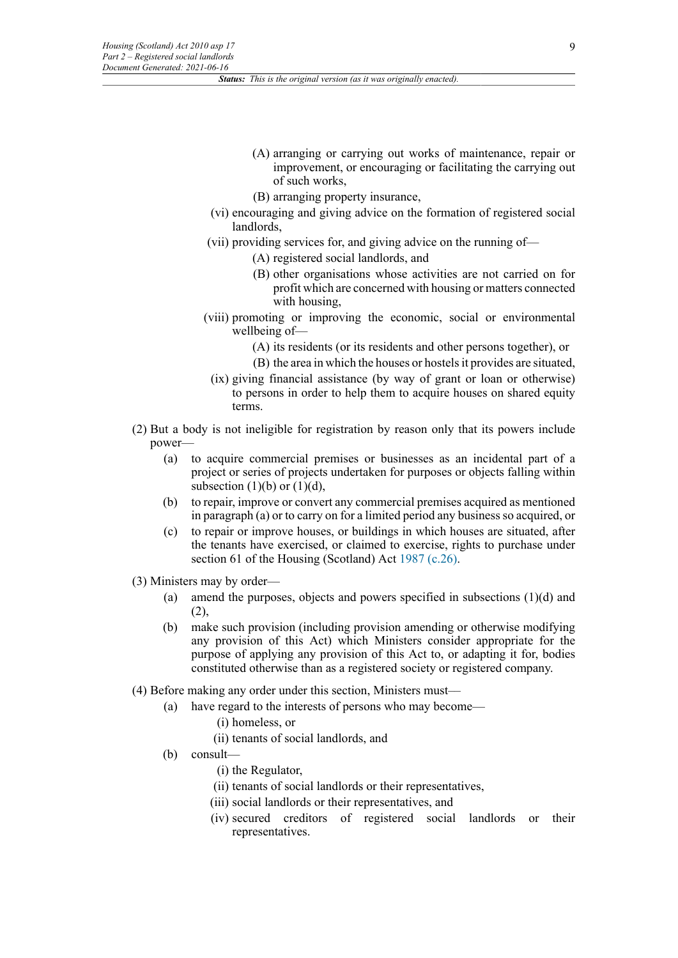- (A) arranging or carrying out works of maintenance, repair or improvement, or encouraging or facilitating the carrying out of such works,
- (B) arranging property insurance,
- (vi) encouraging and giving advice on the formation of registered social landlords,
- (vii) providing services for, and giving advice on the running of—
	- (A) registered social landlords, and
	- (B) other organisations whose activities are not carried on for profit which are concerned with housing or matters connected with housing,
- (viii) promoting or improving the economic, social or environmental wellbeing of—
	- (A) its residents (or its residents and other persons together), or
	- (B) the area in which the houses or hostels it provides are situated,
- (ix) giving financial assistance (by way of grant or loan or otherwise) to persons in order to help them to acquire houses on shared equity terms.
- (2) But a body is not ineligible for registration by reason only that its powers include power—
	- (a) to acquire commercial premises or businesses as an incidental part of a project or series of projects undertaken for purposes or objects falling within subsection (1)(b) or (1)(d),
	- (b) to repair, improve or convert any commercial premises acquired as mentioned in paragraph (a) or to carry on for a limited period any business so acquired, or
	- (c) to repair or improve houses, or buildings in which houses are situated, after the tenants have exercised, or claimed to exercise, rights to purchase under section 61 of the Housing (Scotland) Act [1987 \(c.26\).](http://www.legislation.gov.uk/id/ukpga/1987/26)
- (3) Ministers may by order—
	- (a) amend the purposes, objects and powers specified in subsections (1)(d) and (2),
	- (b) make such provision (including provision amending or otherwise modifying any provision of this Act) which Ministers consider appropriate for the purpose of applying any provision of this Act to, or adapting it for, bodies constituted otherwise than as a registered society or registered company.
- (4) Before making any order under this section, Ministers must––
	- (a) have regard to the interests of persons who may become—
		- (i) homeless, or
		- (ii) tenants of social landlords, and
	- (b) consult—
		- (i) the Regulator,
		- (ii) tenants of social landlords or their representatives,
		- (iii) social landlords or their representatives, and
		- (iv) secured creditors of registered social landlords or their representatives.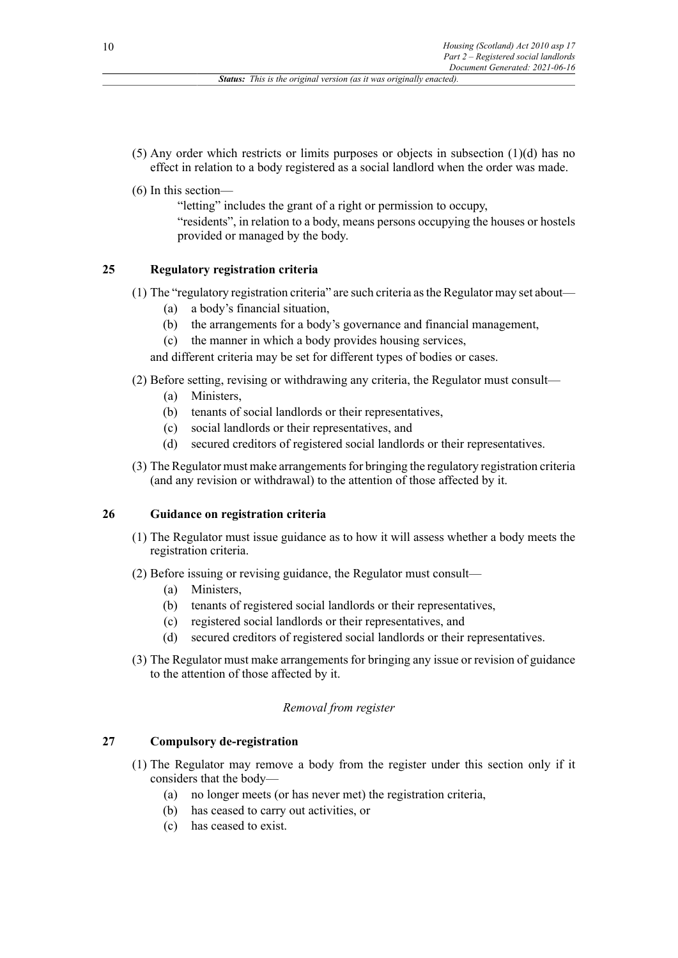- (5) Any order which restricts or limits purposes or objects in subsection (1)(d) has no effect in relation to a body registered as a social landlord when the order was made.
- (6) In this section—
	- "letting" includes the grant of a right or permission to occupy,
	- "residents", in relation to a body, means persons occupying the houses or hostels provided or managed by the body.

# **25 Regulatory registration criteria**

- (1) The "regulatory registration criteria" are such criteria as the Regulator may set about—
	- (a) a body's financial situation,
	- (b) the arrangements for a body's governance and financial management,
	- (c) the manner in which a body provides housing services,

and different criteria may be set for different types of bodies or cases.

- (2) Before setting, revising or withdrawing any criteria, the Regulator must consult—
	- (a) Ministers,
	- (b) tenants of social landlords or their representatives,
	- (c) social landlords or their representatives, and
	- (d) secured creditors of registered social landlords or their representatives.
- (3) The Regulator must make arrangements for bringing the regulatory registration criteria (and any revision or withdrawal) to the attention of those affected by it.

# **26 Guidance on registration criteria**

- (1) The Regulator must issue guidance as to how it will assess whether a body meets the registration criteria.
- (2) Before issuing or revising guidance, the Regulator must consult—
	- (a) Ministers,
	- (b) tenants of registered social landlords or their representatives,
	- (c) registered social landlords or their representatives, and
	- (d) secured creditors of registered social landlords or their representatives.
- (3) The Regulator must make arrangements for bringing any issue or revision of guidance to the attention of those affected by it.

### *Removal from register*

# **27 Compulsory de-registration**

- (1) The Regulator may remove a body from the register under this section only if it considers that the body—
	- (a) no longer meets (or has never met) the registration criteria,
	- (b) has ceased to carry out activities, or
	- (c) has ceased to exist.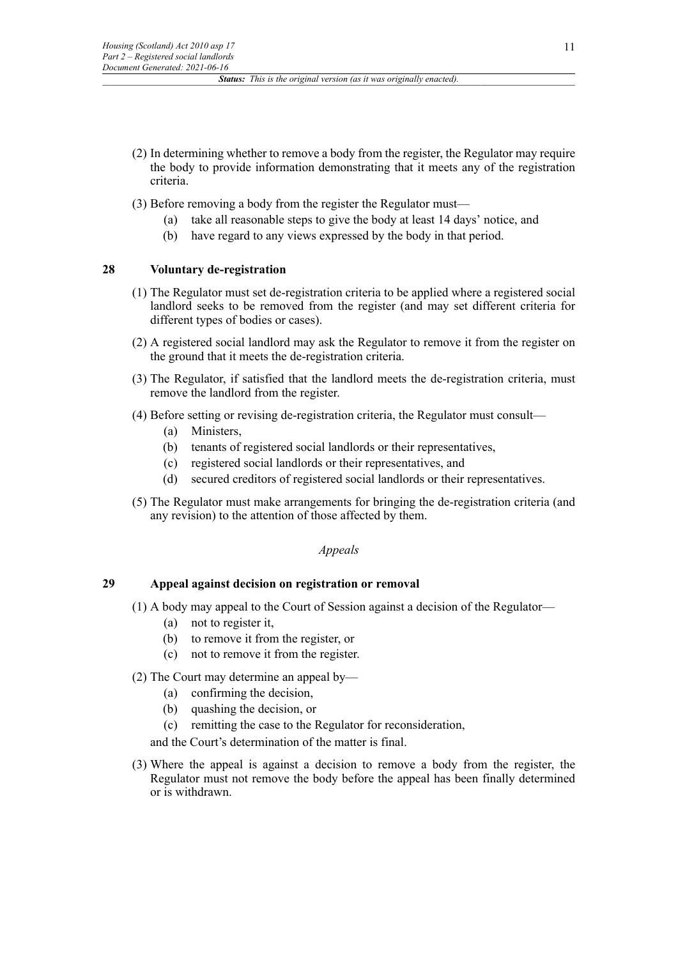- (2) In determining whether to remove a body from the register, the Regulator may require the body to provide information demonstrating that it meets any of the registration criteria.
- (3) Before removing a body from the register the Regulator must—
	- (a) take all reasonable steps to give the body at least 14 days' notice, and
	- (b) have regard to any views expressed by the body in that period.

# **28 Voluntary de-registration**

- (1) The Regulator must set de-registration criteria to be applied where a registered social landlord seeks to be removed from the register (and may set different criteria for different types of bodies or cases).
- (2) A registered social landlord may ask the Regulator to remove it from the register on the ground that it meets the de-registration criteria.
- (3) The Regulator, if satisfied that the landlord meets the de-registration criteria, must remove the landlord from the register.
- (4) Before setting or revising de-registration criteria, the Regulator must consult—
	- (a) Ministers
	- (b) tenants of registered social landlords or their representatives,
	- (c) registered social landlords or their representatives, and
	- (d) secured creditors of registered social landlords or their representatives.
- (5) The Regulator must make arrangements for bringing the de-registration criteria (and any revision) to the attention of those affected by them.

#### *Appeals*

#### **29 Appeal against decision on registration or removal**

- (1) A body may appeal to the Court of Session against a decision of the Regulator—
	- (a) not to register it,
	- (b) to remove it from the register, or
	- (c) not to remove it from the register.

# (2) The Court may determine an appeal by—

- (a) confirming the decision,
- (b) quashing the decision, or
- (c) remitting the case to the Regulator for reconsideration,

and the Court's determination of the matter is final.

(3) Where the appeal is against a decision to remove a body from the register, the Regulator must not remove the body before the appeal has been finally determined or is withdrawn.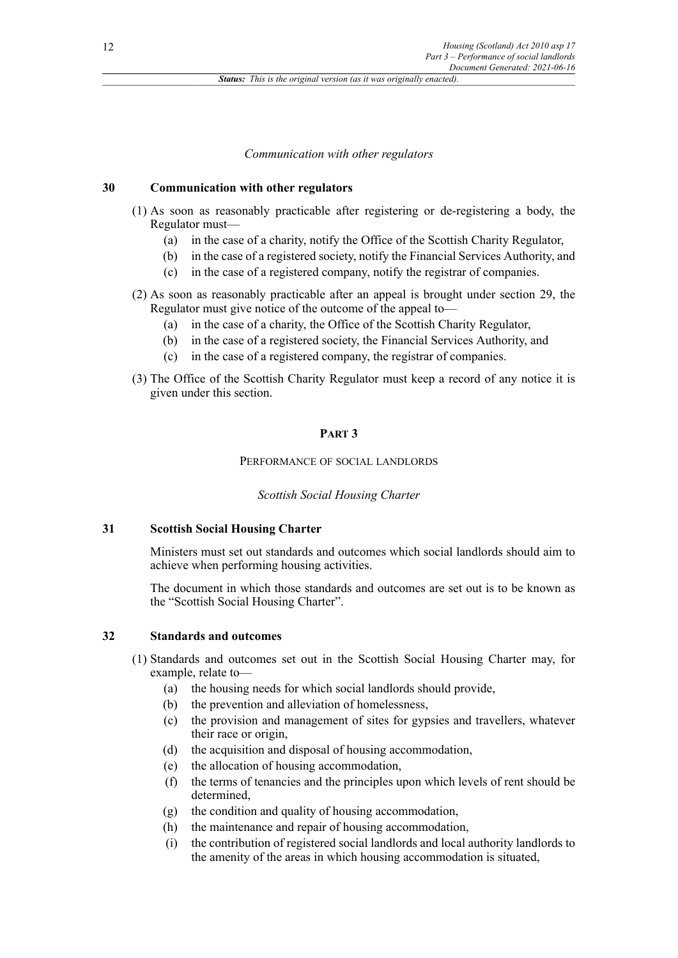### *Communication with other regulators*

#### **30 Communication with other regulators**

- (1) As soon as reasonably practicable after registering or de-registering a body, the Regulator must—
	- (a) in the case of a charity, notify the Office of the Scottish Charity Regulator,
	- (b) in the case of a registered society, notify the Financial Services Authority, and
	- (c) in the case of a registered company, notify the registrar of companies.
- (2) As soon as reasonably practicable after an appeal is brought under section 29, the Regulator must give notice of the outcome of the appeal to—
	- (a) in the case of a charity, the Office of the Scottish Charity Regulator,
	- (b) in the case of a registered society, the Financial Services Authority, and
	- (c) in the case of a registered company, the registrar of companies.
- (3) The Office of the Scottish Charity Regulator must keep a record of any notice it is given under this section.

#### **PART 3**

# PERFORMANCE OF SOCIAL LANDLORDS

#### *Scottish Social Housing Charter*

# **31 Scottish Social Housing Charter**

Ministers must set out standards and outcomes which social landlords should aim to achieve when performing housing activities.

The document in which those standards and outcomes are set out is to be known as the "Scottish Social Housing Charter".

### **32 Standards and outcomes**

- (1) Standards and outcomes set out in the Scottish Social Housing Charter may, for example, relate to—
	- (a) the housing needs for which social landlords should provide,
	- (b) the prevention and alleviation of homelessness,
	- (c) the provision and management of sites for gypsies and travellers, whatever their race or origin,
	- (d) the acquisition and disposal of housing accommodation,
	- (e) the allocation of housing accommodation,
	- (f) the terms of tenancies and the principles upon which levels of rent should be determined,
	- (g) the condition and quality of housing accommodation,
	- (h) the maintenance and repair of housing accommodation,
	- (i) the contribution of registered social landlords and local authority landlords to the amenity of the areas in which housing accommodation is situated,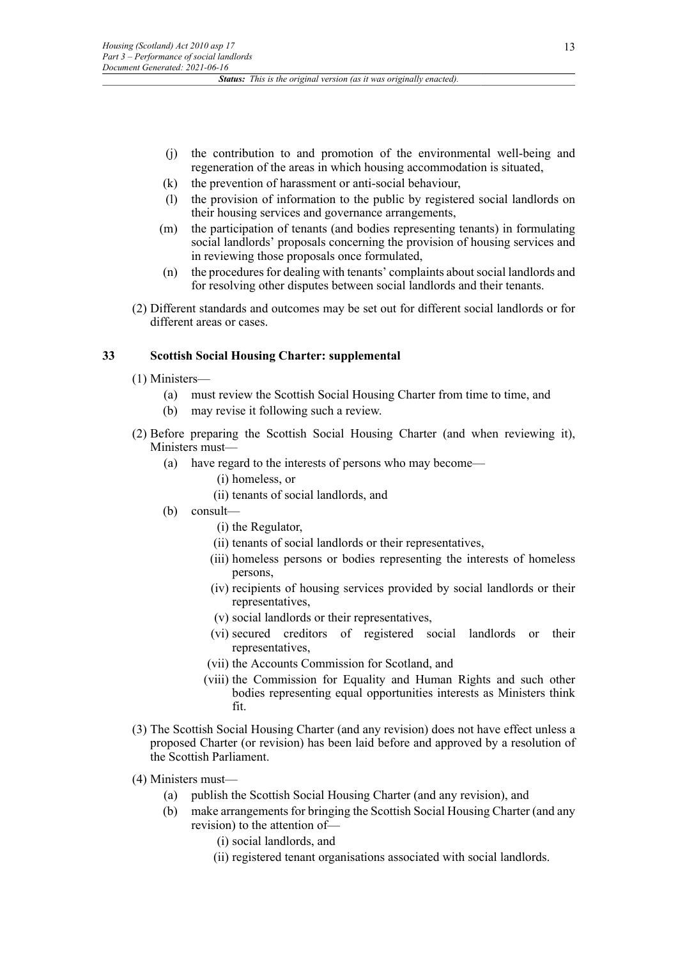- (j) the contribution to and promotion of the environmental well-being and regeneration of the areas in which housing accommodation is situated,
- (k) the prevention of harassment or anti-social behaviour,
- (l) the provision of information to the public by registered social landlords on their housing services and governance arrangements,
- (m) the participation of tenants (and bodies representing tenants) in formulating social landlords' proposals concerning the provision of housing services and in reviewing those proposals once formulated,
- (n) the procedures for dealing with tenants' complaints about social landlords and for resolving other disputes between social landlords and their tenants.
- (2) Different standards and outcomes may be set out for different social landlords or for different areas or cases.

# **33 Scottish Social Housing Charter: supplemental**

- (1) Ministers—
	- (a) must review the Scottish Social Housing Charter from time to time, and
	- (b) may revise it following such a review.
- (2) Before preparing the Scottish Social Housing Charter (and when reviewing it), Ministers must––
	- (a) have regard to the interests of persons who may become—
		- (i) homeless, or
		- (ii) tenants of social landlords, and
	- (b) consult—
		- (i) the Regulator,
		- (ii) tenants of social landlords or their representatives,
		- (iii) homeless persons or bodies representing the interests of homeless persons,
		- (iv) recipients of housing services provided by social landlords or their representatives,
		- (v) social landlords or their representatives,
		- (vi) secured creditors of registered social landlords or their representatives,
		- (vii) the Accounts Commission for Scotland, and
		- (viii) the Commission for Equality and Human Rights and such other bodies representing equal opportunities interests as Ministers think fit.
- (3) The Scottish Social Housing Charter (and any revision) does not have effect unless a proposed Charter (or revision) has been laid before and approved by a resolution of the Scottish Parliament.
- (4) Ministers must—
	- (a) publish the Scottish Social Housing Charter (and any revision), and
		- (b) make arrangements for bringing the Scottish Social Housing Charter (and any revision) to the attention of—
			- (i) social landlords, and
			- (ii) registered tenant organisations associated with social landlords.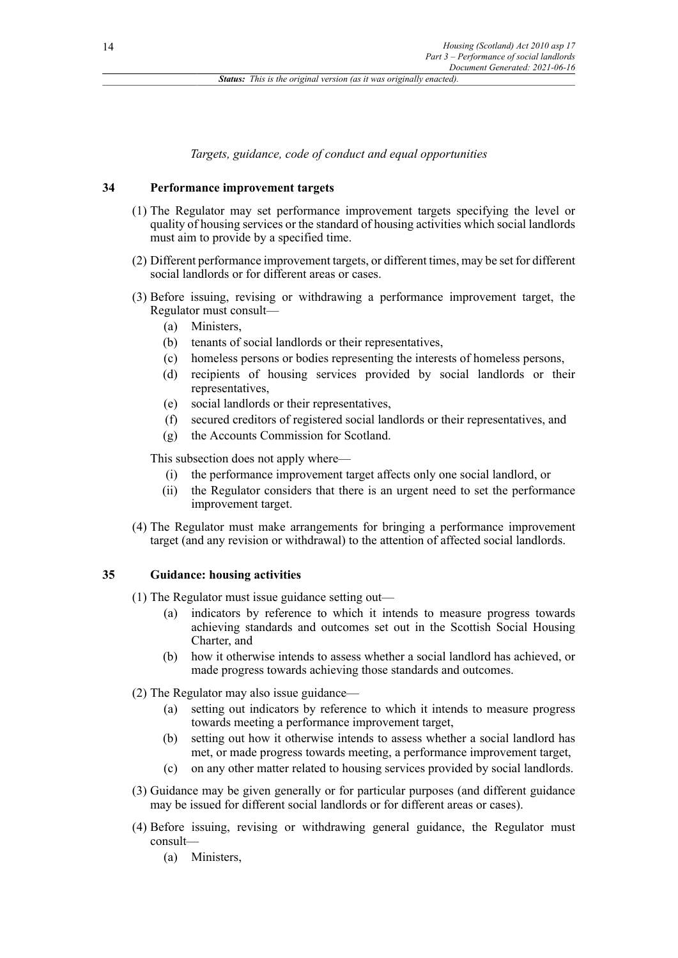*Targets, guidance, code of conduct and equal opportunities*

# **34 Performance improvement targets**

- (1) The Regulator may set performance improvement targets specifying the level or quality of housing services or the standard of housing activities which social landlords must aim to provide by a specified time.
- (2) Different performance improvement targets, or different times, may be set for different social landlords or for different areas or cases.
- (3) Before issuing, revising or withdrawing a performance improvement target, the Regulator must consult—
	- (a) Ministers,
	- (b) tenants of social landlords or their representatives,
	- (c) homeless persons or bodies representing the interests of homeless persons,
	- (d) recipients of housing services provided by social landlords or their representatives,
	- (e) social landlords or their representatives,
	- (f) secured creditors of registered social landlords or their representatives, and
	- (g) the Accounts Commission for Scotland.

This subsection does not apply where—

- (i) the performance improvement target affects only one social landlord, or
- (ii) the Regulator considers that there is an urgent need to set the performance improvement target.
- (4) The Regulator must make arrangements for bringing a performance improvement target (and any revision or withdrawal) to the attention of affected social landlords.

# **35 Guidance: housing activities**

- (1) The Regulator must issue guidance setting out—
	- (a) indicators by reference to which it intends to measure progress towards achieving standards and outcomes set out in the Scottish Social Housing Charter, and
	- (b) how it otherwise intends to assess whether a social landlord has achieved, or made progress towards achieving those standards and outcomes.
- (2) The Regulator may also issue guidance—
	- (a) setting out indicators by reference to which it intends to measure progress towards meeting a performance improvement target,
	- (b) setting out how it otherwise intends to assess whether a social landlord has met, or made progress towards meeting, a performance improvement target,
	- (c) on any other matter related to housing services provided by social landlords.
- (3) Guidance may be given generally or for particular purposes (and different guidance may be issued for different social landlords or for different areas or cases).
- (4) Before issuing, revising or withdrawing general guidance, the Regulator must consult—
	- (a) Ministers,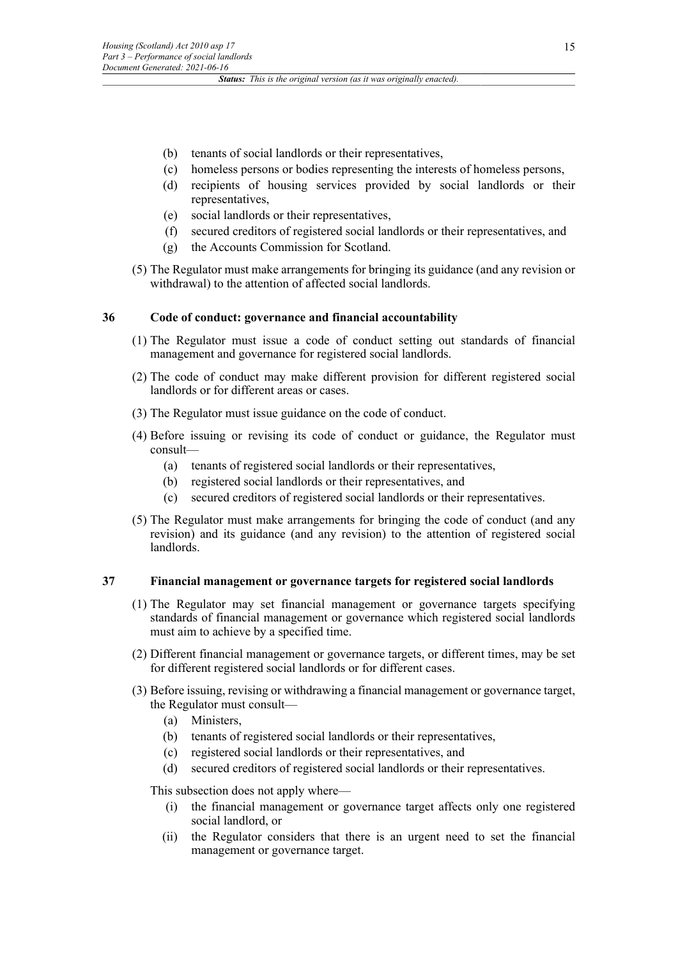- (b) tenants of social landlords or their representatives,
- (c) homeless persons or bodies representing the interests of homeless persons,
- (d) recipients of housing services provided by social landlords or their representatives,
- (e) social landlords or their representatives,
- (f) secured creditors of registered social landlords or their representatives, and
- (g) the Accounts Commission for Scotland.
- (5) The Regulator must make arrangements for bringing its guidance (and any revision or withdrawal) to the attention of affected social landlords.

# **36 Code of conduct: governance and financial accountability**

- (1) The Regulator must issue a code of conduct setting out standards of financial management and governance for registered social landlords.
- (2) The code of conduct may make different provision for different registered social landlords or for different areas or cases.
- (3) The Regulator must issue guidance on the code of conduct.
- (4) Before issuing or revising its code of conduct or guidance, the Regulator must consult—
	- (a) tenants of registered social landlords or their representatives,
	- (b) registered social landlords or their representatives, and
	- (c) secured creditors of registered social landlords or their representatives.
- (5) The Regulator must make arrangements for bringing the code of conduct (and any revision) and its guidance (and any revision) to the attention of registered social landlords.

### **37 Financial management or governance targets for registered social landlords**

- (1) The Regulator may set financial management or governance targets specifying standards of financial management or governance which registered social landlords must aim to achieve by a specified time.
- (2) Different financial management or governance targets, or different times, may be set for different registered social landlords or for different cases.
- (3) Before issuing, revising or withdrawing a financial management or governance target, the Regulator must consult—
	- (a) Ministers,
	- (b) tenants of registered social landlords or their representatives,
	- (c) registered social landlords or their representatives, and
	- (d) secured creditors of registered social landlords or their representatives.

This subsection does not apply where—

- (i) the financial management or governance target affects only one registered social landlord, or
- (ii) the Regulator considers that there is an urgent need to set the financial management or governance target.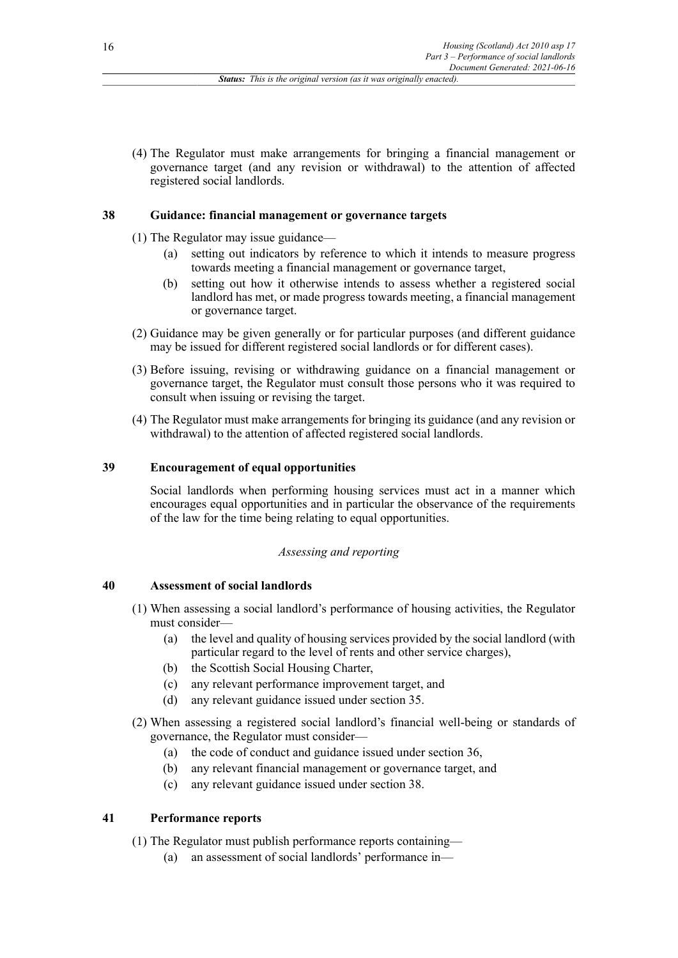(4) The Regulator must make arrangements for bringing a financial management or governance target (and any revision or withdrawal) to the attention of affected registered social landlords.

### **38 Guidance: financial management or governance targets**

- (1) The Regulator may issue guidance—
	- (a) setting out indicators by reference to which it intends to measure progress towards meeting a financial management or governance target,
	- (b) setting out how it otherwise intends to assess whether a registered social landlord has met, or made progress towards meeting, a financial management or governance target.
- (2) Guidance may be given generally or for particular purposes (and different guidance may be issued for different registered social landlords or for different cases).
- (3) Before issuing, revising or withdrawing guidance on a financial management or governance target, the Regulator must consult those persons who it was required to consult when issuing or revising the target.
- (4) The Regulator must make arrangements for bringing its guidance (and any revision or withdrawal) to the attention of affected registered social landlords.

# **39 Encouragement of equal opportunities**

Social landlords when performing housing services must act in a manner which encourages equal opportunities and in particular the observance of the requirements of the law for the time being relating to equal opportunities.

### *Assessing and reporting*

#### **40 Assessment of social landlords**

- (1) When assessing a social landlord's performance of housing activities, the Regulator must consider—
	- (a) the level and quality of housing services provided by the social landlord (with particular regard to the level of rents and other service charges),
	- (b) the Scottish Social Housing Charter,
	- (c) any relevant performance improvement target, and
	- (d) any relevant guidance issued under section 35.
- (2) When assessing a registered social landlord's financial well-being or standards of governance, the Regulator must consider––
	- (a) the code of conduct and guidance issued under section 36,
	- (b) any relevant financial management or governance target, and
	- (c) any relevant guidance issued under section 38.

### **41 Performance reports**

- (1) The Regulator must publish performance reports containing—
	- (a) an assessment of social landlords' performance in—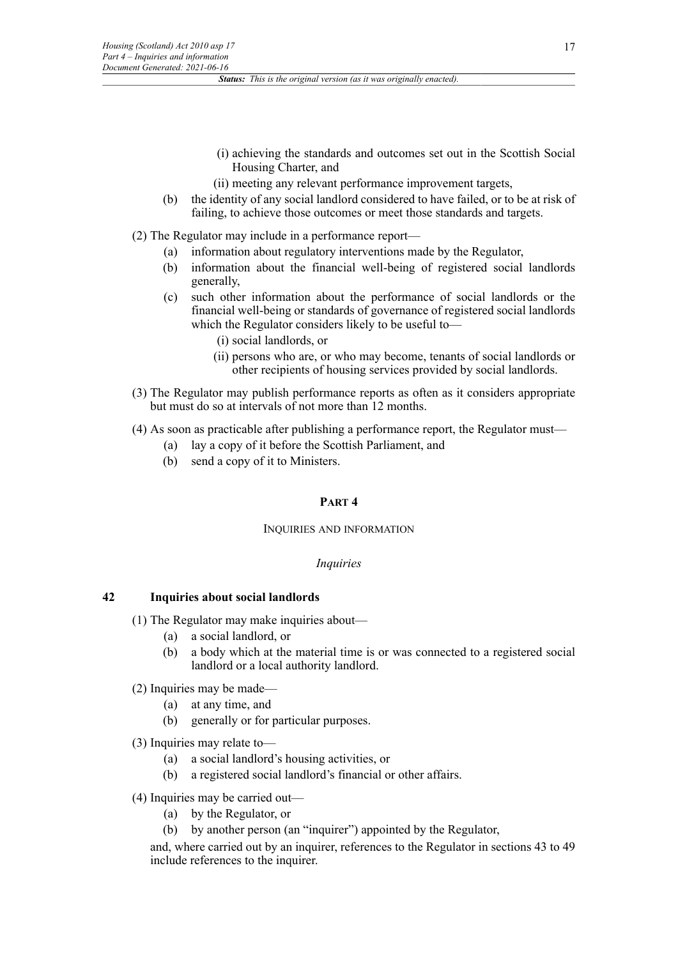- (i) achieving the standards and outcomes set out in the Scottish Social Housing Charter, and
- (ii) meeting any relevant performance improvement targets,
- (b) the identity of any social landlord considered to have failed, or to be at risk of failing, to achieve those outcomes or meet those standards and targets.

(2) The Regulator may include in a performance report—

- (a) information about regulatory interventions made by the Regulator,
- (b) information about the financial well-being of registered social landlords generally,
- (c) such other information about the performance of social landlords or the financial well-being or standards of governance of registered social landlords which the Regulator considers likely to be useful to—
	- (i) social landlords, or
	- (ii) persons who are, or who may become, tenants of social landlords or other recipients of housing services provided by social landlords.
- (3) The Regulator may publish performance reports as often as it considers appropriate but must do so at intervals of not more than 12 months.
- (4) As soon as practicable after publishing a performance report, the Regulator must—
	- (a) lay a copy of it before the Scottish Parliament, and
	- (b) send a copy of it to Ministers.

### **PART 4**

#### INQUIRIES AND INFORMATION

#### *Inquiries*

#### **42 Inquiries about social landlords**

- (1) The Regulator may make inquiries about—
	- (a) a social landlord, or
	- (b) a body which at the material time is or was connected to a registered social landlord or a local authority landlord.
- (2) Inquiries may be made—
	- (a) at any time, and
	- (b) generally or for particular purposes.
- (3) Inquiries may relate to—
	- (a) a social landlord's housing activities, or
	- (b) a registered social landlord's financial or other affairs.
- (4) Inquiries may be carried out—
	- (a) by the Regulator, or
	- (b) by another person (an "inquirer") appointed by the Regulator,

and, where carried out by an inquirer, references to the Regulator in sections 43 to 49 include references to the inquirer.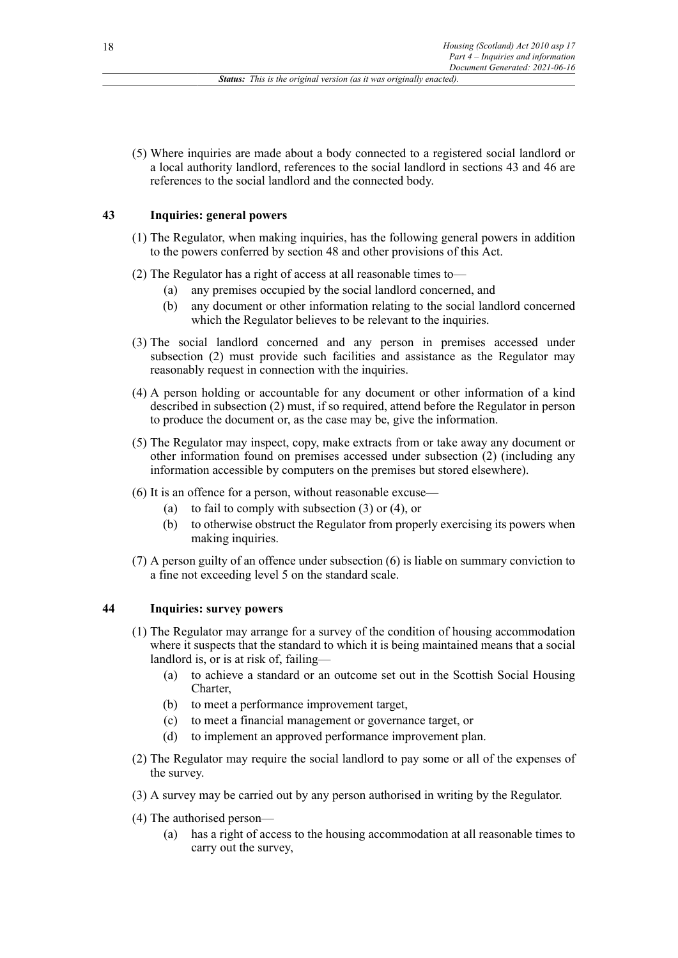(5) Where inquiries are made about a body connected to a registered social landlord or a local authority landlord, references to the social landlord in sections 43 and 46 are references to the social landlord and the connected body.

# **43 Inquiries: general powers**

- (1) The Regulator, when making inquiries, has the following general powers in addition to the powers conferred by section 48 and other provisions of this Act.
- (2) The Regulator has a right of access at all reasonable times to—
	- (a) any premises occupied by the social landlord concerned, and
	- (b) any document or other information relating to the social landlord concerned which the Regulator believes to be relevant to the inquiries.
- (3) The social landlord concerned and any person in premises accessed under subsection (2) must provide such facilities and assistance as the Regulator may reasonably request in connection with the inquiries.
- (4) A person holding or accountable for any document or other information of a kind described in subsection (2) must, if so required, attend before the Regulator in person to produce the document or, as the case may be, give the information.
- (5) The Regulator may inspect, copy, make extracts from or take away any document or other information found on premises accessed under subsection (2) (including any information accessible by computers on the premises but stored elsewhere).
- (6) It is an offence for a person, without reasonable excuse—
	- (a) to fail to comply with subsection (3) or (4), or
	- (b) to otherwise obstruct the Regulator from properly exercising its powers when making inquiries.
- (7) A person guilty of an offence under subsection (6) is liable on summary conviction to a fine not exceeding level 5 on the standard scale.

# **44 Inquiries: survey powers**

- (1) The Regulator may arrange for a survey of the condition of housing accommodation where it suspects that the standard to which it is being maintained means that a social landlord is, or is at risk of, failing—
	- (a) to achieve a standard or an outcome set out in the Scottish Social Housing Charter,
	- (b) to meet a performance improvement target,
	- (c) to meet a financial management or governance target, or
	- (d) to implement an approved performance improvement plan.
- (2) The Regulator may require the social landlord to pay some or all of the expenses of the survey.
- (3) A survey may be carried out by any person authorised in writing by the Regulator.
- (4) The authorised person—
	- (a) has a right of access to the housing accommodation at all reasonable times to carry out the survey,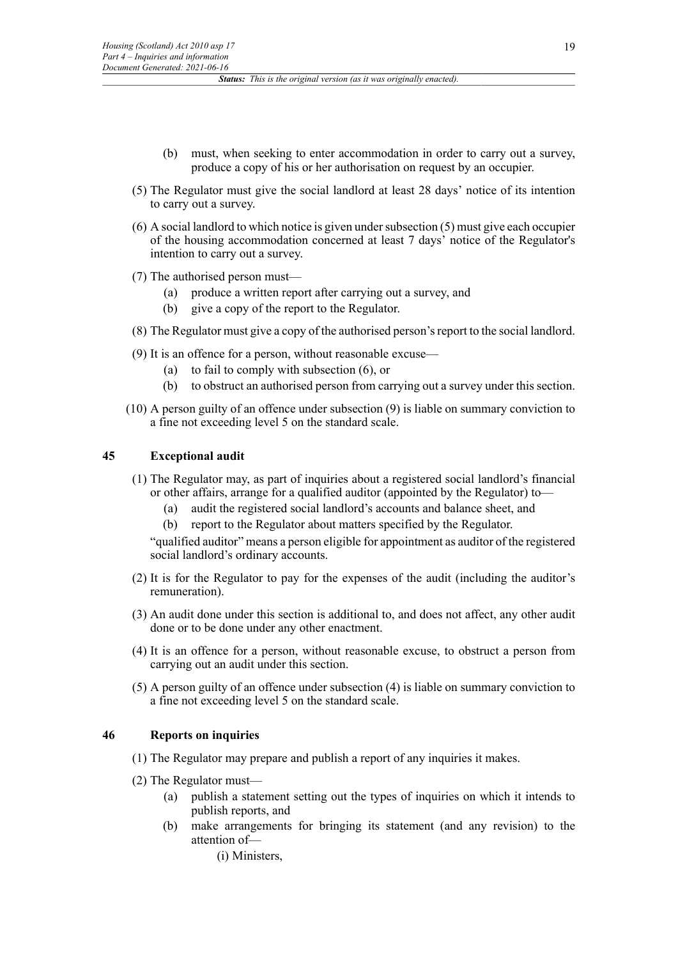- (b) must, when seeking to enter accommodation in order to carry out a survey, produce a copy of his or her authorisation on request by an occupier.
- (5) The Regulator must give the social landlord at least 28 days' notice of its intention to carry out a survey.
- (6) A social landlord to which notice is given under subsection (5) must give each occupier of the housing accommodation concerned at least 7 days' notice of the Regulator's intention to carry out a survey.
- (7) The authorised person must—
	- (a) produce a written report after carrying out a survey, and
	- (b) give a copy of the report to the Regulator.
- (8) The Regulator must give a copy of the authorised person'sreport to the social landlord.
- (9) It is an offence for a person, without reasonable excuse—
	- (a) to fail to comply with subsection (6), or
	- (b) to obstruct an authorised person from carrying out a survey under this section.
- (10) A person guilty of an offence under subsection (9) is liable on summary conviction to a fine not exceeding level 5 on the standard scale.

### **45 Exceptional audit**

- (1) The Regulator may, as part of inquiries about a registered social landlord's financial or other affairs, arrange for a qualified auditor (appointed by the Regulator) to—
	- (a) audit the registered social landlord's accounts and balance sheet, and
	- (b) report to the Regulator about matters specified by the Regulator.

"qualified auditor" means a person eligible for appointment as auditor of the registered social landlord's ordinary accounts.

- (2) It is for the Regulator to pay for the expenses of the audit (including the auditor's remuneration).
- (3) An audit done under this section is additional to, and does not affect, any other audit done or to be done under any other enactment.
- (4) It is an offence for a person, without reasonable excuse, to obstruct a person from carrying out an audit under this section.
- (5) A person guilty of an offence under subsection (4) is liable on summary conviction to a fine not exceeding level 5 on the standard scale.

### **46 Reports on inquiries**

- (1) The Regulator may prepare and publish a report of any inquiries it makes.
- (2) The Regulator must—
	- (a) publish a statement setting out the types of inquiries on which it intends to publish reports, and
	- (b) make arrangements for bringing its statement (and any revision) to the attention of––

(i) Ministers,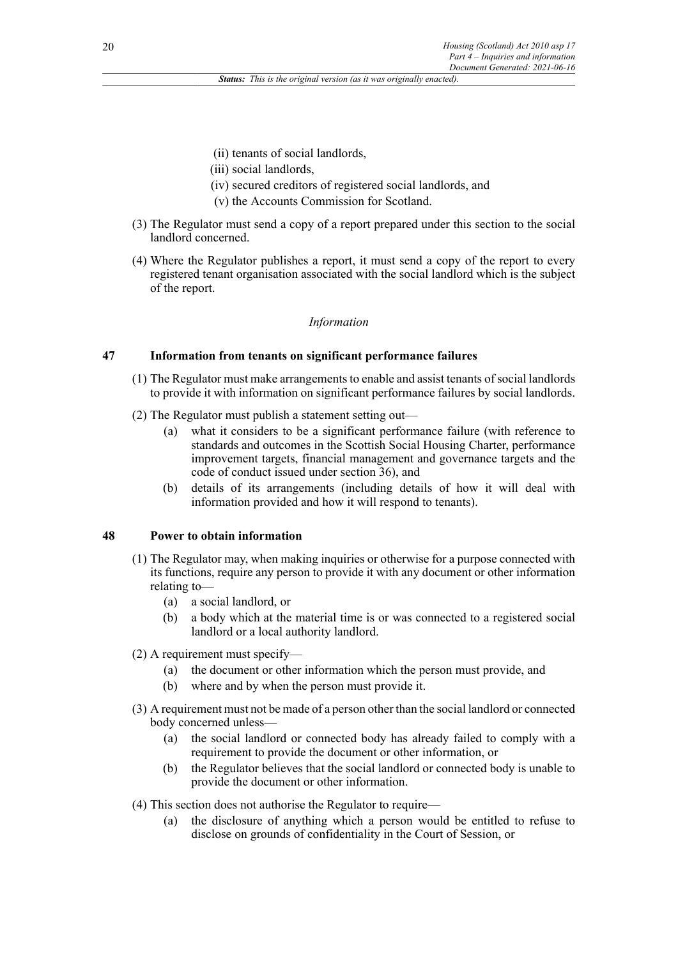(ii) tenants of social landlords,

- (iii) social landlords,
- (iv) secured creditors of registered social landlords, and
- (v) the Accounts Commission for Scotland.
- (3) The Regulator must send a copy of a report prepared under this section to the social landlord concerned.
- (4) Where the Regulator publishes a report, it must send a copy of the report to every registered tenant organisation associated with the social landlord which is the subject of the report.

### *Information*

# **47 Information from tenants on significant performance failures**

- (1) The Regulator must make arrangements to enable and assist tenants of social landlords to provide it with information on significant performance failures by social landlords.
- (2) The Regulator must publish a statement setting out—
	- (a) what it considers to be a significant performance failure (with reference to standards and outcomes in the Scottish Social Housing Charter, performance improvement targets, financial management and governance targets and the code of conduct issued under section 36), and
	- (b) details of its arrangements (including details of how it will deal with information provided and how it will respond to tenants).

### **48 Power to obtain information**

- (1) The Regulator may, when making inquiries or otherwise for a purpose connected with its functions, require any person to provide it with any document or other information relating to—
	- (a) a social landlord, or
	- (b) a body which at the material time is or was connected to a registered social landlord or a local authority landlord.
- (2) A requirement must specify—
	- (a) the document or other information which the person must provide, and
	- (b) where and by when the person must provide it.
- (3) A requirement must not be made of a person other than the social landlord or connected body concerned unless—
	- (a) the social landlord or connected body has already failed to comply with a requirement to provide the document or other information, or
	- (b) the Regulator believes that the social landlord or connected body is unable to provide the document or other information.
- (4) This section does not authorise the Regulator to require—
	- (a) the disclosure of anything which a person would be entitled to refuse to disclose on grounds of confidentiality in the Court of Session, or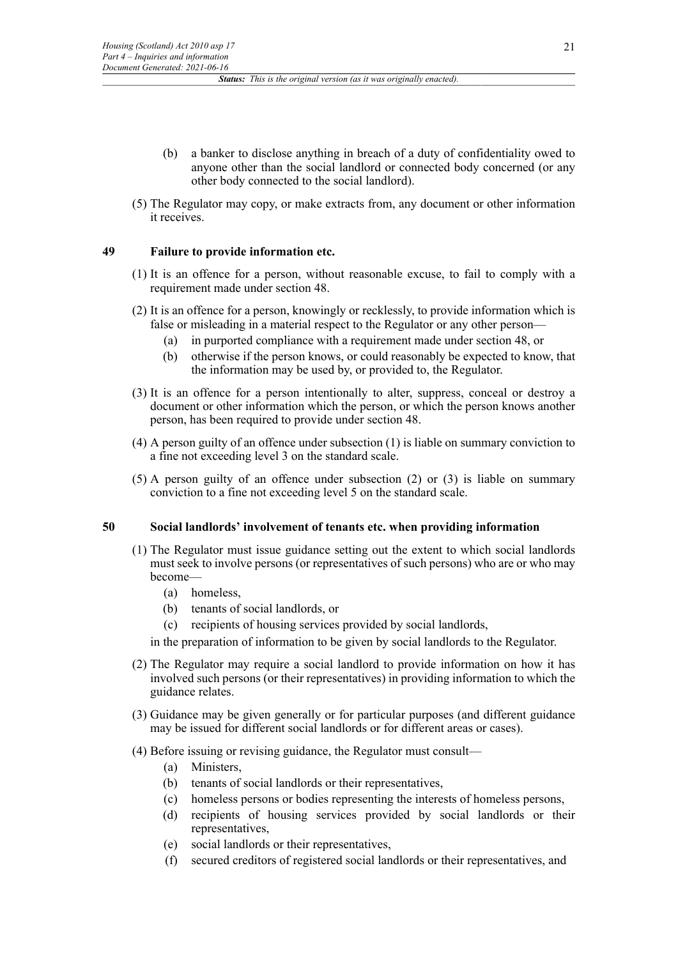- (b) a banker to disclose anything in breach of a duty of confidentiality owed to anyone other than the social landlord or connected body concerned (or any other body connected to the social landlord).
- (5) The Regulator may copy, or make extracts from, any document or other information it receives.

# **49 Failure to provide information etc.**

- (1) It is an offence for a person, without reasonable excuse, to fail to comply with a requirement made under section 48.
- (2) It is an offence for a person, knowingly or recklessly, to provide information which is false or misleading in a material respect to the Regulator or any other person—
	- (a) in purported compliance with a requirement made under section 48, or
	- (b) otherwise if the person knows, or could reasonably be expected to know, that the information may be used by, or provided to, the Regulator.
- (3) It is an offence for a person intentionally to alter, suppress, conceal or destroy a document or other information which the person, or which the person knows another person, has been required to provide under section 48.
- (4) A person guilty of an offence under subsection (1) is liable on summary conviction to a fine not exceeding level 3 on the standard scale.
- (5) A person guilty of an offence under subsection (2) or (3) is liable on summary conviction to a fine not exceeding level 5 on the standard scale.

### **50 Social landlords' involvement of tenants etc. when providing information**

- (1) The Regulator must issue guidance setting out the extent to which social landlords must seek to involve persons (or representatives of such persons) who are or who may become—
	- (a) homeless,
	- (b) tenants of social landlords, or
	- (c) recipients of housing services provided by social landlords,

in the preparation of information to be given by social landlords to the Regulator.

- (2) The Regulator may require a social landlord to provide information on how it has involved such persons (or their representatives) in providing information to which the guidance relates.
- (3) Guidance may be given generally or for particular purposes (and different guidance may be issued for different social landlords or for different areas or cases).
- (4) Before issuing or revising guidance, the Regulator must consult—
	- (a) Ministers,
	- (b) tenants of social landlords or their representatives,
	- (c) homeless persons or bodies representing the interests of homeless persons,
	- (d) recipients of housing services provided by social landlords or their representatives,
	- (e) social landlords or their representatives,
	- (f) secured creditors of registered social landlords or their representatives, and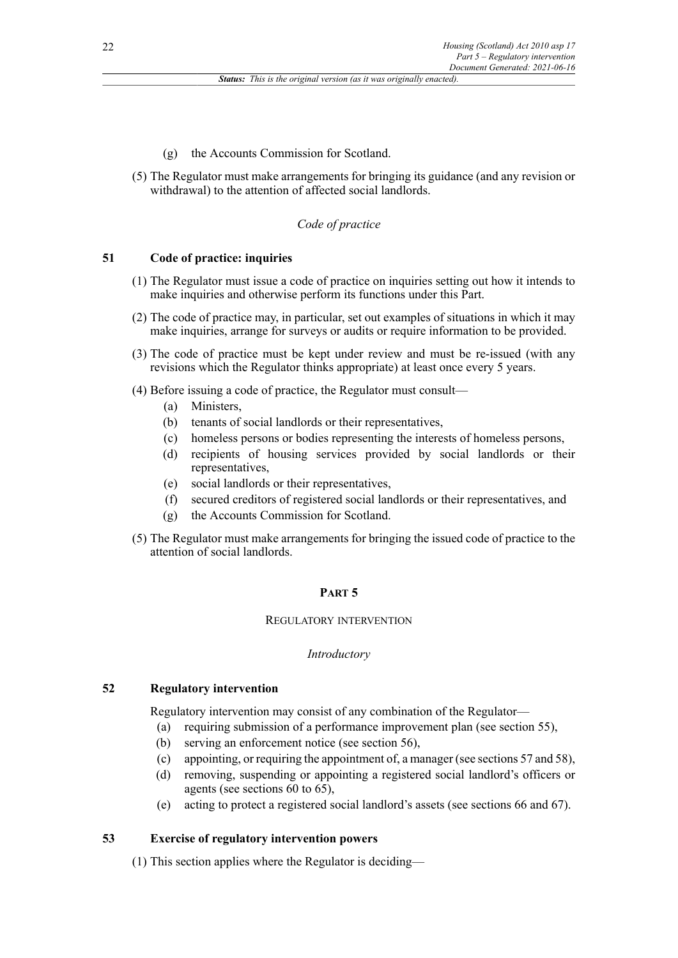- (g) the Accounts Commission for Scotland.
- (5) The Regulator must make arrangements for bringing its guidance (and any revision or withdrawal) to the attention of affected social landlords.

#### *Code of practice*

# **51 Code of practice: inquiries**

- (1) The Regulator must issue a code of practice on inquiries setting out how it intends to make inquiries and otherwise perform its functions under this Part.
- (2) The code of practice may, in particular, set out examples of situations in which it may make inquiries, arrange for surveys or audits or require information to be provided.
- (3) The code of practice must be kept under review and must be re-issued (with any revisions which the Regulator thinks appropriate) at least once every 5 years.
- (4) Before issuing a code of practice, the Regulator must consult—
	- (a) Ministers,
	- (b) tenants of social landlords or their representatives,
	- (c) homeless persons or bodies representing the interests of homeless persons,
	- (d) recipients of housing services provided by social landlords or their representatives,
	- (e) social landlords or their representatives,
	- (f) secured creditors of registered social landlords or their representatives, and
	- (g) the Accounts Commission for Scotland.
- (5) The Regulator must make arrangements for bringing the issued code of practice to the attention of social landlords.

# **PART 5**

### REGULATORY INTERVENTION

#### *Introductory*

### **52 Regulatory intervention**

Regulatory intervention may consist of any combination of the Regulator—

- (a) requiring submission of a performance improvement plan (see section 55),
- (b) serving an enforcement notice (see section 56),
- (c) appointing, or requiring the appointment of, a manager (see sections 57 and 58),
- (d) removing, suspending or appointing a registered social landlord's officers or agents (see sections 60 to 65),
- (e) acting to protect a registered social landlord's assets (see sections 66 and 67).

#### **53 Exercise of regulatory intervention powers**

(1) This section applies where the Regulator is deciding—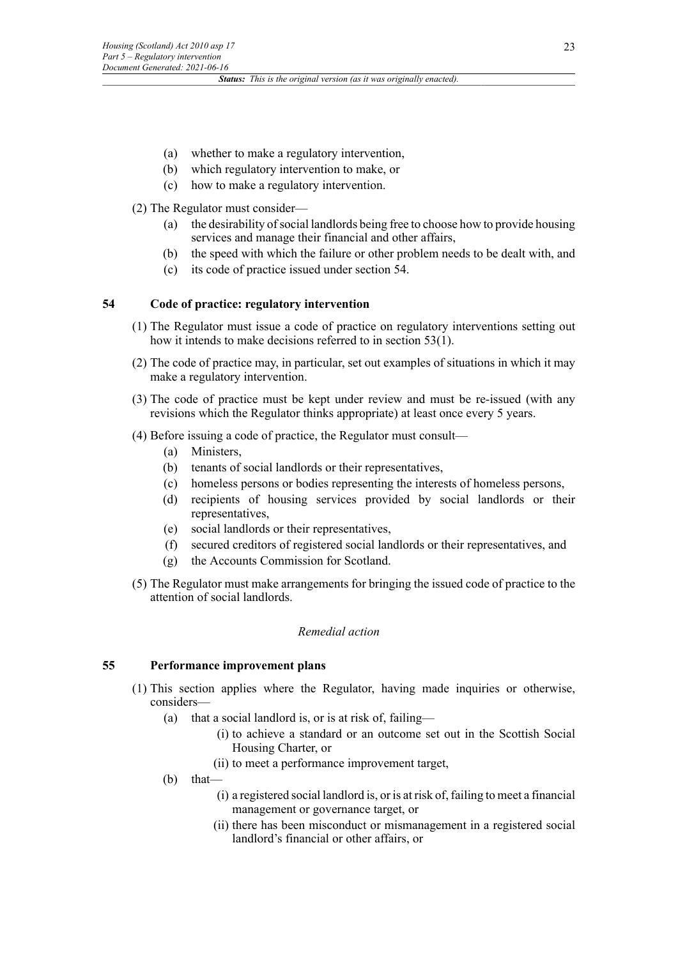- (a) whether to make a regulatory intervention,
- (b) which regulatory intervention to make, or
- (c) how to make a regulatory intervention.

### (2) The Regulator must consider—

- (a) the desirability of social landlords being free to choose how to provide housing services and manage their financial and other affairs,
- (b) the speed with which the failure or other problem needs to be dealt with, and
- (c) its code of practice issued under section 54.

### **54 Code of practice: regulatory intervention**

- (1) The Regulator must issue a code of practice on regulatory interventions setting out how it intends to make decisions referred to in section 53(1).
- (2) The code of practice may, in particular, set out examples of situations in which it may make a regulatory intervention.
- (3) The code of practice must be kept under review and must be re-issued (with any revisions which the Regulator thinks appropriate) at least once every 5 years.
- (4) Before issuing a code of practice, the Regulator must consult—
	- (a) Ministers,
	- (b) tenants of social landlords or their representatives,
	- (c) homeless persons or bodies representing the interests of homeless persons,
	- (d) recipients of housing services provided by social landlords or their representatives,
	- (e) social landlords or their representatives,
	- (f) secured creditors of registered social landlords or their representatives, and
	- (g) the Accounts Commission for Scotland.
- (5) The Regulator must make arrangements for bringing the issued code of practice to the attention of social landlords.

### *Remedial action*

# **55 Performance improvement plans**

- (1) This section applies where the Regulator, having made inquiries or otherwise, considers—
	- (a) that a social landlord is, or is at risk of, failing—
		- (i) to achieve a standard or an outcome set out in the Scottish Social Housing Charter, or
		- (ii) to meet a performance improvement target,
	- (b) that––
		- (i) a registered social landlord is, or is at risk of, failing to meet a financial management or governance target, or
		- (ii) there has been misconduct or mismanagement in a registered social landlord's financial or other affairs, or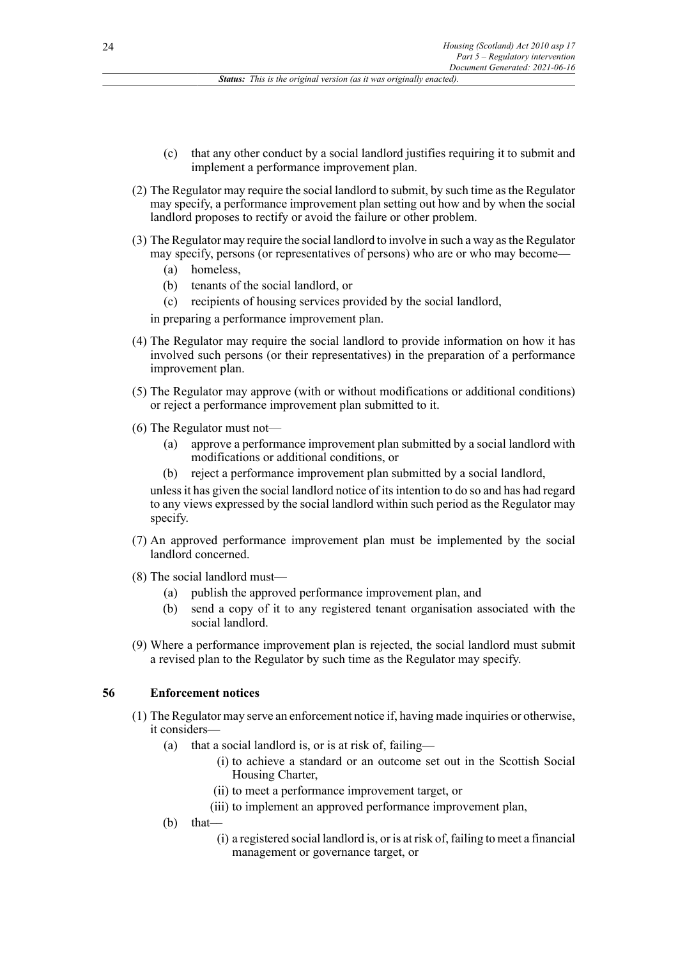- (c) that any other conduct by a social landlord justifies requiring it to submit and implement a performance improvement plan.
- (2) The Regulator may require the social landlord to submit, by such time as the Regulator may specify, a performance improvement plan setting out how and by when the social landlord proposes to rectify or avoid the failure or other problem.
- (3) The Regulator may require the social landlord to involve in such a way as the Regulator may specify, persons (or representatives of persons) who are or who may become—
	- (a) homeless,
	- (b) tenants of the social landlord, or
	- (c) recipients of housing services provided by the social landlord,

in preparing a performance improvement plan.

- (4) The Regulator may require the social landlord to provide information on how it has involved such persons (or their representatives) in the preparation of a performance improvement plan.
- (5) The Regulator may approve (with or without modifications or additional conditions) or reject a performance improvement plan submitted to it.
- (6) The Regulator must not—
	- (a) approve a performance improvement plan submitted by a social landlord with modifications or additional conditions, or
	- (b) reject a performance improvement plan submitted by a social landlord,

unless it has given the social landlord notice of its intention to do so and has had regard to any views expressed by the social landlord within such period as the Regulator may specify.

- (7) An approved performance improvement plan must be implemented by the social landlord concerned.
- (8) The social landlord must
	- publish the approved performance improvement plan, and
	- (b) send a copy of it to any registered tenant organisation associated with the social landlord.
- (9) Where a performance improvement plan is rejected, the social landlord must submit a revised plan to the Regulator by such time as the Regulator may specify.

#### **56 Enforcement notices**

- (1) The Regulator may serve an enforcement notice if, having made inquiries or otherwise, it considers—
	- (a) that a social landlord is, or is at risk of, failing—
		- (i) to achieve a standard or an outcome set out in the Scottish Social Housing Charter,
		- (ii) to meet a performance improvement target, or
		- (iii) to implement an approved performance improvement plan,
	- (b) that––
		- (i) a registered social landlord is, or is at risk of, failing to meet a financial management or governance target, or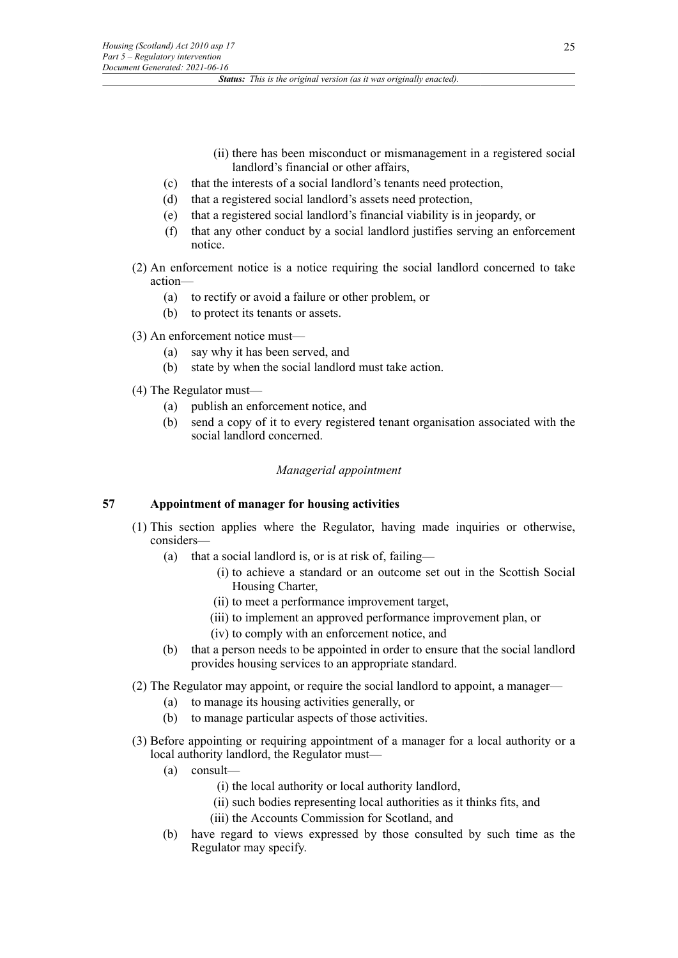- (ii) there has been misconduct or mismanagement in a registered social landlord's financial or other affairs,
- (c) that the interests of a social landlord's tenants need protection,
- (d) that a registered social landlord's assets need protection,
- (e) that a registered social landlord's financial viability is in jeopardy, or
- (f) that any other conduct by a social landlord justifies serving an enforcement notice.
- (2) An enforcement notice is a notice requiring the social landlord concerned to take action—
	- (a) to rectify or avoid a failure or other problem, or
	- (b) to protect its tenants or assets.
- (3) An enforcement notice must—
	- (a) say why it has been served, and
	- (b) state by when the social landlord must take action.
- (4) The Regulator must—
	- (a) publish an enforcement notice, and
	- (b) send a copy of it to every registered tenant organisation associated with the social landlord concerned.

# *Managerial appointment*

# **57 Appointment of manager for housing activities**

- (1) This section applies where the Regulator, having made inquiries or otherwise, considers—
	- (a) that a social landlord is, or is at risk of, failing—
		- (i) to achieve a standard or an outcome set out in the Scottish Social Housing Charter,
		- (ii) to meet a performance improvement target,
		- (iii) to implement an approved performance improvement plan, or
		- (iv) to comply with an enforcement notice, and
	- (b) that a person needs to be appointed in order to ensure that the social landlord provides housing services to an appropriate standard.
- (2) The Regulator may appoint, or require the social landlord to appoint, a manager—
	- (a) to manage its housing activities generally, or
	- (b) to manage particular aspects of those activities.
- (3) Before appointing or requiring appointment of a manager for a local authority or a local authority landlord, the Regulator must—
	- (a) consult—
		- (i) the local authority or local authority landlord,
		- (ii) such bodies representing local authorities as it thinks fits, and
		- (iii) the Accounts Commission for Scotland, and
	- (b) have regard to views expressed by those consulted by such time as the Regulator may specify.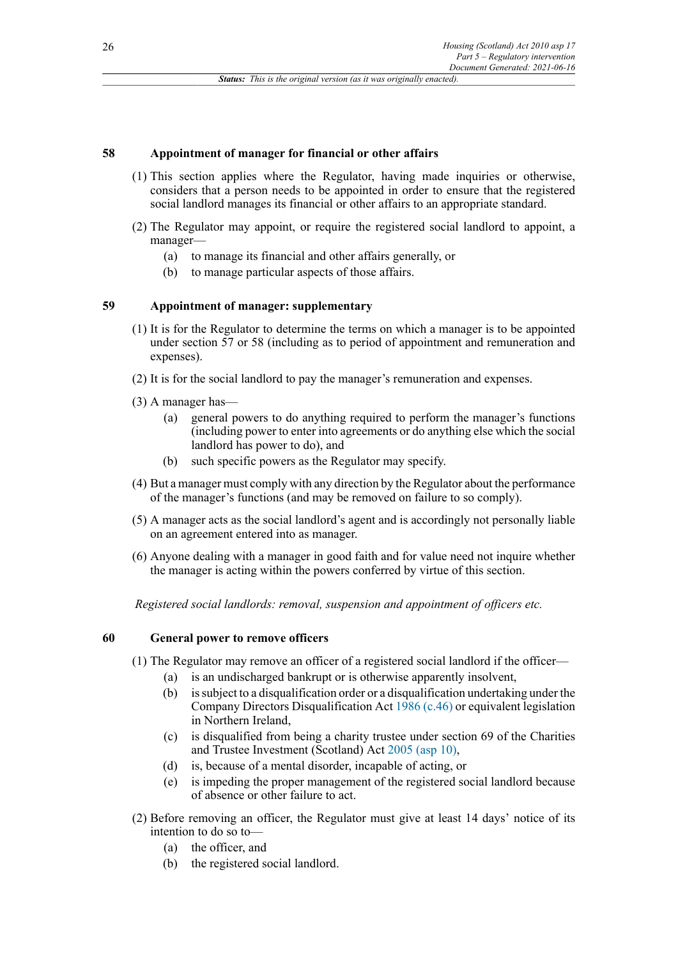# **58 Appointment of manager for financial or other affairs**

- (1) This section applies where the Regulator, having made inquiries or otherwise, considers that a person needs to be appointed in order to ensure that the registered social landlord manages its financial or other affairs to an appropriate standard.
- (2) The Regulator may appoint, or require the registered social landlord to appoint, a manager—
	- (a) to manage its financial and other affairs generally, or
	- (b) to manage particular aspects of those affairs.

# **59 Appointment of manager: supplementary**

- (1) It is for the Regulator to determine the terms on which a manager is to be appointed under section 57 or 58 (including as to period of appointment and remuneration and expenses).
- (2) It is for the social landlord to pay the manager's remuneration and expenses.
- (3) A manager has—
	- (a) general powers to do anything required to perform the manager's functions (including power to enter into agreements or do anything else which the social landlord has power to do), and
	- (b) such specific powers as the Regulator may specify.
- (4) But a manager must comply with any direction by the Regulator about the performance of the manager's functions (and may be removed on failure to so comply).
- (5) A manager acts as the social landlord's agent and is accordingly not personally liable on an agreement entered into as manager.
- (6) Anyone dealing with a manager in good faith and for value need not inquire whether the manager is acting within the powers conferred by virtue of this section.

*Registered social landlords: removal, suspension and appointment of officers etc.*

# **60 General power to remove officers**

- (1) The Regulator may remove an officer of a registered social landlord if the officer—
	- (a) is an undischarged bankrupt or is otherwise apparently insolvent,
	- (b) is subject to a disqualification order or a disqualification undertaking under the Company Directors Disqualification Act [1986 \(c.46\)](http://www.legislation.gov.uk/id/ukpga/1986/46) or equivalent legislation in Northern Ireland,
	- (c) is disqualified from being a charity trustee under section 69 of the Charities and Trustee Investment (Scotland) Act [2005 \(asp 10\)](http://www.legislation.gov.uk/id/asp/2005/10),
	- (d) is, because of a mental disorder, incapable of acting, or
	- (e) is impeding the proper management of the registered social landlord because of absence or other failure to act.
- (2) Before removing an officer, the Regulator must give at least 14 days' notice of its intention to do so to—
	- (a) the officer, and
	- (b) the registered social landlord.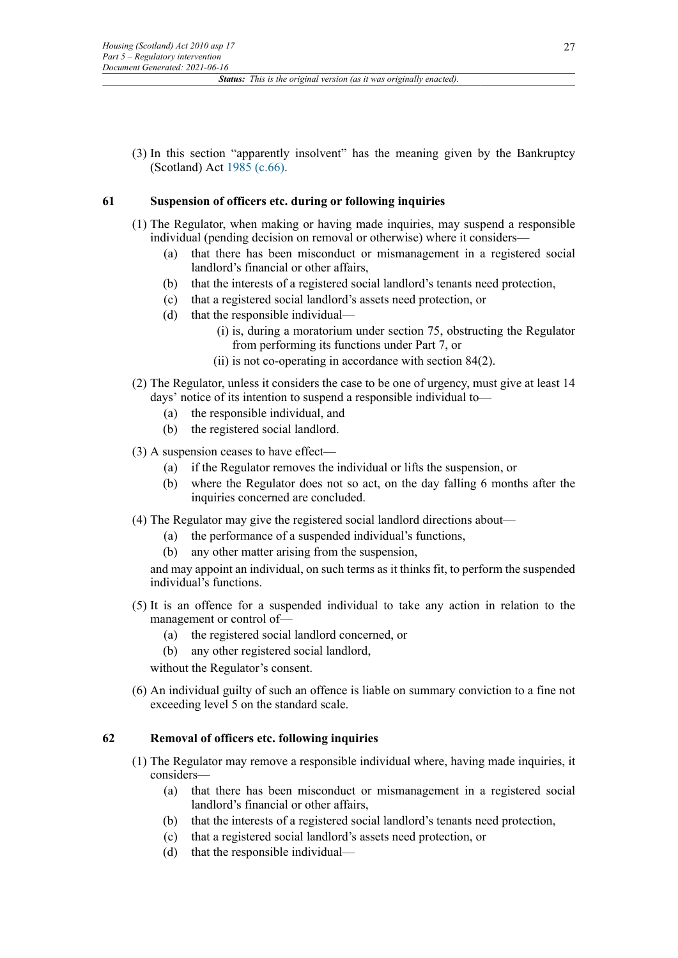(3) In this section "apparently insolvent" has the meaning given by the Bankruptcy (Scotland) Act [1985 \(c.66\).](http://www.legislation.gov.uk/id/ukpga/1985/66)

### **61 Suspension of officers etc. during or following inquiries**

- (1) The Regulator, when making or having made inquiries, may suspend a responsible individual (pending decision on removal or otherwise) where it considers—
	- (a) that there has been misconduct or mismanagement in a registered social landlord's financial or other affairs,
	- (b) that the interests of a registered social landlord's tenants need protection,
	- (c) that a registered social landlord's assets need protection, or
	- (d) that the responsible individual—
		- (i) is, during a moratorium under section 75, obstructing the Regulator from performing its functions under Part 7, or
		- (ii) is not co-operating in accordance with section 84(2).
- (2) The Regulator, unless it considers the case to be one of urgency, must give at least 14 days' notice of its intention to suspend a responsible individual to—
	- (a) the responsible individual, and
	- (b) the registered social landlord.
- (3) A suspension ceases to have effect—
	- (a) if the Regulator removes the individual or lifts the suspension, or
	- (b) where the Regulator does not so act, on the day falling 6 months after the inquiries concerned are concluded.
- (4) The Regulator may give the registered social landlord directions about—
	- (a) the performance of a suspended individual's functions,
	- (b) any other matter arising from the suspension,

and may appoint an individual, on such terms as it thinks fit, to perform the suspended individual's functions.

- (5) It is an offence for a suspended individual to take any action in relation to the management or control of—
	- (a) the registered social landlord concerned, or
	- (b) any other registered social landlord,

without the Regulator's consent.

(6) An individual guilty of such an offence is liable on summary conviction to a fine not exceeding level 5 on the standard scale.

### **62 Removal of officers etc. following inquiries**

- (1) The Regulator may remove a responsible individual where, having made inquiries, it considers—
	- (a) that there has been misconduct or mismanagement in a registered social landlord's financial or other affairs,
	- (b) that the interests of a registered social landlord's tenants need protection,
	- (c) that a registered social landlord's assets need protection, or
	- (d) that the responsible individual—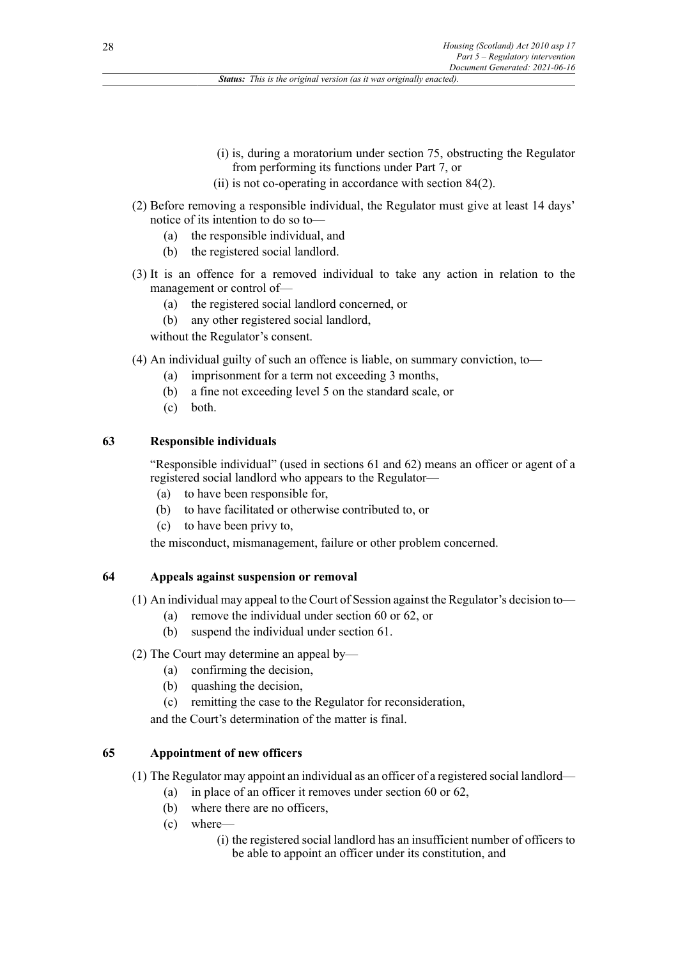- (i) is, during a moratorium under section 75, obstructing the Regulator from performing its functions under Part 7, or
- (ii) is not co-operating in accordance with section 84(2).
- (2) Before removing a responsible individual, the Regulator must give at least 14 days' notice of its intention to do so to—
	- (a) the responsible individual, and
	- (b) the registered social landlord.
- (3) It is an offence for a removed individual to take any action in relation to the management or control of—
	- (a) the registered social landlord concerned, or
	- (b) any other registered social landlord,

without the Regulator's consent.

- (4) An individual guilty of such an offence is liable, on summary conviction, to—
	- (a) imprisonment for a term not exceeding 3 months,
	- (b) a fine not exceeding level 5 on the standard scale, or
	- (c) both.

# **63 Responsible individuals**

"Responsible individual" (used in sections 61 and 62) means an officer or agent of a registered social landlord who appears to the Regulator—

- (a) to have been responsible for,
- (b) to have facilitated or otherwise contributed to, or
- (c) to have been privy to,

the misconduct, mismanagement, failure or other problem concerned.

# **64 Appeals against suspension or removal**

(1) An individual may appeal to the Court of Session against the Regulator's decision to—

- (a) remove the individual under section 60 or 62, or
- (b) suspend the individual under section 61.
- (2) The Court may determine an appeal by—
	- (a) confirming the decision,
	- (b) quashing the decision,
	- (c) remitting the case to the Regulator for reconsideration,

and the Court's determination of the matter is final.

# **65 Appointment of new officers**

- (1) The Regulator may appoint an individual as an officer of a registered social landlord—
	- (a) in place of an officer it removes under section 60 or 62,
		- (b) where there are no officers,
		- (c) where—
			- (i) the registered social landlord has an insufficient number of officers to be able to appoint an officer under its constitution, and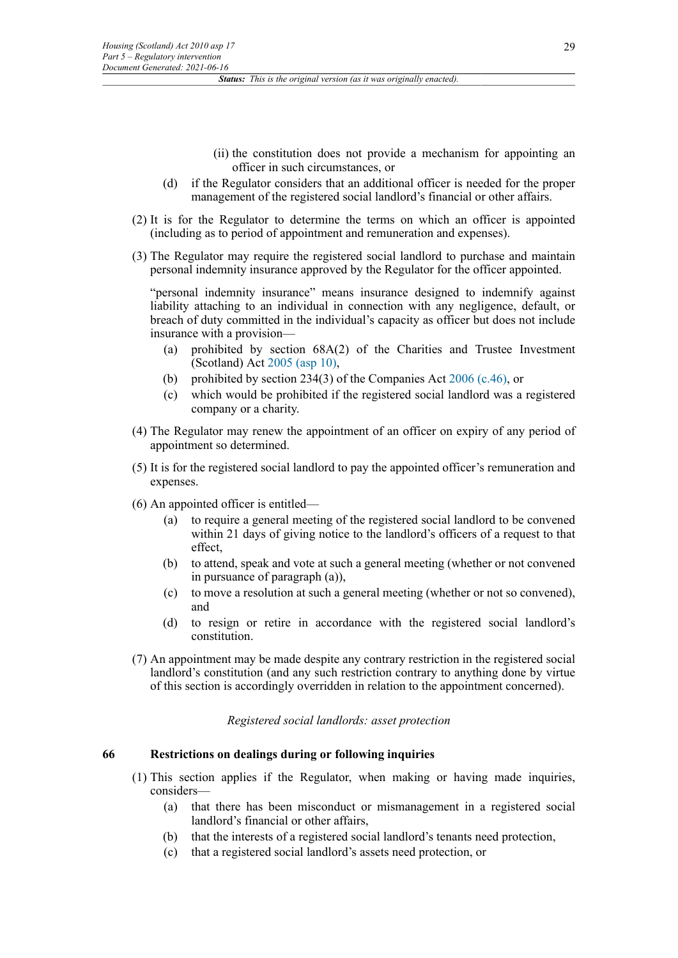- (ii) the constitution does not provide a mechanism for appointing an officer in such circumstances, or
- (d) if the Regulator considers that an additional officer is needed for the proper management of the registered social landlord's financial or other affairs.
- (2) It is for the Regulator to determine the terms on which an officer is appointed (including as to period of appointment and remuneration and expenses).
- (3) The Regulator may require the registered social landlord to purchase and maintain personal indemnity insurance approved by the Regulator for the officer appointed.

"personal indemnity insurance" means insurance designed to indemnify against liability attaching to an individual in connection with any negligence, default, or breach of duty committed in the individual's capacity as officer but does not include insurance with a provision—

- (a) prohibited by section 68A(2) of the Charities and Trustee Investment (Scotland) Act [2005 \(asp 10\),](http://www.legislation.gov.uk/id/asp/2005/10)
- (b) prohibited by section 234(3) of the Companies Act [2006 \(c.46\)](http://www.legislation.gov.uk/id/ukpga/2006/46), or
- (c) which would be prohibited if the registered social landlord was a registered company or a charity.
- (4) The Regulator may renew the appointment of an officer on expiry of any period of appointment so determined.
- (5) It is for the registered social landlord to pay the appointed officer's remuneration and expenses.
- (6) An appointed officer is entitled—
	- (a) to require a general meeting of the registered social landlord to be convened within 21 days of giving notice to the landlord's officers of a request to that effect,
	- (b) to attend, speak and vote at such a general meeting (whether or not convened in pursuance of paragraph (a)),
	- (c) to move a resolution at such a general meeting (whether or not so convened), and
	- (d) to resign or retire in accordance with the registered social landlord's constitution.
- (7) An appointment may be made despite any contrary restriction in the registered social landlord's constitution (and any such restriction contrary to anything done by virtue of this section is accordingly overridden in relation to the appointment concerned).

*Registered social landlords: asset protection*

# **66 Restrictions on dealings during or following inquiries**

- (1) This section applies if the Regulator, when making or having made inquiries, considers—
	- (a) that there has been misconduct or mismanagement in a registered social landlord's financial or other affairs,
	- (b) that the interests of a registered social landlord's tenants need protection,
	- (c) that a registered social landlord's assets need protection, or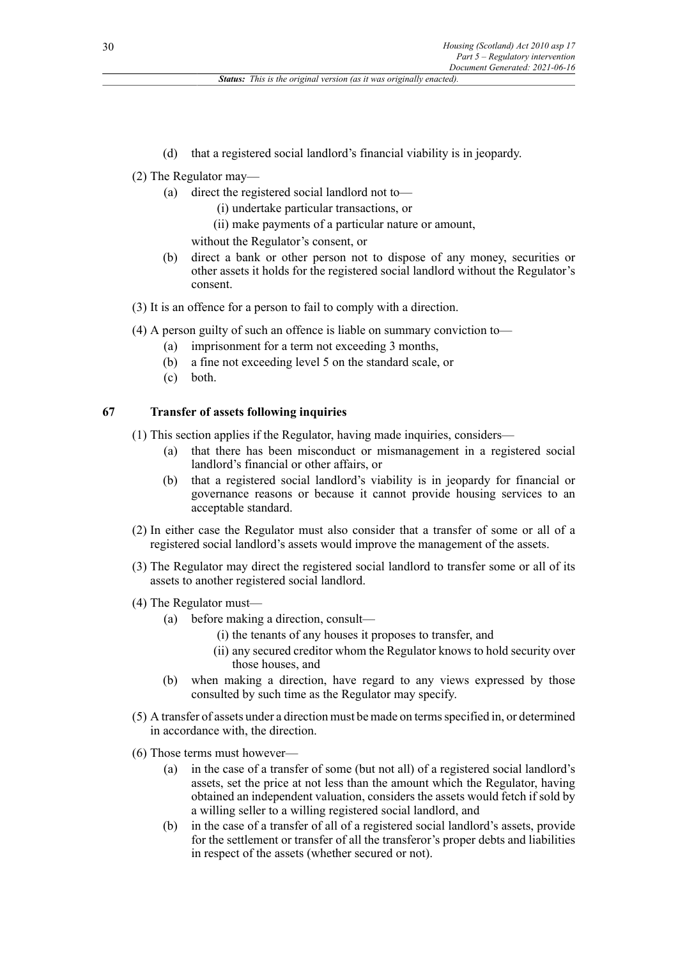- (d) that a registered social landlord's financial viability is in jeopardy.
- (2) The Regulator may—
	- (a) direct the registered social landlord not to—
		- (i) undertake particular transactions, or
		- (ii) make payments of a particular nature or amount,

without the Regulator's consent, or

- (b) direct a bank or other person not to dispose of any money, securities or other assets it holds for the registered social landlord without the Regulator's consent.
- (3) It is an offence for a person to fail to comply with a direction.
- (4) A person guilty of such an offence is liable on summary conviction to—
	- (a) imprisonment for a term not exceeding 3 months,
	- (b) a fine not exceeding level 5 on the standard scale, or
	- (c) both.

### **67 Transfer of assets following inquiries**

- (1) This section applies if the Regulator, having made inquiries, considers—
	- (a) that there has been misconduct or mismanagement in a registered social landlord's financial or other affairs, or
	- (b) that a registered social landlord's viability is in jeopardy for financial or governance reasons or because it cannot provide housing services to an acceptable standard.
- (2) In either case the Regulator must also consider that a transfer of some or all of a registered social landlord's assets would improve the management of the assets.
- (3) The Regulator may direct the registered social landlord to transfer some or all of its assets to another registered social landlord.
- (4) The Regulator must—
	- (a) before making a direction, consult—
		- (i) the tenants of any houses it proposes to transfer, and
		- (ii) any secured creditor whom the Regulator knows to hold security over those houses, and
	- (b) when making a direction, have regard to any views expressed by those consulted by such time as the Regulator may specify.
- (5) A transfer of assets under a direction must be made on terms specified in, or determined in accordance with, the direction.
- (6) Those terms must however—
	- (a) in the case of a transfer of some (but not all) of a registered social landlord's assets, set the price at not less than the amount which the Regulator, having obtained an independent valuation, considers the assets would fetch if sold by a willing seller to a willing registered social landlord, and
	- (b) in the case of a transfer of all of a registered social landlord's assets, provide for the settlement or transfer of all the transferor's proper debts and liabilities in respect of the assets (whether secured or not).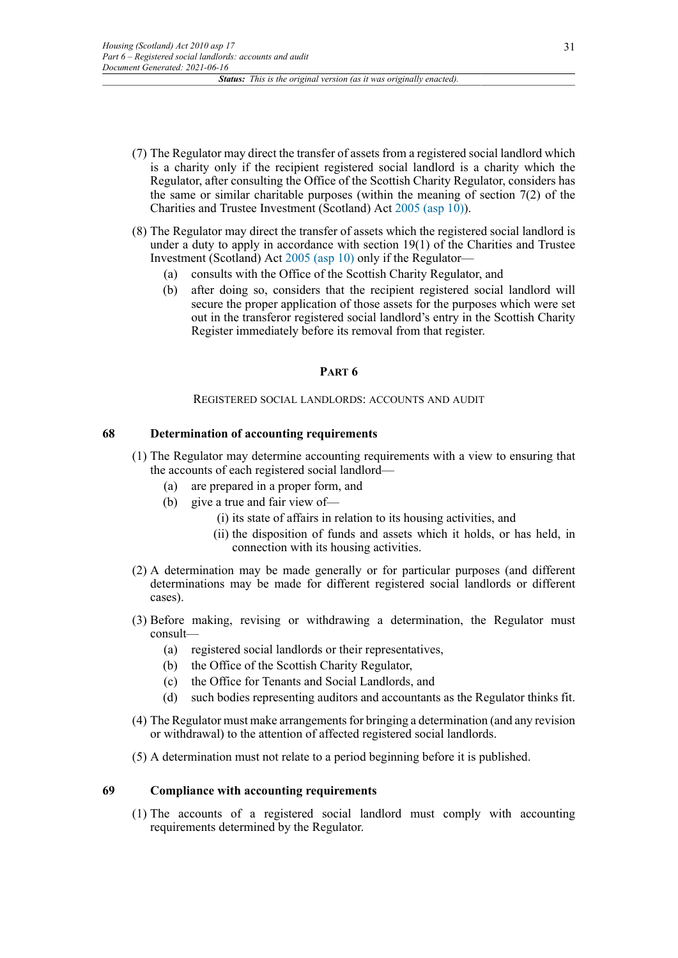- (7) The Regulator may direct the transfer of assets from a registered social landlord which is a charity only if the recipient registered social landlord is a charity which the Regulator, after consulting the Office of the Scottish Charity Regulator, considers has the same or similar charitable purposes (within the meaning of section  $7(2)$  of the Charities and Trustee Investment (Scotland) Act [2005 \(asp 10\)\)](http://www.legislation.gov.uk/id/asp/2005/10).
- (8) The Regulator may direct the transfer of assets which the registered social landlord is under a duty to apply in accordance with section  $19(1)$  of the Charities and Trustee Investment (Scotland) Act [2005 \(asp 10\)](http://www.legislation.gov.uk/id/asp/2005/10) only if the Regulator—
	- (a) consults with the Office of the Scottish Charity Regulator, and
	- (b) after doing so, considers that the recipient registered social landlord will secure the proper application of those assets for the purposes which were set out in the transferor registered social landlord's entry in the Scottish Charity Register immediately before its removal from that register.

### **PART 6**

### REGISTERED SOCIAL LANDLORDS: ACCOUNTS AND AUDIT

### **68 Determination of accounting requirements**

- (1) The Regulator may determine accounting requirements with a view to ensuring that the accounts of each registered social landlord—
	- (a) are prepared in a proper form, and
	- (b) give a true and fair view of—
		- (i) its state of affairs in relation to its housing activities, and
		- (ii) the disposition of funds and assets which it holds, or has held, in connection with its housing activities.
- (2) A determination may be made generally or for particular purposes (and different determinations may be made for different registered social landlords or different cases).
- (3) Before making, revising or withdrawing a determination, the Regulator must consult—
	- (a) registered social landlords or their representatives,
	- (b) the Office of the Scottish Charity Regulator,
	- (c) the Office for Tenants and Social Landlords, and
	- (d) such bodies representing auditors and accountants as the Regulator thinks fit.
- (4) The Regulator must make arrangements for bringing a determination (and any revision or withdrawal) to the attention of affected registered social landlords.
- (5) A determination must not relate to a period beginning before it is published.

# **69 Compliance with accounting requirements**

(1) The accounts of a registered social landlord must comply with accounting requirements determined by the Regulator.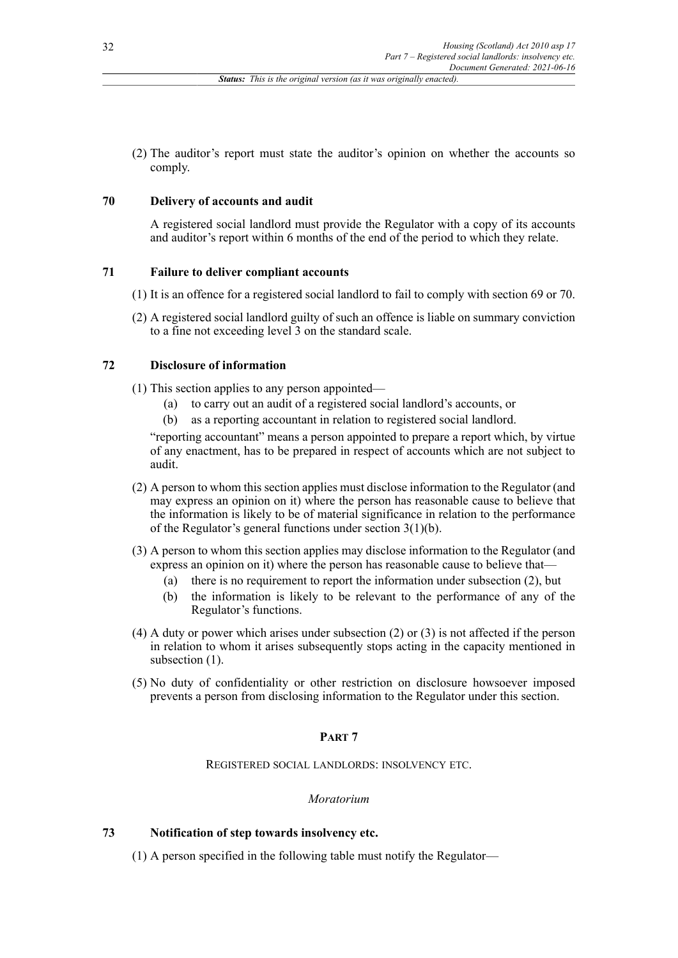(2) The auditor's report must state the auditor's opinion on whether the accounts so comply.

### **70 Delivery of accounts and audit**

A registered social landlord must provide the Regulator with a copy of its accounts and auditor's report within 6 months of the end of the period to which they relate.

### **71 Failure to deliver compliant accounts**

- (1) It is an offence for a registered social landlord to fail to comply with section 69 or 70.
- (2) A registered social landlord guilty of such an offence is liable on summary conviction to a fine not exceeding level 3 on the standard scale.

# **72 Disclosure of information**

(1) This section applies to any person appointed—

- (a) to carry out an audit of a registered social landlord's accounts, or
- (b) as a reporting accountant in relation to registered social landlord.

"reporting accountant" means a person appointed to prepare a report which, by virtue of any enactment, has to be prepared in respect of accounts which are not subject to audit.

- (2) A person to whom this section applies must disclose information to the Regulator (and may express an opinion on it) where the person has reasonable cause to believe that the information is likely to be of material significance in relation to the performance of the Regulator's general functions under section 3(1)(b).
- (3) A person to whom this section applies may disclose information to the Regulator (and express an opinion on it) where the person has reasonable cause to believe that—
	- (a) there is no requirement to report the information under subsection (2), but
	- (b) the information is likely to be relevant to the performance of any of the Regulator's functions.
- (4) A duty or power which arises under subsection (2) or (3) is not affected if the person in relation to whom it arises subsequently stops acting in the capacity mentioned in subsection  $(1)$ .
- (5) No duty of confidentiality or other restriction on disclosure howsoever imposed prevents a person from disclosing information to the Regulator under this section.

# **PART 7**

REGISTERED SOCIAL LANDLORDS: INSOLVENCY ETC.

### *Moratorium*

# **73 Notification of step towards insolvency etc.**

(1) A person specified in the following table must notify the Regulator—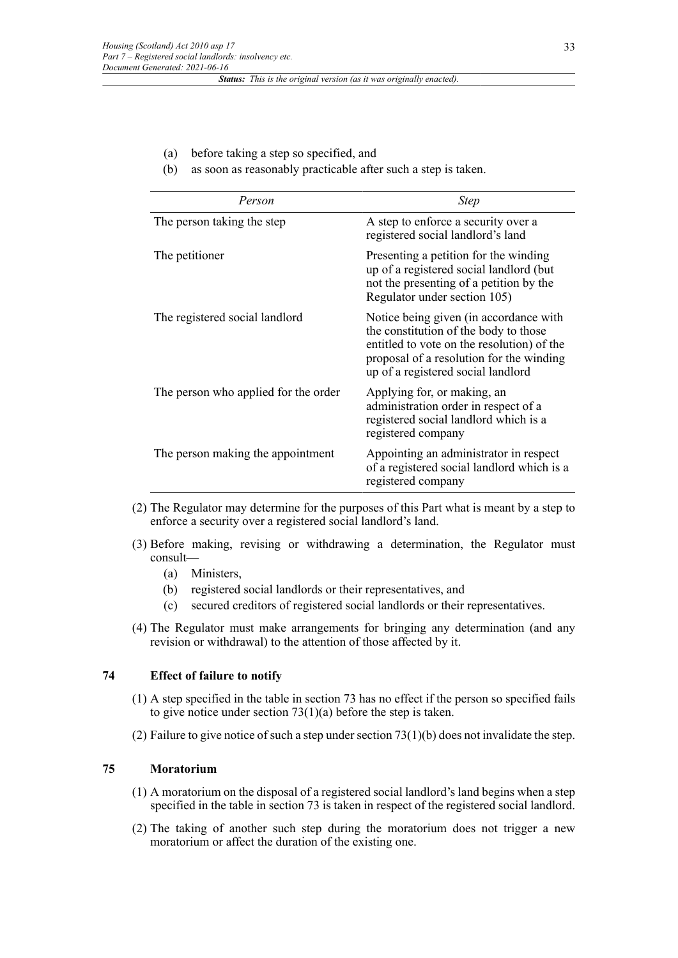- (a) before taking a step so specified, and
- (b) as soon as reasonably practicable after such a step is taken.

| Person                               | <b>Step</b>                                                                                                                                                                                                     |
|--------------------------------------|-----------------------------------------------------------------------------------------------------------------------------------------------------------------------------------------------------------------|
| The person taking the step           | A step to enforce a security over a<br>registered social landlord's land                                                                                                                                        |
| The petitioner                       | Presenting a petition for the winding<br>up of a registered social landlord (but<br>not the presenting of a petition by the<br>Regulator under section 105)                                                     |
| The registered social landlord       | Notice being given (in accordance with<br>the constitution of the body to those<br>entitled to vote on the resolution) of the<br>proposal of a resolution for the winding<br>up of a registered social landlord |
| The person who applied for the order | Applying for, or making, an<br>administration order in respect of a<br>registered social landlord which is a<br>registered company                                                                              |
| The person making the appointment    | Appointing an administrator in respect<br>of a registered social landlord which is a<br>registered company                                                                                                      |

- (2) The Regulator may determine for the purposes of this Part what is meant by a step to enforce a security over a registered social landlord's land.
- (3) Before making, revising or withdrawing a determination, the Regulator must consult—
	- (a) Ministers,
	- (b) registered social landlords or their representatives, and
	- (c) secured creditors of registered social landlords or their representatives.
- (4) The Regulator must make arrangements for bringing any determination (and any revision or withdrawal) to the attention of those affected by it.

# **74 Effect of failure to notify**

- (1) A step specified in the table in section 73 has no effect if the person so specified fails to give notice under section 73(1)(a) before the step is taken.
- (2) Failure to give notice of such a step under section  $73(1)(b)$  does not invalidate the step.

# **75 Moratorium**

- (1) A moratorium on the disposal of a registered social landlord's land begins when a step specified in the table in section 73 is taken in respect of the registered social landlord.
- (2) The taking of another such step during the moratorium does not trigger a new moratorium or affect the duration of the existing one.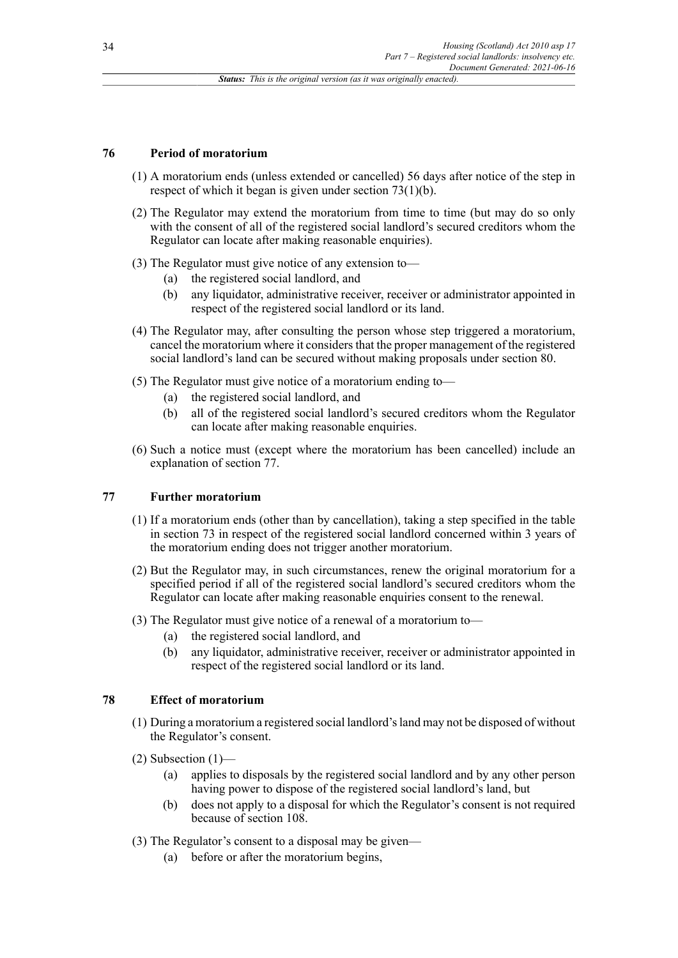### **76 Period of moratorium**

- (1) A moratorium ends (unless extended or cancelled) 56 days after notice of the step in respect of which it began is given under section 73(1)(b).
- (2) The Regulator may extend the moratorium from time to time (but may do so only with the consent of all of the registered social landlord's secured creditors whom the Regulator can locate after making reasonable enquiries).
- (3) The Regulator must give notice of any extension to—
	- (a) the registered social landlord, and
	- (b) any liquidator, administrative receiver, receiver or administrator appointed in respect of the registered social landlord or its land.
- (4) The Regulator may, after consulting the person whose step triggered a moratorium, cancel the moratorium where it considers that the proper management of the registered social landlord's land can be secured without making proposals under section 80.
- (5) The Regulator must give notice of a moratorium ending to—
	- (a) the registered social landlord, and
	- (b) all of the registered social landlord's secured creditors whom the Regulator can locate after making reasonable enquiries.
- (6) Such a notice must (except where the moratorium has been cancelled) include an explanation of section 77.

### **77 Further moratorium**

- (1) If a moratorium ends (other than by cancellation), taking a step specified in the table in section 73 in respect of the registered social landlord concerned within 3 years of the moratorium ending does not trigger another moratorium.
- (2) But the Regulator may, in such circumstances, renew the original moratorium for a specified period if all of the registered social landlord's secured creditors whom the Regulator can locate after making reasonable enquiries consent to the renewal.
- (3) The Regulator must give notice of a renewal of a moratorium to—
	- (a) the registered social landlord, and
	- (b) any liquidator, administrative receiver, receiver or administrator appointed in respect of the registered social landlord or its land.

#### **78 Effect of moratorium**

- (1) During a moratorium a registered social landlord'sland may not be disposed of without the Regulator's consent.
- $(2)$  Subsection  $(1)$ 
	- (a) applies to disposals by the registered social landlord and by any other person having power to dispose of the registered social landlord's land, but
	- (b) does not apply to a disposal for which the Regulator's consent is not required because of section 108.
- (3) The Regulator's consent to a disposal may be given—
	- (a) before or after the moratorium begins,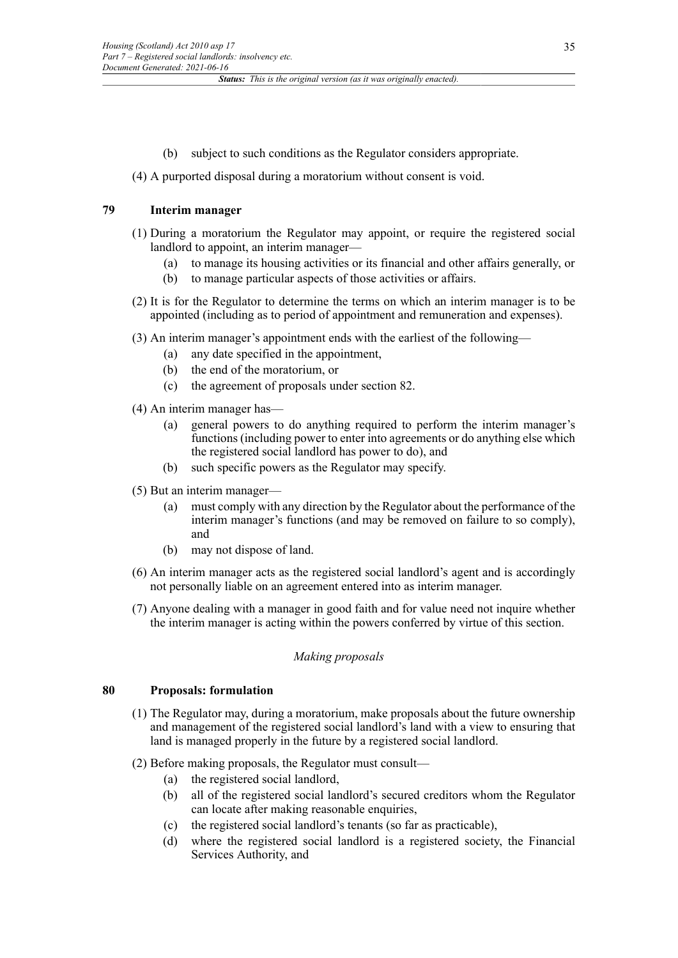(b) subject to such conditions as the Regulator considers appropriate.

# (4) A purported disposal during a moratorium without consent is void.

# **79 Interim manager**

- (1) During a moratorium the Regulator may appoint, or require the registered social landlord to appoint, an interim manager—
	- (a) to manage its housing activities or its financial and other affairs generally, or
	- (b) to manage particular aspects of those activities or affairs.
- (2) It is for the Regulator to determine the terms on which an interim manager is to be appointed (including as to period of appointment and remuneration and expenses).
- (3) An interim manager's appointment ends with the earliest of the following—
	- (a) any date specified in the appointment,
	- (b) the end of the moratorium, or
	- (c) the agreement of proposals under section 82.
- (4) An interim manager has—
	- (a) general powers to do anything required to perform the interim manager's functions (including power to enter into agreements or do anything else which the registered social landlord has power to do), and
	- (b) such specific powers as the Regulator may specify.
- (5) But an interim manager—
	- (a) must comply with any direction by the Regulator about the performance of the interim manager's functions (and may be removed on failure to so comply), and
	- (b) may not dispose of land.
- (6) An interim manager acts as the registered social landlord's agent and is accordingly not personally liable on an agreement entered into as interim manager.
- (7) Anyone dealing with a manager in good faith and for value need not inquire whether the interim manager is acting within the powers conferred by virtue of this section.

### *Making proposals*

# **80 Proposals: formulation**

- (1) The Regulator may, during a moratorium, make proposals about the future ownership and management of the registered social landlord's land with a view to ensuring that land is managed properly in the future by a registered social landlord.
- (2) Before making proposals, the Regulator must consult—
	- (a) the registered social landlord,
	- (b) all of the registered social landlord's secured creditors whom the Regulator can locate after making reasonable enquiries,
	- (c) the registered social landlord's tenants (so far as practicable),
	- (d) where the registered social landlord is a registered society, the Financial Services Authority, and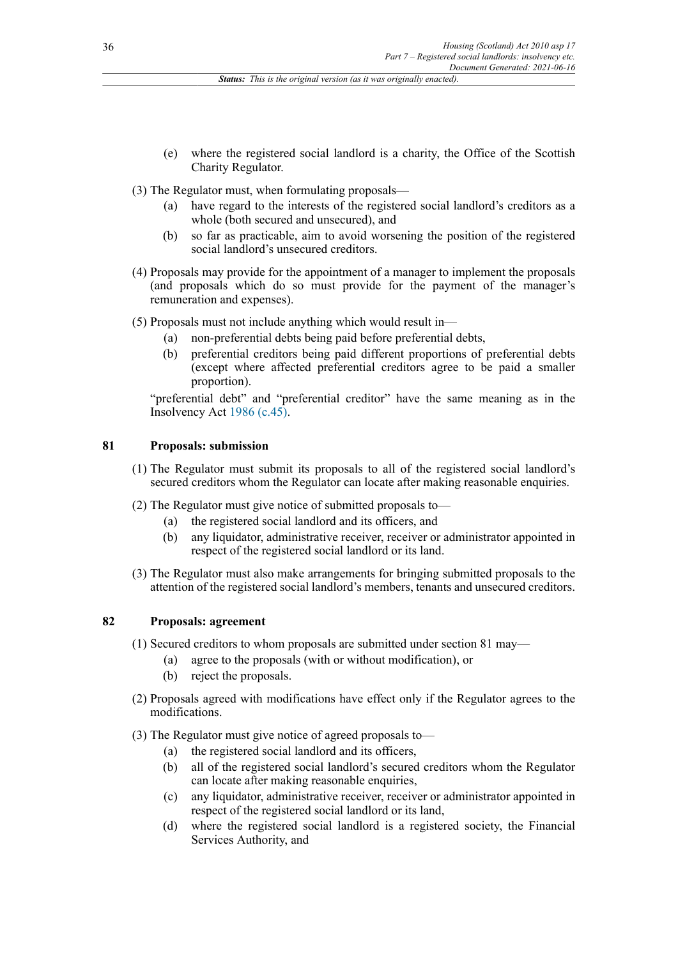- (e) where the registered social landlord is a charity, the Office of the Scottish Charity Regulator.
- (3) The Regulator must, when formulating proposals—
	- (a) have regard to the interests of the registered social landlord's creditors as a whole (both secured and unsecured), and
	- (b) so far as practicable, aim to avoid worsening the position of the registered social landlord's unsecured creditors.
- (4) Proposals may provide for the appointment of a manager to implement the proposals (and proposals which do so must provide for the payment of the manager's remuneration and expenses).
- (5) Proposals must not include anything which would result in—
	- (a) non-preferential debts being paid before preferential debts,
	- (b) preferential creditors being paid different proportions of preferential debts (except where affected preferential creditors agree to be paid a smaller proportion).

"preferential debt" and "preferential creditor" have the same meaning as in the Insolvency Act [1986 \(c.45\)](http://www.legislation.gov.uk/id/ukpga/1986/45).

## **81 Proposals: submission**

- (1) The Regulator must submit its proposals to all of the registered social landlord's secured creditors whom the Regulator can locate after making reasonable enquiries.
- (2) The Regulator must give notice of submitted proposals to—
	- (a) the registered social landlord and its officers, and
	- (b) any liquidator, administrative receiver, receiver or administrator appointed in respect of the registered social landlord or its land.
- (3) The Regulator must also make arrangements for bringing submitted proposals to the attention of the registered social landlord's members, tenants and unsecured creditors.

# **82 Proposals: agreement**

(1) Secured creditors to whom proposals are submitted under section 81 may—

- (a) agree to the proposals (with or without modification), or
- (b) reject the proposals.
- (2) Proposals agreed with modifications have effect only if the Regulator agrees to the modifications.
- (3) The Regulator must give notice of agreed proposals to—
	- (a) the registered social landlord and its officers,
	- (b) all of the registered social landlord's secured creditors whom the Regulator can locate after making reasonable enquiries,
	- (c) any liquidator, administrative receiver, receiver or administrator appointed in respect of the registered social landlord or its land,
	- (d) where the registered social landlord is a registered society, the Financial Services Authority, and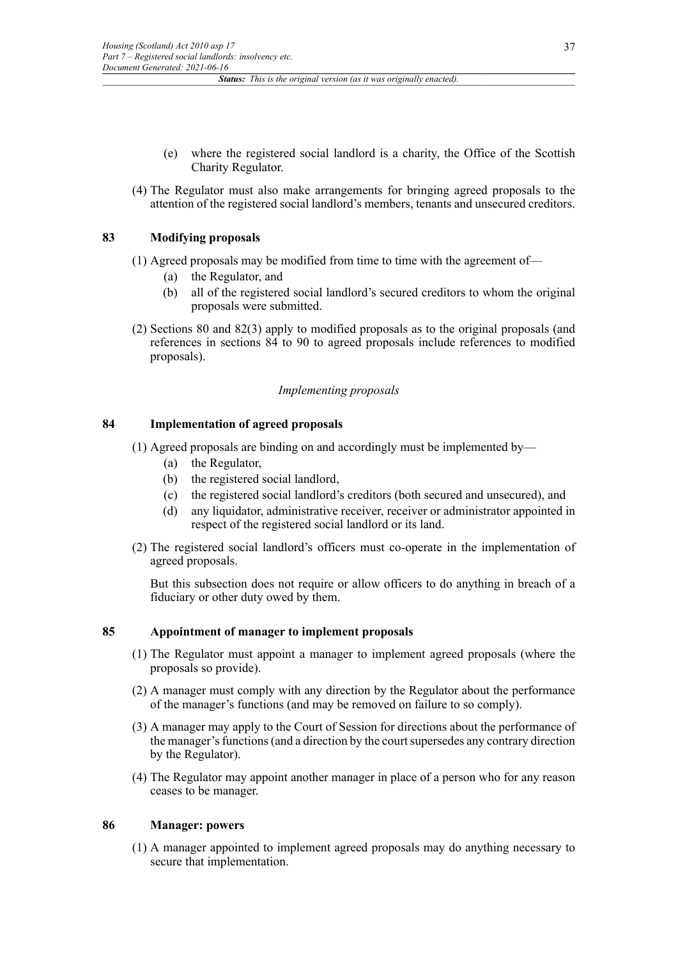- (e) where the registered social landlord is a charity, the Office of the Scottish Charity Regulator.
- (4) The Regulator must also make arrangements for bringing agreed proposals to the attention of the registered social landlord's members, tenants and unsecured creditors.

### **83 Modifying proposals**

- (1) Agreed proposals may be modified from time to time with the agreement of—
	- (a) the Regulator, and
	- (b) all of the registered social landlord's secured creditors to whom the original proposals were submitted.
- (2) Sections 80 and 82(3) apply to modified proposals as to the original proposals (and references in sections 84 to 90 to agreed proposals include references to modified proposals).

### *Implementing proposals*

### **84 Implementation of agreed proposals**

- (1) Agreed proposals are binding on and accordingly must be implemented by—
	- (a) the Regulator,
	- (b) the registered social landlord,
	- (c) the registered social landlord's creditors (both secured and unsecured), and
	- (d) any liquidator, administrative receiver, receiver or administrator appointed in respect of the registered social landlord or its land.
- (2) The registered social landlord's officers must co-operate in the implementation of agreed proposals.

But this subsection does not require or allow officers to do anything in breach of a fiduciary or other duty owed by them.

### **85 Appointment of manager to implement proposals**

- (1) The Regulator must appoint a manager to implement agreed proposals (where the proposals so provide).
- (2) A manager must comply with any direction by the Regulator about the performance of the manager's functions (and may be removed on failure to so comply).
- (3) A manager may apply to the Court of Session for directions about the performance of the manager's functions (and a direction by the court supersedes any contrary direction by the Regulator).
- (4) The Regulator may appoint another manager in place of a person who for any reason ceases to be manager.

### **86 Manager: powers**

(1) A manager appointed to implement agreed proposals may do anything necessary to secure that implementation.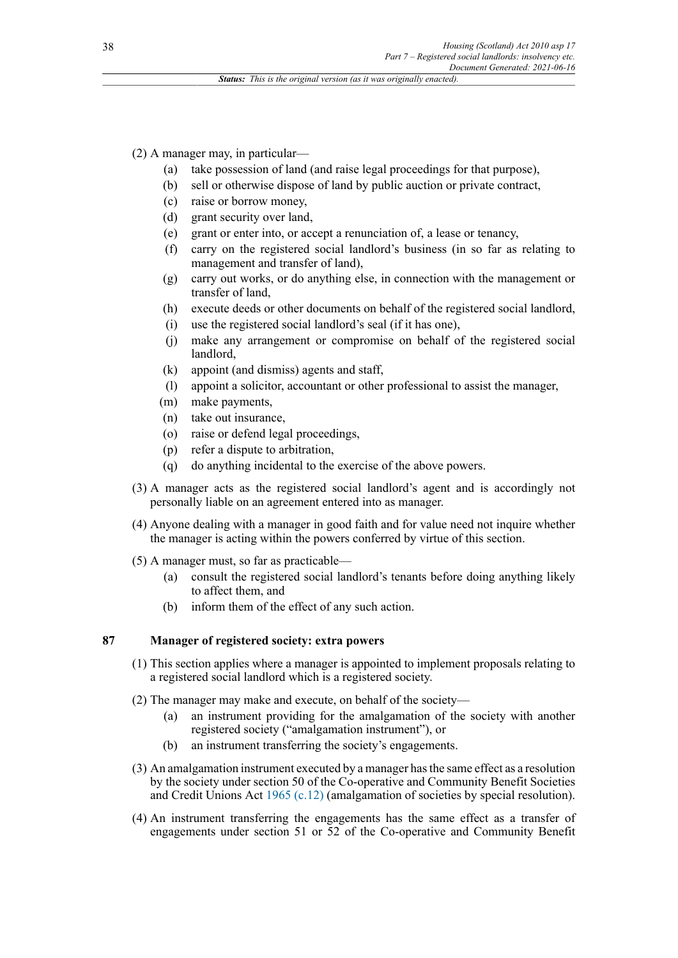(2) A manager may, in particular—

- (a) take possession of land (and raise legal proceedings for that purpose),
- (b) sell or otherwise dispose of land by public auction or private contract,
- (c) raise or borrow money,
- (d) grant security over land,
- (e) grant or enter into, or accept a renunciation of, a lease or tenancy,
- (f) carry on the registered social landlord's business (in so far as relating to management and transfer of land),
- (g) carry out works, or do anything else, in connection with the management or transfer of land,
- (h) execute deeds or other documents on behalf of the registered social landlord,
- (i) use the registered social landlord's seal (if it has one),
- (j) make any arrangement or compromise on behalf of the registered social landlord,
- (k) appoint (and dismiss) agents and staff,
- (l) appoint a solicitor, accountant or other professional to assist the manager,
- (m) make payments,
- (n) take out insurance,
- (o) raise or defend legal proceedings,
- (p) refer a dispute to arbitration,
- (q) do anything incidental to the exercise of the above powers.
- (3) A manager acts as the registered social landlord's agent and is accordingly not personally liable on an agreement entered into as manager.
- (4) Anyone dealing with a manager in good faith and for value need not inquire whether the manager is acting within the powers conferred by virtue of this section.
- (5) A manager must, so far as practicable—
	- (a) consult the registered social landlord's tenants before doing anything likely to affect them, and
	- (b) inform them of the effect of any such action.

# **87 Manager of registered society: extra powers**

- (1) This section applies where a manager is appointed to implement proposals relating to a registered social landlord which is a registered society.
- (2) The manager may make and execute, on behalf of the society—
	- (a) an instrument providing for the amalgamation of the society with another registered society ("amalgamation instrument"), or
	- (b) an instrument transferring the society's engagements.
- (3) An amalgamation instrument executed by a manager hasthe same effect as a resolution by the society under section 50 of the Co-operative and Community Benefit Societies and Credit Unions Act [1965 \(c.12\)](http://www.legislation.gov.uk/id/ukpga/1965/12) (amalgamation of societies by special resolution).
- (4) An instrument transferring the engagements has the same effect as a transfer of engagements under section 51 or 52 of the Co-operative and Community Benefit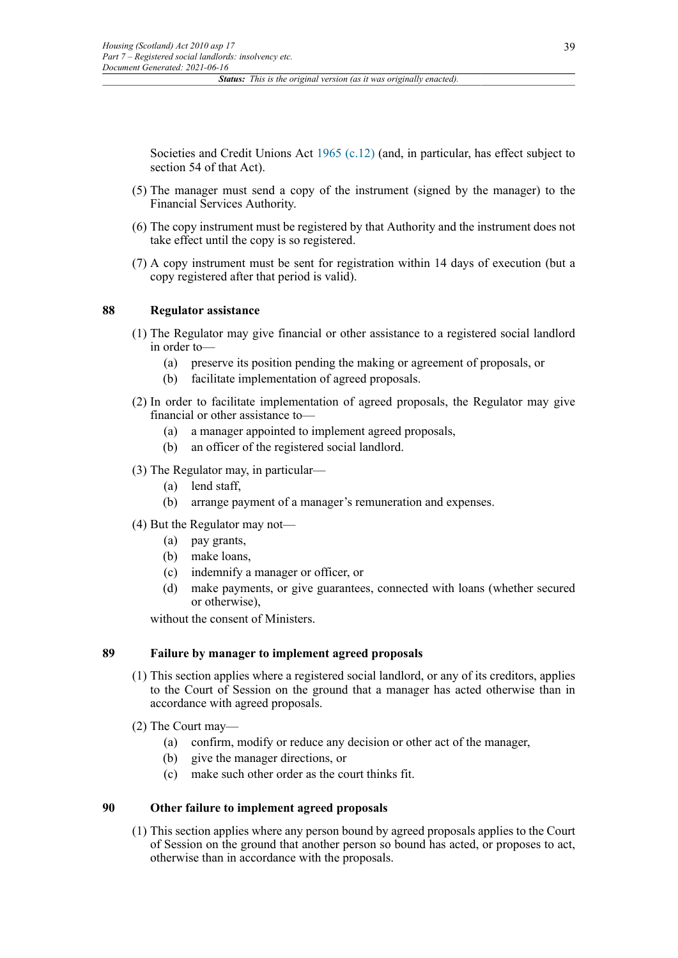Societies and Credit Unions Act [1965 \(c.12\)](http://www.legislation.gov.uk/id/ukpga/1965/12) (and, in particular, has effect subject to section 54 of that Act).

- (5) The manager must send a copy of the instrument (signed by the manager) to the Financial Services Authority.
- (6) The copy instrument must be registered by that Authority and the instrument does not take effect until the copy is so registered.
- (7) A copy instrument must be sent for registration within 14 days of execution (but a copy registered after that period is valid).

### **88 Regulator assistance**

- (1) The Regulator may give financial or other assistance to a registered social landlord in order to—
	- (a) preserve its position pending the making or agreement of proposals, or
	- (b) facilitate implementation of agreed proposals.
- (2) In order to facilitate implementation of agreed proposals, the Regulator may give financial or other assistance to—
	- (a) a manager appointed to implement agreed proposals,
	- (b) an officer of the registered social landlord.
- (3) The Regulator may, in particular—
	- (a) lend staff,
	- (b) arrange payment of a manager's remuneration and expenses.

#### (4) But the Regulator may not—

- (a) pay grants,
- (b) make loans,
- (c) indemnify a manager or officer, or
- (d) make payments, or give guarantees, connected with loans (whether secured or otherwise),

without the consent of Ministers.

### **89 Failure by manager to implement agreed proposals**

- (1) This section applies where a registered social landlord, or any of its creditors, applies to the Court of Session on the ground that a manager has acted otherwise than in accordance with agreed proposals.
- (2) The Court may—
	- (a) confirm, modify or reduce any decision or other act of the manager,
	- (b) give the manager directions, or
	- (c) make such other order as the court thinks fit.

#### **90 Other failure to implement agreed proposals**

(1) This section applies where any person bound by agreed proposals applies to the Court of Session on the ground that another person so bound has acted, or proposes to act, otherwise than in accordance with the proposals.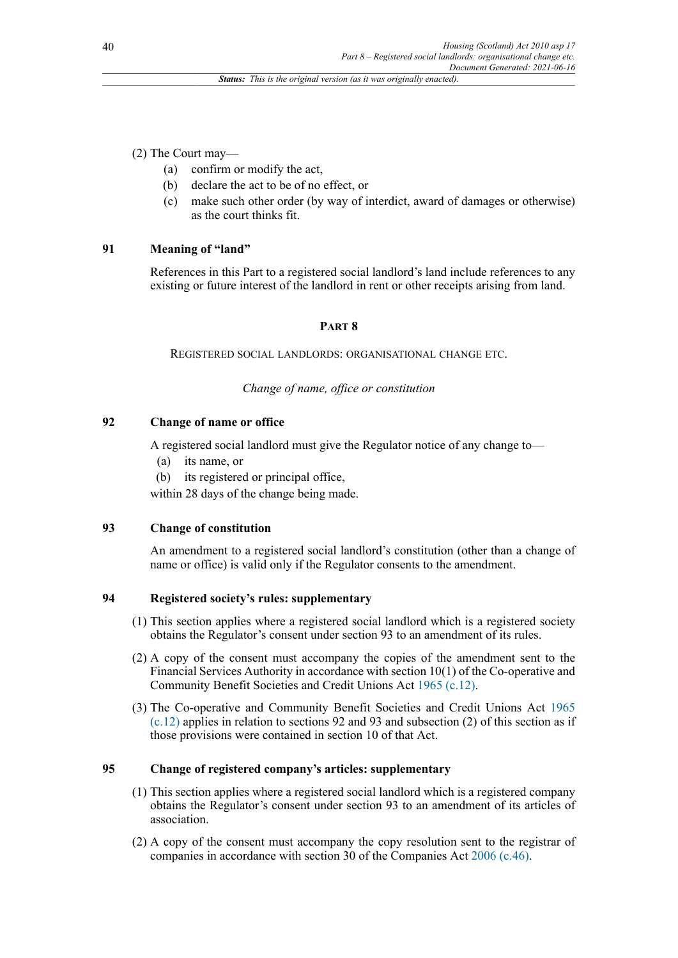(2) The Court may—

- (a) confirm or modify the act,
- (b) declare the act to be of no effect, or
- (c) make such other order (by way of interdict, award of damages or otherwise) as the court thinks fit.

# **91 Meaning of "land"**

References in this Part to a registered social landlord's land include references to any existing or future interest of the landlord in rent or other receipts arising from land.

# **PART 8**

REGISTERED SOCIAL LANDLORDS: ORGANISATIONAL CHANGE ETC.

# *Change of name, office or constitution*

# **92 Change of name or office**

A registered social landlord must give the Regulator notice of any change to—

- (a) its name, or
- (b) its registered or principal office,

within 28 days of the change being made.

# **93 Change of constitution**

An amendment to a registered social landlord's constitution (other than a change of name or office) is valid only if the Regulator consents to the amendment.

# **94 Registered society's rules: supplementary**

- (1) This section applies where a registered social landlord which is a registered society obtains the Regulator's consent under section 93 to an amendment of its rules.
- (2) A copy of the consent must accompany the copies of the amendment sent to the Financial Services Authority in accordance with section 10(1) of the Co-operative and Community Benefit Societies and Credit Unions Act [1965 \(c.12\)](http://www.legislation.gov.uk/id/ukpga/1965/12).
- (3) The Co-operative and Community Benefit Societies and Credit Unions Act [1965](http://www.legislation.gov.uk/id/ukpga/1965/12)  $(c.12)$  applies in relation to sections 92 and 93 and subsection (2) of this section as if those provisions were contained in section 10 of that Act.

# **95 Change of registered company's articles: supplementary**

- (1) This section applies where a registered social landlord which is a registered company obtains the Regulator's consent under section 93 to an amendment of its articles of association.
- (2) A copy of the consent must accompany the copy resolution sent to the registrar of companies in accordance with section 30 of the Companies Act [2006 \(c.46\).](http://www.legislation.gov.uk/id/ukpga/2006/46)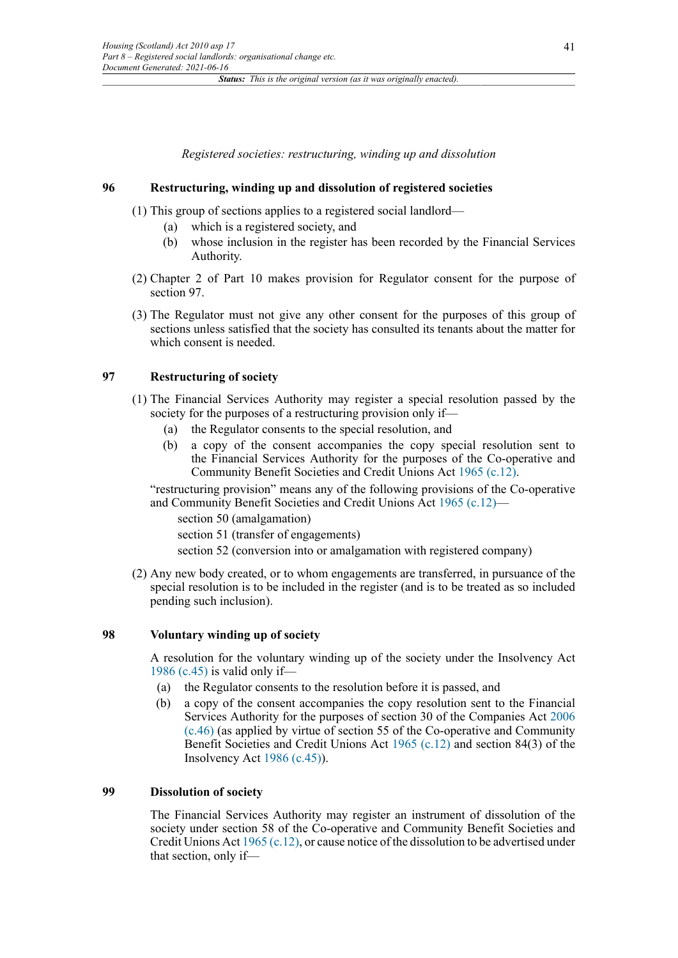*Registered societies: restructuring, winding up and dissolution*

#### **96 Restructuring, winding up and dissolution of registered societies**

(1) This group of sections applies to a registered social landlord—

- (a) which is a registered society, and
- (b) whose inclusion in the register has been recorded by the Financial Services Authority.
- (2) Chapter 2 of Part 10 makes provision for Regulator consent for the purpose of section 97.
- (3) The Regulator must not give any other consent for the purposes of this group of sections unless satisfied that the society has consulted its tenants about the matter for which consent is needed.

#### **97 Restructuring of society**

- (1) The Financial Services Authority may register a special resolution passed by the society for the purposes of a restructuring provision only if—
	- (a) the Regulator consents to the special resolution, and
	- (b) a copy of the consent accompanies the copy special resolution sent to the Financial Services Authority for the purposes of the Co-operative and Community Benefit Societies and Credit Unions Act [1965 \(c.12\)](http://www.legislation.gov.uk/id/ukpga/1965/12).

"restructuring provision" means any of the following provisions of the Co-operative and Community Benefit Societies and Credit Unions Act [1965 \(c.12\)](http://www.legislation.gov.uk/id/ukpga/1965/12)—

section 50 (amalgamation)

section 51 (transfer of engagements)

section 52 (conversion into or amalgamation with registered company)

(2) Any new body created, or to whom engagements are transferred, in pursuance of the special resolution is to be included in the register (and is to be treated as so included pending such inclusion).

#### **98 Voluntary winding up of society**

A resolution for the voluntary winding up of the society under the Insolvency Act [1986 \(c.45\)](http://www.legislation.gov.uk/id/ukpga/1986/45) is valid only if—

- (a) the Regulator consents to the resolution before it is passed, and
- (b) a copy of the consent accompanies the copy resolution sent to the Financial Services Authority for the purposes of section 30 of the Companies Act [2006](http://www.legislation.gov.uk/id/ukpga/2006/46) [\(c.46\)](http://www.legislation.gov.uk/id/ukpga/2006/46) (as applied by virtue of section 55 of the Co-operative and Community Benefit Societies and Credit Unions Act [1965 \(c.12\)](http://www.legislation.gov.uk/id/ukpga/1965/12) and section 84(3) of the Insolvency Act [1986 \(c.45\)](http://www.legislation.gov.uk/id/ukpga/1986/45)).

#### **99 Dissolution of society**

The Financial Services Authority may register an instrument of dissolution of the society under section 58 of the Co-operative and Community Benefit Societies and Credit Unions Act [1965 \(c.12\),](http://www.legislation.gov.uk/id/ukpga/1965/12) or cause notice of the dissolution to be advertised under that section, only if—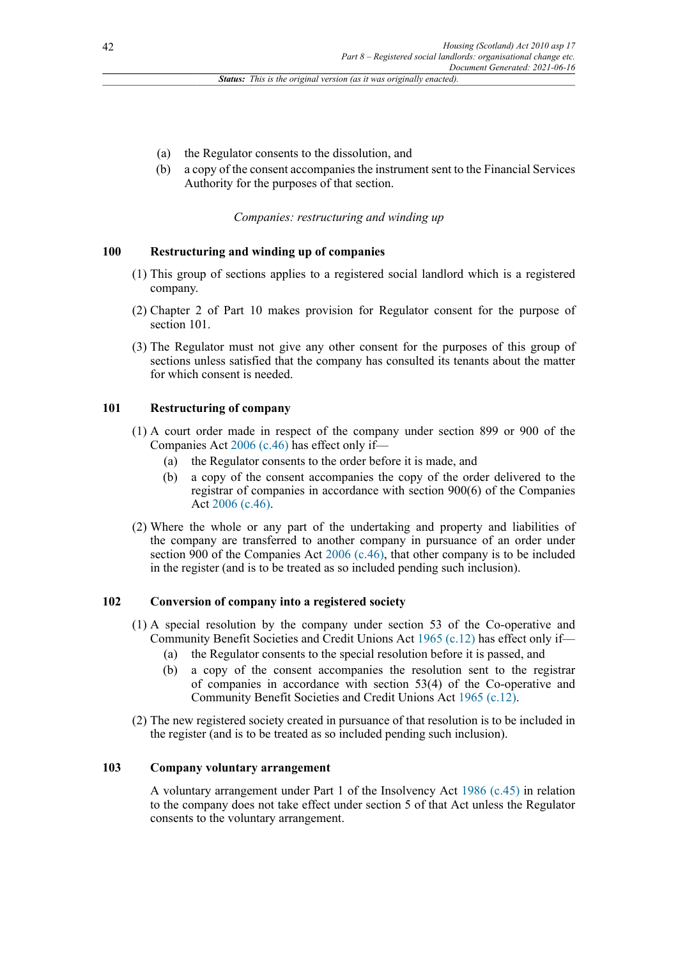- (a) the Regulator consents to the dissolution, and
- (b) a copy of the consent accompanies the instrument sent to the Financial Services Authority for the purposes of that section.

*Companies: restructuring and winding up*

#### **100 Restructuring and winding up of companies**

- (1) This group of sections applies to a registered social landlord which is a registered company.
- (2) Chapter 2 of Part 10 makes provision for Regulator consent for the purpose of section 101.
- (3) The Regulator must not give any other consent for the purposes of this group of sections unless satisfied that the company has consulted its tenants about the matter for which consent is needed.

#### **101 Restructuring of company**

- (1) A court order made in respect of the company under section 899 or 900 of the Companies Act [2006 \(c.46\)](http://www.legislation.gov.uk/id/ukpga/2006/46) has effect only if––
	- (a) the Regulator consents to the order before it is made, and
	- (b) a copy of the consent accompanies the copy of the order delivered to the registrar of companies in accordance with section 900(6) of the Companies Act [2006 \(c.46\)](http://www.legislation.gov.uk/id/ukpga/2006/46).
- (2) Where the whole or any part of the undertaking and property and liabilities of the company are transferred to another company in pursuance of an order under section  $900$  of the Companies Act  $2006$  (c.46), that other company is to be included in the register (and is to be treated as so included pending such inclusion).

#### **102 Conversion of company into a registered society**

- (1) A special resolution by the company under section 53 of the Co-operative and Community Benefit Societies and Credit Unions Act [1965 \(c.12\)](http://www.legislation.gov.uk/id/ukpga/1965/12) has effect only if––
	- (a) the Regulator consents to the special resolution before it is passed, and
	- (b) a copy of the consent accompanies the resolution sent to the registrar of companies in accordance with section 53(4) of the Co-operative and Community Benefit Societies and Credit Unions Act [1965 \(c.12\)](http://www.legislation.gov.uk/id/ukpga/1965/12).
- (2) The new registered society created in pursuance of that resolution is to be included in the register (and is to be treated as so included pending such inclusion).

### **103 Company voluntary arrangement**

A voluntary arrangement under Part 1 of the Insolvency Act [1986 \(c.45\)](http://www.legislation.gov.uk/id/ukpga/1986/45) in relation to the company does not take effect under section 5 of that Act unless the Regulator consents to the voluntary arrangement.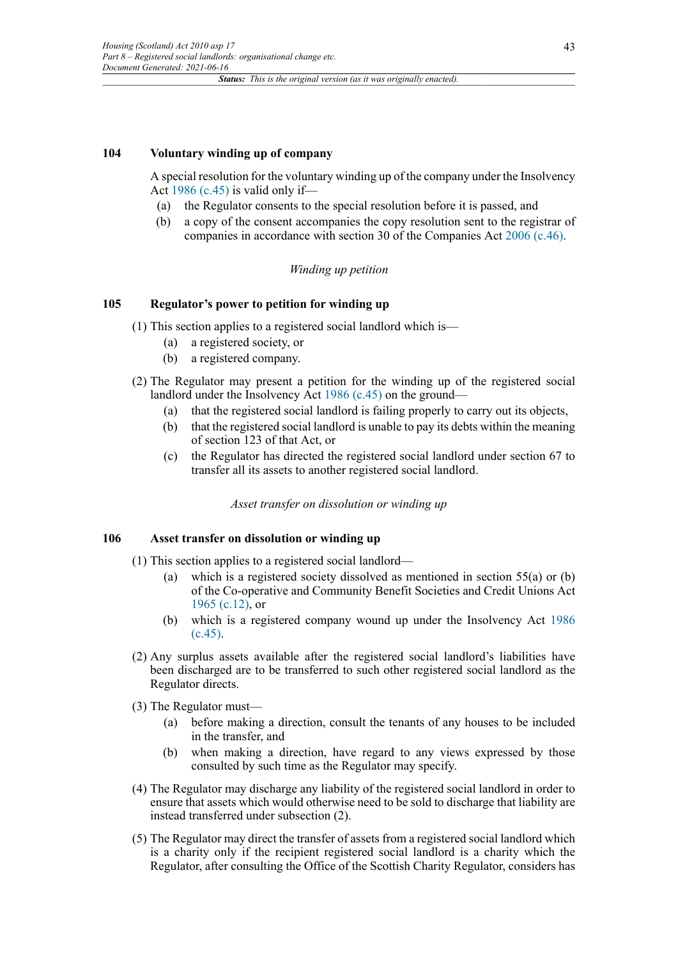### **104 Voluntary winding up of company**

A special resolution for the voluntary winding up of the company under the Insolvency Act [1986 \(c.45\)](http://www.legislation.gov.uk/id/ukpga/1986/45) is valid only if—

- (a) the Regulator consents to the special resolution before it is passed, and
- (b) a copy of the consent accompanies the copy resolution sent to the registrar of companies in accordance with section 30 of the Companies Act [2006 \(c.46\).](http://www.legislation.gov.uk/id/ukpga/2006/46)

#### *Winding up petition*

### **105 Regulator's power to petition for winding up**

- (1) This section applies to a registered social landlord which is—
	- (a) a registered society, or
	- (b) a registered company.
- (2) The Regulator may present a petition for the winding up of the registered social landlord under the Insolvency Act [1986 \(c.45\)](http://www.legislation.gov.uk/id/ukpga/1986/45) on the ground—
	- (a) that the registered social landlord is failing properly to carry out its objects,
	- (b) that the registered social landlord is unable to pay its debts within the meaning of section 123 of that Act, or
	- (c) the Regulator has directed the registered social landlord under section 67 to transfer all its assets to another registered social landlord.

*Asset transfer on dissolution or winding up*

# **106 Asset transfer on dissolution or winding up**

- (1) This section applies to a registered social landlord—
	- (a) which is a registered society dissolved as mentioned in section 55(a) or (b) of the Co-operative and Community Benefit Societies and Credit Unions Act [1965 \(c.12\),](http://www.legislation.gov.uk/id/ukpga/1965/12) or
	- (b) which is a registered company wound up under the Insolvency Act [1986](http://www.legislation.gov.uk/id/ukpga/1986/45) [\(c.45\).](http://www.legislation.gov.uk/id/ukpga/1986/45)
- (2) Any surplus assets available after the registered social landlord's liabilities have been discharged are to be transferred to such other registered social landlord as the Regulator directs.
- (3) The Regulator must—
	- (a) before making a direction, consult the tenants of any houses to be included in the transfer, and
	- (b) when making a direction, have regard to any views expressed by those consulted by such time as the Regulator may specify.
- (4) The Regulator may discharge any liability of the registered social landlord in order to ensure that assets which would otherwise need to be sold to discharge that liability are instead transferred under subsection (2).
- (5) The Regulator may direct the transfer of assets from a registered social landlord which is a charity only if the recipient registered social landlord is a charity which the Regulator, after consulting the Office of the Scottish Charity Regulator, considers has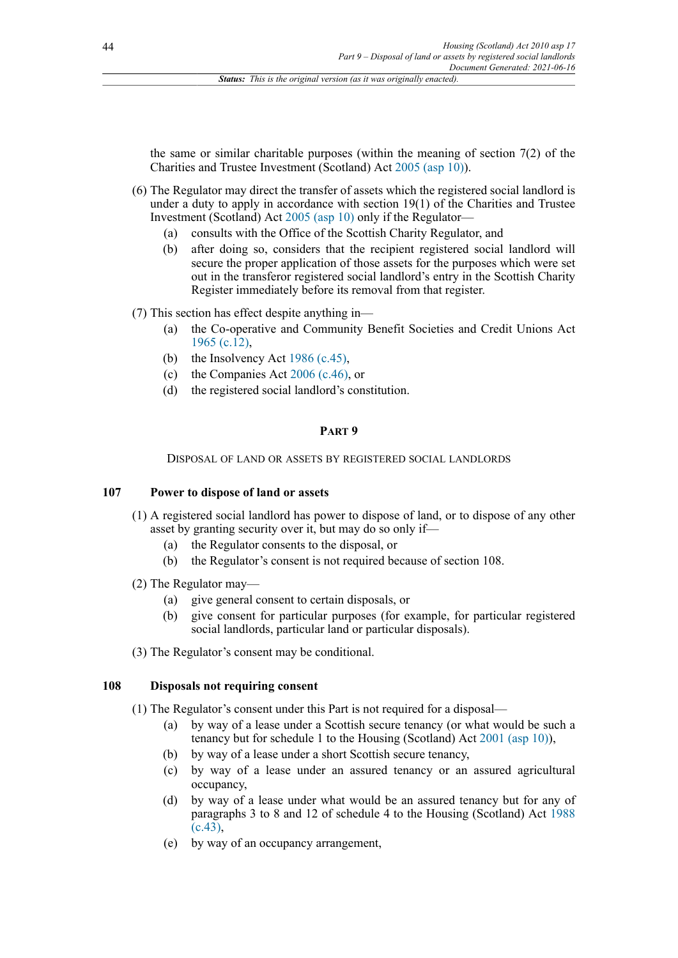the same or similar charitable purposes (within the meaning of section 7(2) of the Charities and Trustee Investment (Scotland) Act [2005 \(asp 10\)\)](http://www.legislation.gov.uk/id/asp/2005/10).

- (6) The Regulator may direct the transfer of assets which the registered social landlord is under a duty to apply in accordance with section 19(1) of the Charities and Trustee Investment (Scotland) Act [2005 \(asp 10\)](http://www.legislation.gov.uk/id/asp/2005/10) only if the Regulator—
	- (a) consults with the Office of the Scottish Charity Regulator, and
	- (b) after doing so, considers that the recipient registered social landlord will secure the proper application of those assets for the purposes which were set out in the transferor registered social landlord's entry in the Scottish Charity Register immediately before its removal from that register.

(7) This section has effect despite anything in—

- (a) the Co-operative and Community Benefit Societies and Credit Unions Act [1965 \(c.12\),](http://www.legislation.gov.uk/id/ukpga/1965/12)
- (b) the Insolvency Act [1986 \(c.45\)](http://www.legislation.gov.uk/id/ukpga/1986/45),
- (c) the Companies Act [2006 \(c.46\),](http://www.legislation.gov.uk/id/ukpga/2006/46) or
- (d) the registered social landlord's constitution.

### **PART 9**

DISPOSAL OF LAND OR ASSETS BY REGISTERED SOCIAL LANDLORDS

## **107 Power to dispose of land or assets**

- (1) A registered social landlord has power to dispose of land, or to dispose of any other asset by granting security over it, but may do so only if—
	- (a) the Regulator consents to the disposal, or
	- (b) the Regulator's consent is not required because of section 108.
- (2) The Regulator may—
	- (a) give general consent to certain disposals, or
	- (b) give consent for particular purposes (for example, for particular registered social landlords, particular land or particular disposals).
- (3) The Regulator's consent may be conditional.

## **108 Disposals not requiring consent**

- (1) The Regulator's consent under this Part is not required for a disposal—
	- (a) by way of a lease under a Scottish secure tenancy (or what would be such a tenancy but for schedule 1 to the Housing (Scotland) Act [2001 \(asp 10\)\)](http://www.legislation.gov.uk/id/asp/2001/10),
	- (b) by way of a lease under a short Scottish secure tenancy,
	- (c) by way of a lease under an assured tenancy or an assured agricultural occupancy,
	- (d) by way of a lease under what would be an assured tenancy but for any of paragraphs 3 to 8 and 12 of schedule 4 to the Housing (Scotland) Act [1988](http://www.legislation.gov.uk/id/ukpga/1988/43) [\(c.43\),](http://www.legislation.gov.uk/id/ukpga/1988/43)
	- (e) by way of an occupancy arrangement,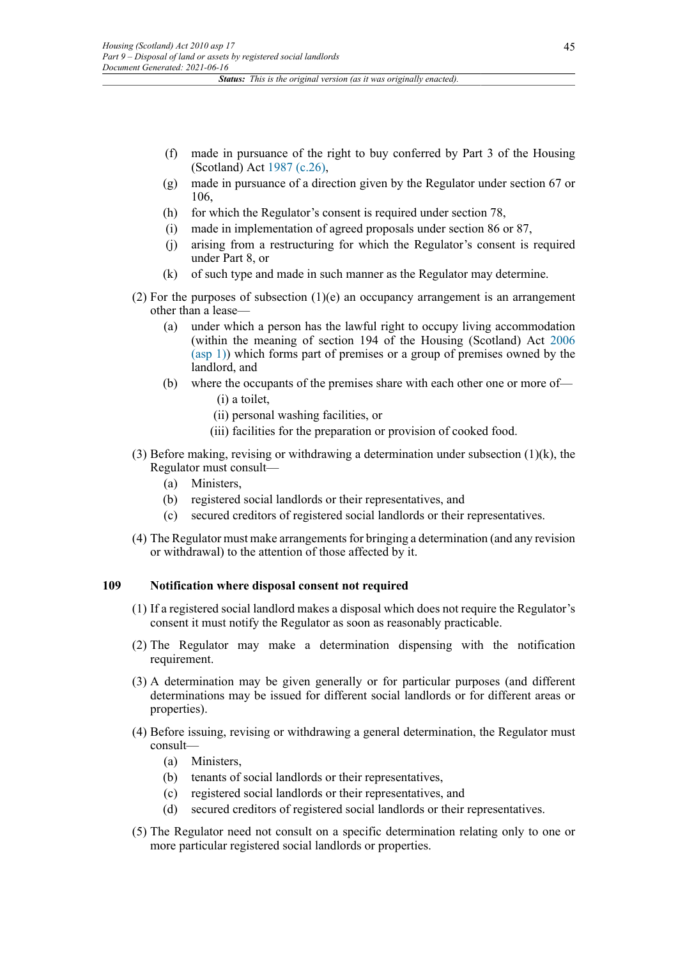- (f) made in pursuance of the right to buy conferred by Part 3 of the Housing (Scotland) Act [1987 \(c.26\),](http://www.legislation.gov.uk/id/ukpga/1987/26)
- (g) made in pursuance of a direction given by the Regulator under section 67 or 106,
- (h) for which the Regulator's consent is required under section 78,
- (i) made in implementation of agreed proposals under section 86 or 87,
- (j) arising from a restructuring for which the Regulator's consent is required under Part 8, or
- (k) of such type and made in such manner as the Regulator may determine.
- (2) For the purposes of subsection  $(1)(e)$  an occupancy arrangement is an arrangement other than a lease—
	- (a) under which a person has the lawful right to occupy living accommodation (within the meaning of section 194 of the Housing (Scotland) Act [2006](http://www.legislation.gov.uk/id/asp/2006/1) [\(asp 1\)\)](http://www.legislation.gov.uk/id/asp/2006/1) which forms part of premises or a group of premises owned by the landlord, and
	- (b) where the occupants of the premises share with each other one or more of— (i) a toilet,
		- (ii) personal washing facilities, or
		- (iii) facilities for the preparation or provision of cooked food.
- (3) Before making, revising or withdrawing a determination under subsection (1)(k), the Regulator must consult—
	- (a) Ministers,
	- (b) registered social landlords or their representatives, and
	- (c) secured creditors of registered social landlords or their representatives.
- (4) The Regulator must make arrangements for bringing a determination (and any revision or withdrawal) to the attention of those affected by it.

# **109 Notification where disposal consent not required**

- (1) If a registered social landlord makes a disposal which does not require the Regulator's consent it must notify the Regulator as soon as reasonably practicable.
- (2) The Regulator may make a determination dispensing with the notification requirement.
- (3) A determination may be given generally or for particular purposes (and different determinations may be issued for different social landlords or for different areas or properties).
- (4) Before issuing, revising or withdrawing a general determination, the Regulator must consult—
	- (a) Ministers,
	- (b) tenants of social landlords or their representatives,
	- (c) registered social landlords or their representatives, and
	- (d) secured creditors of registered social landlords or their representatives.
- (5) The Regulator need not consult on a specific determination relating only to one or more particular registered social landlords or properties.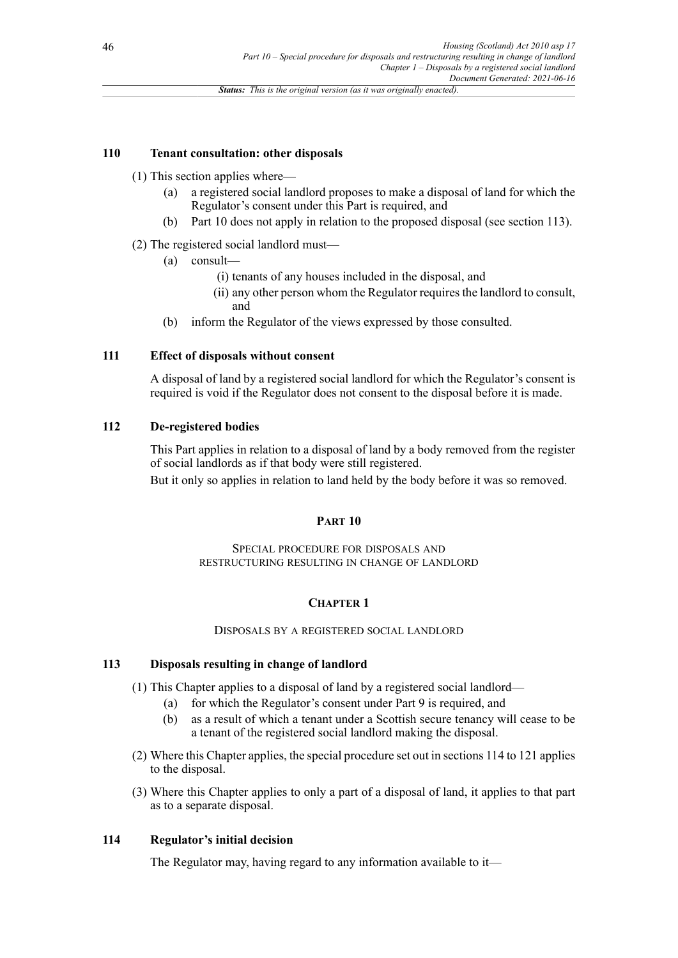### **110 Tenant consultation: other disposals**

#### (1) This section applies where—

- (a) a registered social landlord proposes to make a disposal of land for which the Regulator's consent under this Part is required, and
- (b) Part 10 does not apply in relation to the proposed disposal (see section 113).

### (2) The registered social landlord must—

- (a) consult—
	- (i) tenants of any houses included in the disposal, and
	- (ii) any other person whom the Regulator requires the landlord to consult, and
- (b) inform the Regulator of the views expressed by those consulted.

# **111 Effect of disposals without consent**

A disposal of land by a registered social landlord for which the Regulator's consent is required is void if the Regulator does not consent to the disposal before it is made.

# **112 De-registered bodies**

This Part applies in relation to a disposal of land by a body removed from the register of social landlords as if that body were still registered.

But it only so applies in relation to land held by the body before it was so removed.

#### **PART 10**

SPECIAL PROCEDURE FOR DISPOSALS AND RESTRUCTURING RESULTING IN CHANGE OF LANDLORD

# **CHAPTER 1**

#### DISPOSALS BY A REGISTERED SOCIAL LANDLORD

### **113 Disposals resulting in change of landlord**

(1) This Chapter applies to a disposal of land by a registered social landlord—

- (a) for which the Regulator's consent under Part 9 is required, and
- (b) as a result of which a tenant under a Scottish secure tenancy will cease to be a tenant of the registered social landlord making the disposal.
- (2) Where this Chapter applies, the special procedure set out in sections 114 to 121 applies to the disposal.
- (3) Where this Chapter applies to only a part of a disposal of land, it applies to that part as to a separate disposal.

#### **114 Regulator's initial decision**

The Regulator may, having regard to any information available to it—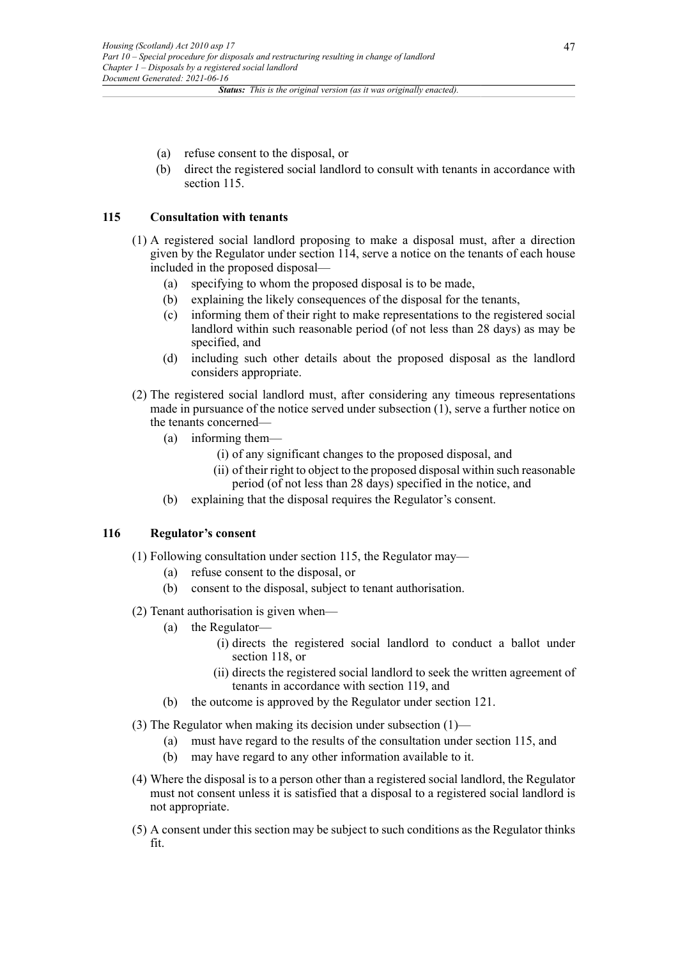- (a) refuse consent to the disposal, or
- (b) direct the registered social landlord to consult with tenants in accordance with section 115.

### **115 Consultation with tenants**

- (1) A registered social landlord proposing to make a disposal must, after a direction given by the Regulator under section 114, serve a notice on the tenants of each house included in the proposed disposal—
	- (a) specifying to whom the proposed disposal is to be made,
	- (b) explaining the likely consequences of the disposal for the tenants,
	- (c) informing them of their right to make representations to the registered social landlord within such reasonable period (of not less than 28 days) as may be specified, and
	- (d) including such other details about the proposed disposal as the landlord considers appropriate.
- (2) The registered social landlord must, after considering any timeous representations made in pursuance of the notice served under subsection (1), serve a further notice on the tenants concerned—
	- (a) informing them—
		- (i) of any significant changes to the proposed disposal, and
		- (ii) of their right to object to the proposed disposal within such reasonable period (of not less than 28 days) specified in the notice, and
	- (b) explaining that the disposal requires the Regulator's consent.

#### **116 Regulator's consent**

- (1) Following consultation under section 115, the Regulator may—
	- (a) refuse consent to the disposal, or
	- (b) consent to the disposal, subject to tenant authorisation.
- (2) Tenant authorisation is given when—
	- (a) the Regulator—
		- (i) directs the registered social landlord to conduct a ballot under section 118, or
		- (ii) directs the registered social landlord to seek the written agreement of tenants in accordance with section 119, and
	- (b) the outcome is approved by the Regulator under section 121.
- (3) The Regulator when making its decision under subsection (1)—
	- (a) must have regard to the results of the consultation under section 115, and
	- (b) may have regard to any other information available to it.
- (4) Where the disposal is to a person other than a registered social landlord, the Regulator must not consent unless it is satisfied that a disposal to a registered social landlord is not appropriate.
- (5) A consent under this section may be subject to such conditions as the Regulator thinks fit.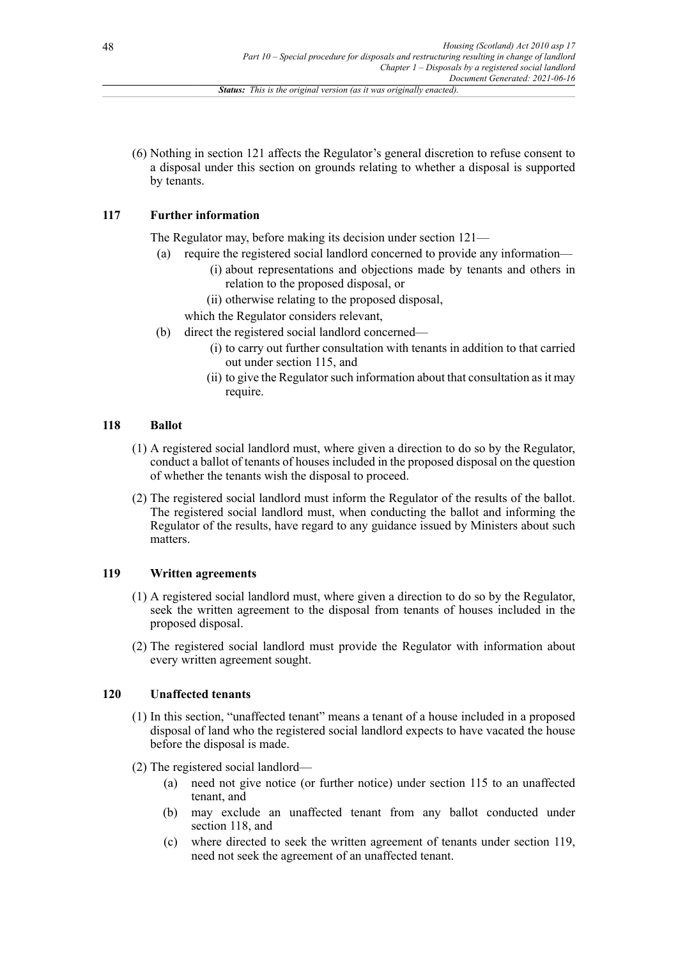(6) Nothing in section 121 affects the Regulator's general discretion to refuse consent to a disposal under this section on grounds relating to whether a disposal is supported by tenants.

# **117 Further information**

The Regulator may, before making its decision under section 121—

- (a) require the registered social landlord concerned to provide any information— (i) about representations and objections made by tenants and others in relation to the proposed disposal, or
	- (ii) otherwise relating to the proposed disposal,
	- which the Regulator considers relevant,
- (b) direct the registered social landlord concerned—
	- (i) to carry out further consultation with tenants in addition to that carried out under section 115, and
	- (ii) to give the Regulator such information about that consultation as it may require.

# **118 Ballot**

- (1) A registered social landlord must, where given a direction to do so by the Regulator, conduct a ballot of tenants of houses included in the proposed disposal on the question of whether the tenants wish the disposal to proceed.
- (2) The registered social landlord must inform the Regulator of the results of the ballot. The registered social landlord must, when conducting the ballot and informing the Regulator of the results, have regard to any guidance issued by Ministers about such matters.

# **119 Written agreements**

- (1) A registered social landlord must, where given a direction to do so by the Regulator, seek the written agreement to the disposal from tenants of houses included in the proposed disposal.
- (2) The registered social landlord must provide the Regulator with information about every written agreement sought.

# **120 Unaffected tenants**

- (1) In this section, "unaffected tenant" means a tenant of a house included in a proposed disposal of land who the registered social landlord expects to have vacated the house before the disposal is made.
- (2) The registered social landlord—
	- (a) need not give notice (or further notice) under section 115 to an unaffected tenant, and
	- (b) may exclude an unaffected tenant from any ballot conducted under section 118, and
	- (c) where directed to seek the written agreement of tenants under section 119, need not seek the agreement of an unaffected tenant.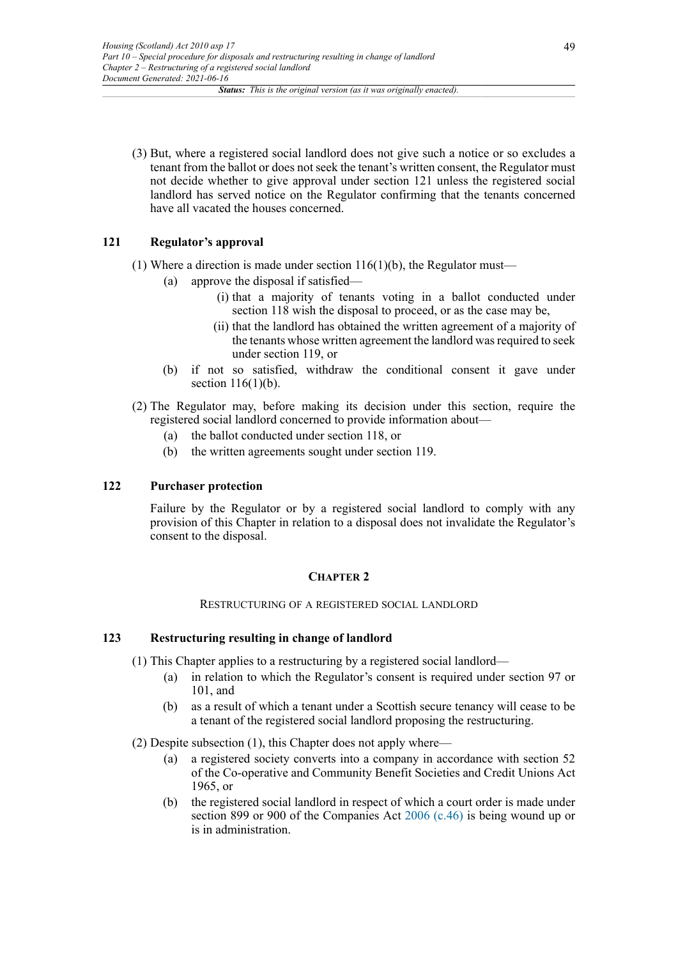(3) But, where a registered social landlord does not give such a notice or so excludes a tenant from the ballot or does not seek the tenant's written consent, the Regulator must not decide whether to give approval under section 121 unless the registered social landlord has served notice on the Regulator confirming that the tenants concerned have all vacated the houses concerned.

# **121 Regulator's approval**

(1) Where a direction is made under section  $116(1)(b)$ , the Regulator must—

- (a) approve the disposal if satisfied—
	- (i) that a majority of tenants voting in a ballot conducted under section 118 wish the disposal to proceed, or as the case may be,
	- (ii) that the landlord has obtained the written agreement of a majority of the tenants whose written agreement the landlord was required to seek under section 119, or
- (b) if not so satisfied, withdraw the conditional consent it gave under section  $116(1)(b)$ .
- (2) The Regulator may, before making its decision under this section, require the registered social landlord concerned to provide information about—
	- (a) the ballot conducted under section 118, or
	- (b) the written agreements sought under section 119.

# **122 Purchaser protection**

Failure by the Regulator or by a registered social landlord to comply with any provision of this Chapter in relation to a disposal does not invalidate the Regulator's consent to the disposal.

# **CHAPTER 2**

### RESTRUCTURING OF A REGISTERED SOCIAL LANDLORD

# **123 Restructuring resulting in change of landlord**

(1) This Chapter applies to a restructuring by a registered social landlord—

- (a) in relation to which the Regulator's consent is required under section 97 or 101, and
- (b) as a result of which a tenant under a Scottish secure tenancy will cease to be a tenant of the registered social landlord proposing the restructuring.
- (2) Despite subsection (1), this Chapter does not apply where—
	- (a) a registered society converts into a company in accordance with section 52 of the Co-operative and Community Benefit Societies and Credit Unions Act 1965, or
	- (b) the registered social landlord in respect of which a court order is made under section 899 or 900 of the Companies Act [2006 \(c.46\)](http://www.legislation.gov.uk/id/ukpga/2006/46) is being wound up or is in administration.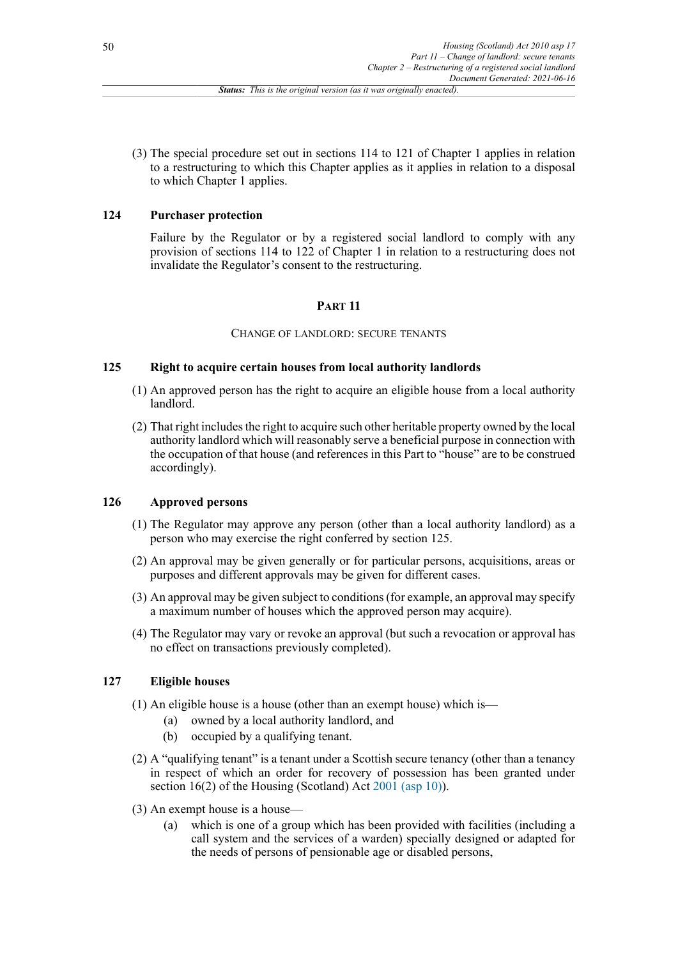(3) The special procedure set out in sections 114 to 121 of Chapter 1 applies in relation to a restructuring to which this Chapter applies as it applies in relation to a disposal to which Chapter 1 applies.

### **124 Purchaser protection**

Failure by the Regulator or by a registered social landlord to comply with any provision of sections 114 to 122 of Chapter 1 in relation to a restructuring does not invalidate the Regulator's consent to the restructuring.

# **PART 11**

#### CHANGE OF LANDLORD: SECURE TENANTS

### **125 Right to acquire certain houses from local authority landlords**

- (1) An approved person has the right to acquire an eligible house from a local authority landlord.
- (2) That right includes the right to acquire such other heritable property owned by the local authority landlord which will reasonably serve a beneficial purpose in connection with the occupation of that house (and references in this Part to "house" are to be construed accordingly).

### **126 Approved persons**

- (1) The Regulator may approve any person (other than a local authority landlord) as a person who may exercise the right conferred by section 125.
- (2) An approval may be given generally or for particular persons, acquisitions, areas or purposes and different approvals may be given for different cases.
- (3) An approval may be given subject to conditions (for example, an approval may specify a maximum number of houses which the approved person may acquire).
- (4) The Regulator may vary or revoke an approval (but such a revocation or approval has no effect on transactions previously completed).

# **127 Eligible houses**

- (1) An eligible house is a house (other than an exempt house) which is—
	- (a) owned by a local authority landlord, and
	- (b) occupied by a qualifying tenant.
- (2) A "qualifying tenant" is a tenant under a Scottish secure tenancy (other than a tenancy in respect of which an order for recovery of possession has been granted under section 16(2) of the Housing (Scotland) Act [2001 \(asp 10\)](http://www.legislation.gov.uk/id/asp/2001/10)).
- (3) An exempt house is a house—
	- (a) which is one of a group which has been provided with facilities (including a call system and the services of a warden) specially designed or adapted for the needs of persons of pensionable age or disabled persons,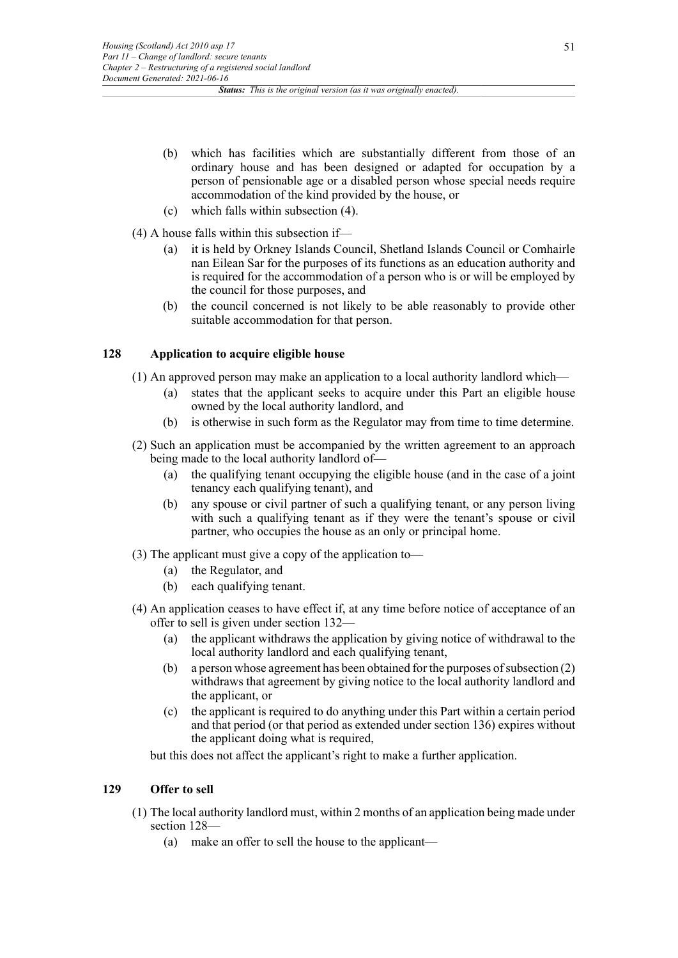- (b) which has facilities which are substantially different from those of an ordinary house and has been designed or adapted for occupation by a person of pensionable age or a disabled person whose special needs require accommodation of the kind provided by the house, or
- (c) which falls within subsection (4).
- (4) A house falls within this subsection if—
	- (a) it is held by Orkney Islands Council, Shetland Islands Council or Comhairle nan Eilean Sar for the purposes of its functions as an education authority and is required for the accommodation of a person who is or will be employed by the council for those purposes, and
	- (b) the council concerned is not likely to be able reasonably to provide other suitable accommodation for that person.

# **128 Application to acquire eligible house**

- (1) An approved person may make an application to a local authority landlord which—
	- (a) states that the applicant seeks to acquire under this Part an eligible house owned by the local authority landlord, and
	- (b) is otherwise in such form as the Regulator may from time to time determine.
- (2) Such an application must be accompanied by the written agreement to an approach being made to the local authority landlord of—
	- (a) the qualifying tenant occupying the eligible house (and in the case of a joint tenancy each qualifying tenant), and
	- (b) any spouse or civil partner of such a qualifying tenant, or any person living with such a qualifying tenant as if they were the tenant's spouse or civil partner, who occupies the house as an only or principal home.
- (3) The applicant must give a copy of the application to—
	- (a) the Regulator, and
	- (b) each qualifying tenant.
- (4) An application ceases to have effect if, at any time before notice of acceptance of an offer to sell is given under section 132—
	- (a) the applicant withdraws the application by giving notice of withdrawal to the local authority landlord and each qualifying tenant,
	- (b) a person whose agreement has been obtained for the purposes of subsection (2) withdraws that agreement by giving notice to the local authority landlord and the applicant, or
	- (c) the applicant is required to do anything under this Part within a certain period and that period (or that period as extended under section 136) expires without the applicant doing what is required,

but this does not affect the applicant's right to make a further application.

### **129 Offer to sell**

- (1) The local authority landlord must, within 2 months of an application being made under section 128—
	- (a) make an offer to sell the house to the applicant—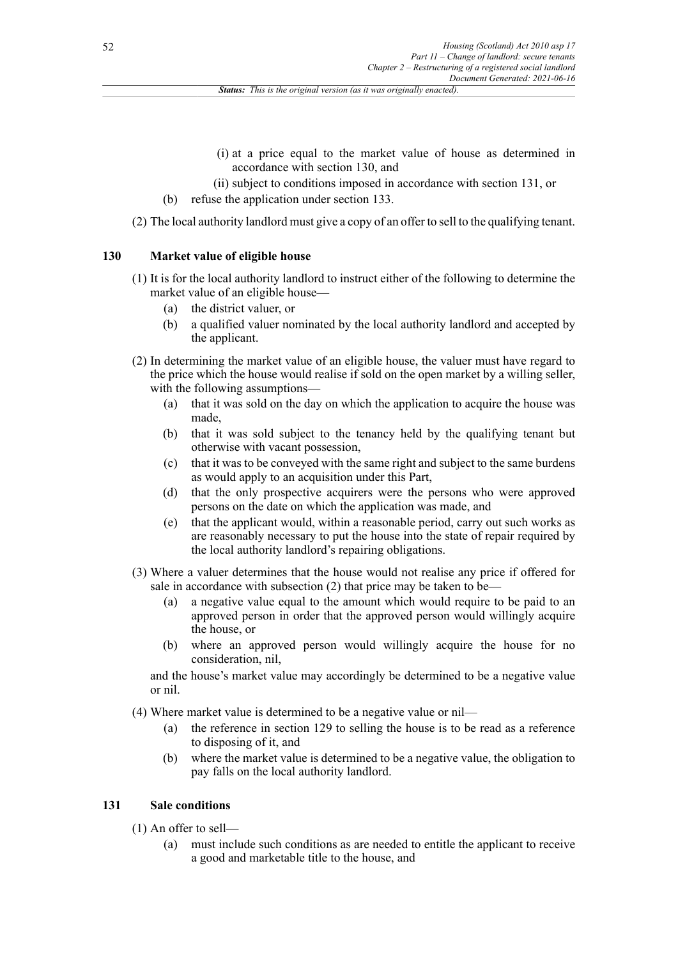- (i) at a price equal to the market value of house as determined in accordance with section 130, and
- (ii) subject to conditions imposed in accordance with section 131, or
- (b) refuse the application under section 133.
- (2) The local authority landlord must give a copy of an offer to sell to the qualifying tenant.

# **130 Market value of eligible house**

- (1) It is for the local authority landlord to instruct either of the following to determine the market value of an eligible house—
	- (a) the district valuer, or
	- (b) a qualified valuer nominated by the local authority landlord and accepted by the applicant.
- (2) In determining the market value of an eligible house, the valuer must have regard to the price which the house would realise if sold on the open market by a willing seller, with the following assumptions—
	- (a) that it was sold on the day on which the application to acquire the house was made,
	- (b) that it was sold subject to the tenancy held by the qualifying tenant but otherwise with vacant possession,
	- (c) that it was to be conveyed with the same right and subject to the same burdens as would apply to an acquisition under this Part,
	- (d) that the only prospective acquirers were the persons who were approved persons on the date on which the application was made, and
	- (e) that the applicant would, within a reasonable period, carry out such works as are reasonably necessary to put the house into the state of repair required by the local authority landlord's repairing obligations.
- (3) Where a valuer determines that the house would not realise any price if offered for sale in accordance with subsection (2) that price may be taken to be—
	- (a) a negative value equal to the amount which would require to be paid to an approved person in order that the approved person would willingly acquire the house, or
	- (b) where an approved person would willingly acquire the house for no consideration, nil,

and the house's market value may accordingly be determined to be a negative value or nil.

- (4) Where market value is determined to be a negative value or nil—
	- (a) the reference in section 129 to selling the house is to be read as a reference to disposing of it, and
	- (b) where the market value is determined to be a negative value, the obligation to pay falls on the local authority landlord.

### **131 Sale conditions**

- (1) An offer to sell—
	- (a) must include such conditions as are needed to entitle the applicant to receive a good and marketable title to the house, and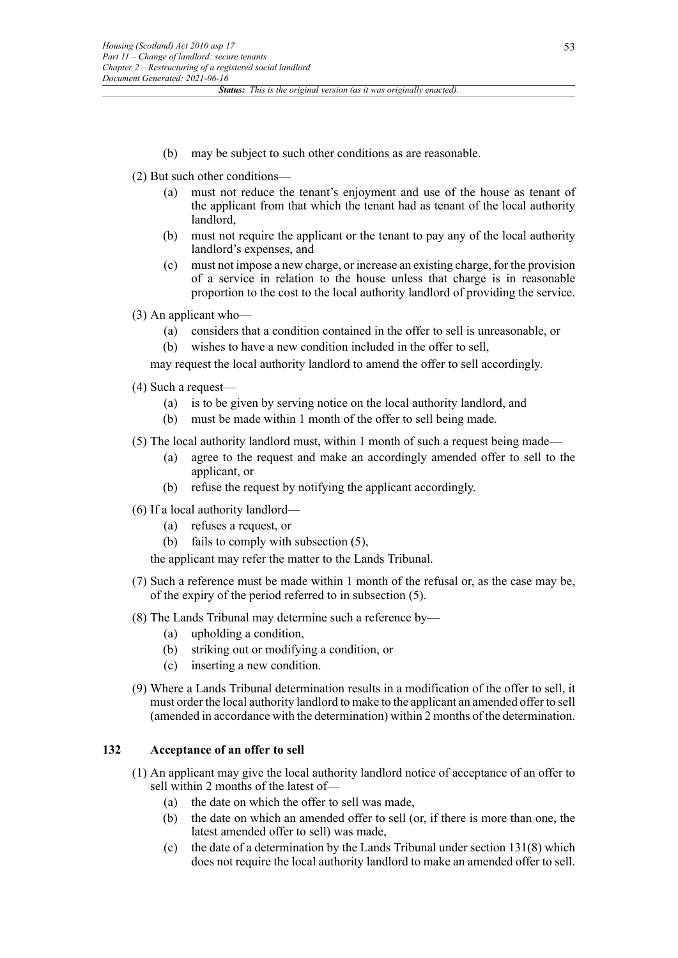(b) may be subject to such other conditions as are reasonable.

(2) But such other conditions—

- (a) must not reduce the tenant's enjoyment and use of the house as tenant of the applicant from that which the tenant had as tenant of the local authority landlord,
- (b) must not require the applicant or the tenant to pay any of the local authority landlord's expenses, and
- (c) must not impose a new charge, or increase an existing charge, for the provision of a service in relation to the house unless that charge is in reasonable proportion to the cost to the local authority landlord of providing the service.
- (3) An applicant who—
	- (a) considers that a condition contained in the offer to sell is unreasonable, or
	- (b) wishes to have a new condition included in the offer to sell,

may request the local authority landlord to amend the offer to sell accordingly.

(4) Such a request—

- (a) is to be given by serving notice on the local authority landlord, and
- (b) must be made within 1 month of the offer to sell being made.
- (5) The local authority landlord must, within 1 month of such a request being made—
	- (a) agree to the request and make an accordingly amended offer to sell to the applicant, or
	- (b) refuse the request by notifying the applicant accordingly.
- (6) If a local authority landlord—
	- (a) refuses a request, or
	- (b) fails to comply with subsection (5),

the applicant may refer the matter to the Lands Tribunal.

- (7) Such a reference must be made within 1 month of the refusal or, as the case may be, of the expiry of the period referred to in subsection (5).
- (8) The Lands Tribunal may determine such a reference by—
	- (a) upholding a condition,
	- (b) striking out or modifying a condition, or
	- (c) inserting a new condition.
- (9) Where a Lands Tribunal determination results in a modification of the offer to sell, it must order the local authority landlord to make to the applicant an amended offer to sell (amended in accordance with the determination) within 2 months of the determination.

#### **132 Acceptance of an offer to sell**

- (1) An applicant may give the local authority landlord notice of acceptance of an offer to sell within 2 months of the latest of—
	- (a) the date on which the offer to sell was made,
	- (b) the date on which an amended offer to sell (or, if there is more than one, the latest amended offer to sell) was made,
	- (c) the date of a determination by the Lands Tribunal under section 131(8) which does not require the local authority landlord to make an amended offer to sell.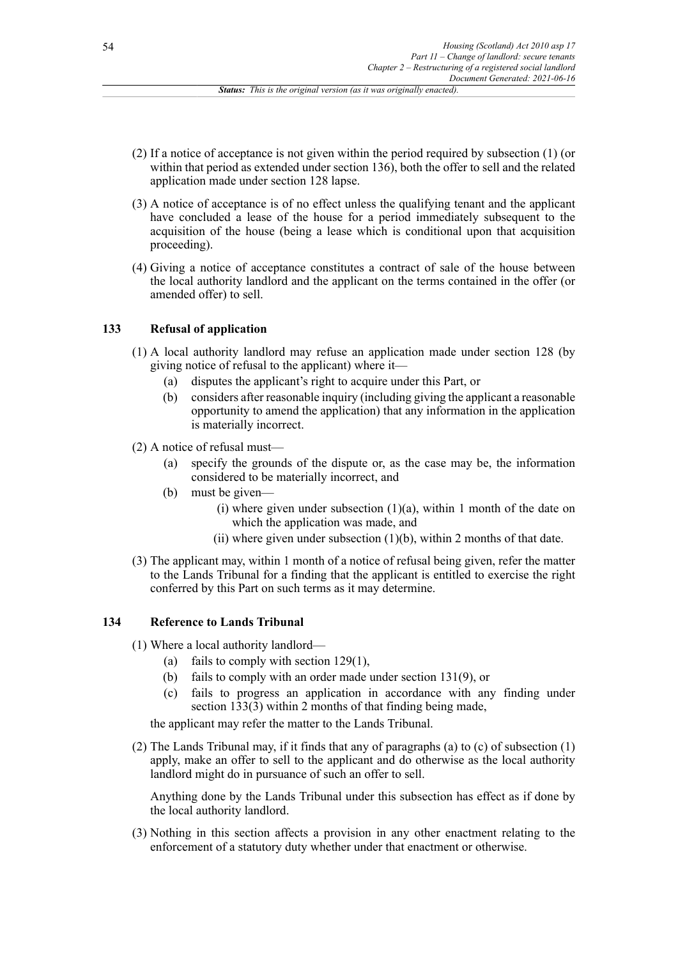- (2) If a notice of acceptance is not given within the period required by subsection (1) (or within that period as extended under section 136), both the offer to sell and the related application made under section 128 lapse.
- (3) A notice of acceptance is of no effect unless the qualifying tenant and the applicant have concluded a lease of the house for a period immediately subsequent to the acquisition of the house (being a lease which is conditional upon that acquisition proceeding).
- (4) Giving a notice of acceptance constitutes a contract of sale of the house between the local authority landlord and the applicant on the terms contained in the offer (or amended offer) to sell.

### **133 Refusal of application**

- (1) A local authority landlord may refuse an application made under section 128 (by giving notice of refusal to the applicant) where it—
	- (a) disputes the applicant's right to acquire under this Part, or
	- (b) considers after reasonable inquiry (including giving the applicant a reasonable opportunity to amend the application) that any information in the application is materially incorrect.
- (2) A notice of refusal must—
	- (a) specify the grounds of the dispute or, as the case may be, the information considered to be materially incorrect, and
	- (b) must be given—
		- (i) where given under subsection  $(1)(a)$ , within 1 month of the date on which the application was made, and
		- (ii) where given under subsection  $(1)(b)$ , within 2 months of that date.
- (3) The applicant may, within 1 month of a notice of refusal being given, refer the matter to the Lands Tribunal for a finding that the applicant is entitled to exercise the right conferred by this Part on such terms as it may determine.

### **134 Reference to Lands Tribunal**

- (1) Where a local authority landlord—
	- (a) fails to comply with section 129(1),
	- (b) fails to comply with an order made under section 131(9), or
	- (c) fails to progress an application in accordance with any finding under section  $1\overline{3}3(3)$  within 2 months of that finding being made,

the applicant may refer the matter to the Lands Tribunal.

(2) The Lands Tribunal may, if it finds that any of paragraphs (a) to (c) of subsection (1) apply, make an offer to sell to the applicant and do otherwise as the local authority landlord might do in pursuance of such an offer to sell.

Anything done by the Lands Tribunal under this subsection has effect as if done by the local authority landlord.

(3) Nothing in this section affects a provision in any other enactment relating to the enforcement of a statutory duty whether under that enactment or otherwise.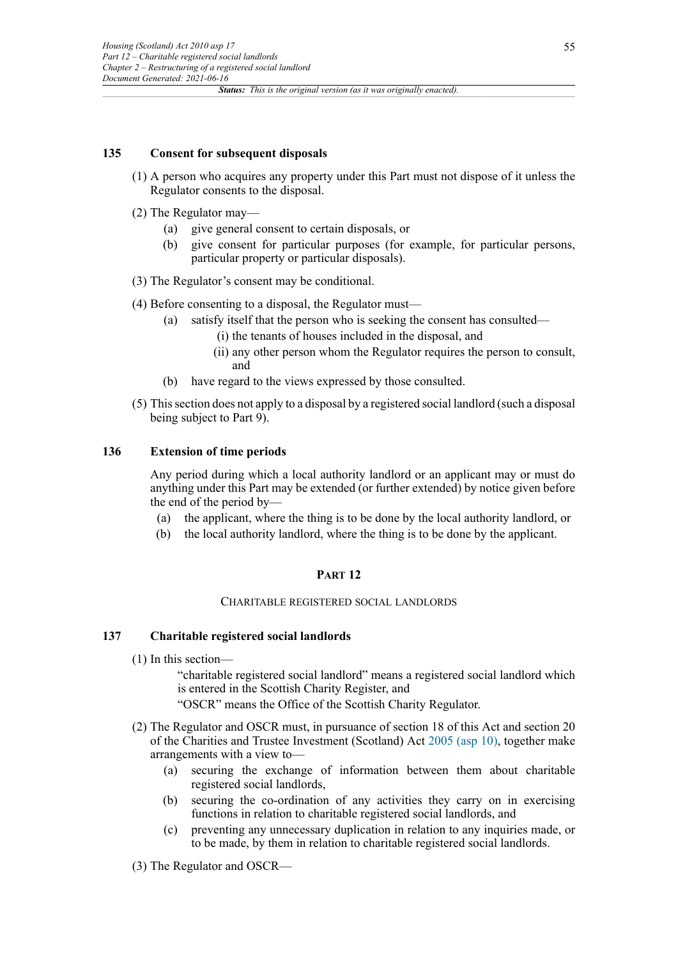#### **135 Consent for subsequent disposals**

- (1) A person who acquires any property under this Part must not dispose of it unless the Regulator consents to the disposal.
- (2) The Regulator may—
	- (a) give general consent to certain disposals, or
	- (b) give consent for particular purposes (for example, for particular persons, particular property or particular disposals).
- (3) The Regulator's consent may be conditional.
- (4) Before consenting to a disposal, the Regulator must—
	- (a) satisfy itself that the person who is seeking the consent has consulted—
		- (i) the tenants of houses included in the disposal, and
		- (ii) any other person whom the Regulator requires the person to consult, and
	- (b) have regard to the views expressed by those consulted.
- (5) This section does not apply to a disposal by a registered social landlord (such a disposal being subject to Part 9).

### **136 Extension of time periods**

Any period during which a local authority landlord or an applicant may or must do anything under this Part may be extended (or further extended) by notice given before the end of the period by—

- (a) the applicant, where the thing is to be done by the local authority landlord, or
- (b) the local authority landlord, where the thing is to be done by the applicant.

#### **PART 12**

#### CHARITABLE REGISTERED SOCIAL LANDLORDS

#### **137 Charitable registered social landlords**

(1) In this section—

"charitable registered social landlord" means a registered social landlord which is entered in the Scottish Charity Register, and

- "OSCR" means the Office of the Scottish Charity Regulator.
- (2) The Regulator and OSCR must, in pursuance of section 18 of this Act and section 20 of the Charities and Trustee Investment (Scotland) Act [2005 \(asp 10\),](http://www.legislation.gov.uk/id/asp/2005/10) together make arrangements with a view to—
	- (a) securing the exchange of information between them about charitable registered social landlords,
	- (b) securing the co-ordination of any activities they carry on in exercising functions in relation to charitable registered social landlords, and
	- (c) preventing any unnecessary duplication in relation to any inquiries made, or to be made, by them in relation to charitable registered social landlords.
- (3) The Regulator and OSCR—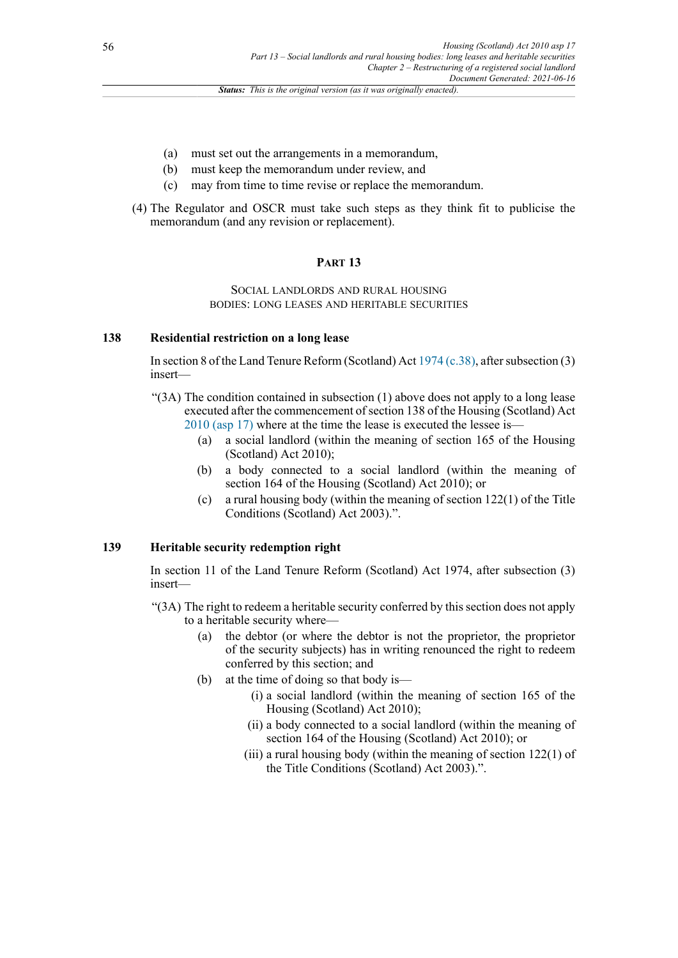- (a) must set out the arrangements in a memorandum,
- (b) must keep the memorandum under review, and
- (c) may from time to time revise or replace the memorandum.
- (4) The Regulator and OSCR must take such steps as they think fit to publicise the memorandum (and any revision or replacement).

#### **PART 13**

#### SOCIAL LANDLORDS AND RURAL HOUSING BODIES: LONG LEASES AND HERITABLE SECURITIES

#### **138 Residential restriction on a long lease**

In section 8 of the Land Tenure Reform (Scotland) Act [1974 \(c.38\)](http://www.legislation.gov.uk/id/ukpga/1974/38), after subsection (3) insert—

- "(3A) The condition contained in subsection (1) above does not apply to a long lease executed after the commencement of section 138 of the Housing (Scotland) Act [2010 \(asp 17\)](http://www.legislation.gov.uk/id/asp/2010/17) where at the time the lease is executed the lessee is—
	- (a) a social landlord (within the meaning of section 165 of the Housing (Scotland) Act 2010);
	- (b) a body connected to a social landlord (within the meaning of section 164 of the Housing (Scotland) Act 2010); or
	- (c) a rural housing body (within the meaning of section 122(1) of the Title Conditions (Scotland) Act 2003).".

# **139 Heritable security redemption right**

In section 11 of the Land Tenure Reform (Scotland) Act 1974, after subsection (3) insert—

- "(3A) The right to redeem a heritable security conferred by this section does not apply to a heritable security where—
	- (a) the debtor (or where the debtor is not the proprietor, the proprietor of the security subjects) has in writing renounced the right to redeem conferred by this section; and
	- (b) at the time of doing so that body is—
		- (i) a social landlord (within the meaning of section 165 of the Housing (Scotland) Act 2010);
		- (ii) a body connected to a social landlord (within the meaning of section 164 of the Housing (Scotland) Act 2010); or
		- (iii) a rural housing body (within the meaning of section 122(1) of the Title Conditions (Scotland) Act 2003).".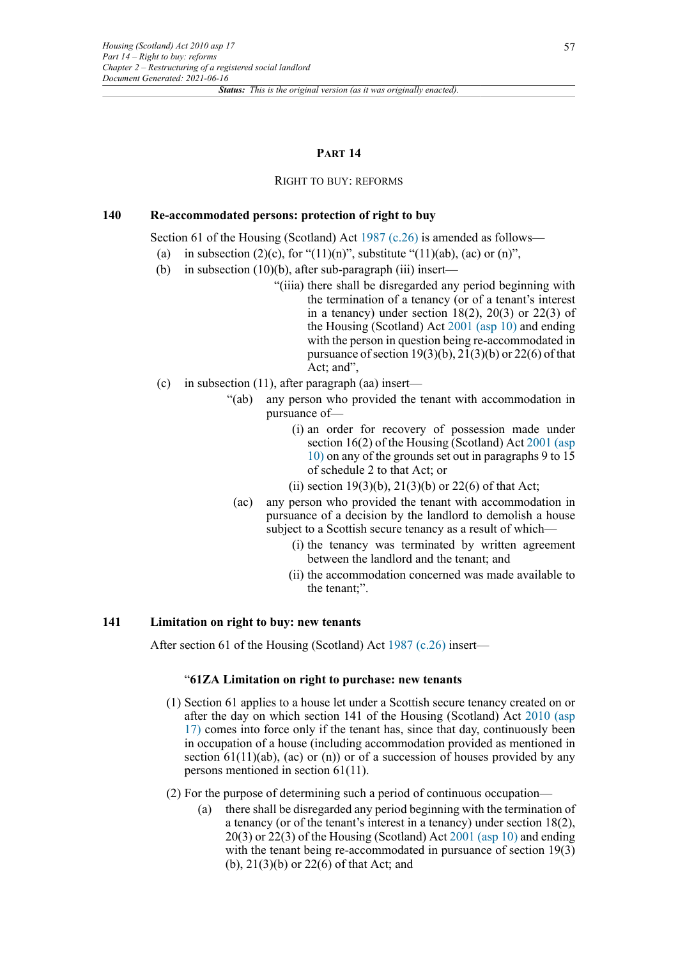#### **PART 14**

#### RIGHT TO BUY: REFORMS

### **140 Re-accommodated persons: protection of right to buy**

Section 61 of the Housing (Scotland) Act [1987 \(c.26\)](http://www.legislation.gov.uk/id/ukpga/1987/26) is amended as follows—

- (a) in subsection  $(2)(c)$ , for " $(11)(n)$ ", substitute " $(11)(ab)$ ,  $(ac)$  or  $(n)$ ",
- (b) in subsection (10)(b), after sub-paragraph (iii) insert—
	- "(iiia) there shall be disregarded any period beginning with the termination of a tenancy (or of a tenant's interest in a tenancy) under section  $18(2)$ ,  $20(3)$  or  $22(3)$  of the Housing (Scotland) Act [2001 \(asp 10\)](http://www.legislation.gov.uk/id/asp/2001/10) and ending with the person in question being re-accommodated in pursuance of section  $19(3)(b)$ ,  $21(3)(b)$  or  $22(6)$  of that Act; and",
- (c) in subsection  $(11)$ , after paragraph (aa) insert—
	- "(ab) any person who provided the tenant with accommodation in pursuance of—
		- (i) an order for recovery of possession made under section 16(2) of the Housing (Scotland) Act [2001 \(asp](http://www.legislation.gov.uk/id/asp/2001/10) [10\)](http://www.legislation.gov.uk/id/asp/2001/10) on any of the grounds set out in paragraphs 9 to 15 of schedule 2 to that Act; or
		- (ii) section 19(3)(b),  $21(3)(b)$  or 22(6) of that Act;
	- (ac) any person who provided the tenant with accommodation in pursuance of a decision by the landlord to demolish a house subject to a Scottish secure tenancy as a result of which—
		- (i) the tenancy was terminated by written agreement between the landlord and the tenant; and
		- (ii) the accommodation concerned was made available to the tenant;".

### **141 Limitation on right to buy: new tenants**

After section 61 of the Housing (Scotland) Act [1987 \(c.26\)](http://www.legislation.gov.uk/id/ukpga/1987/26) insert—

#### "**61ZA Limitation on right to purchase: new tenants**

- (1) Section 61 applies to a house let under a Scottish secure tenancy created on or after the day on which section 141 of the Housing (Scotland) Act [2010 \(asp](http://www.legislation.gov.uk/id/asp/2010/17) [17\)](http://www.legislation.gov.uk/id/asp/2010/17) comes into force only if the tenant has, since that day, continuously been in occupation of a house (including accommodation provided as mentioned in section  $61(11)(ab)$ , (ac) or (n)) or of a succession of houses provided by any persons mentioned in section 61(11).
- (2) For the purpose of determining such a period of continuous occupation—
	- (a) there shall be disregarded any period beginning with the termination of a tenancy (or of the tenant's interest in a tenancy) under section 18(2), 20(3) or 22(3) of the Housing (Scotland) Act [2001 \(asp 10\)](http://www.legislation.gov.uk/id/asp/2001/10) and ending with the tenant being re-accommodated in pursuance of section 19(3) (b), 21(3)(b) or 22(6) of that Act; and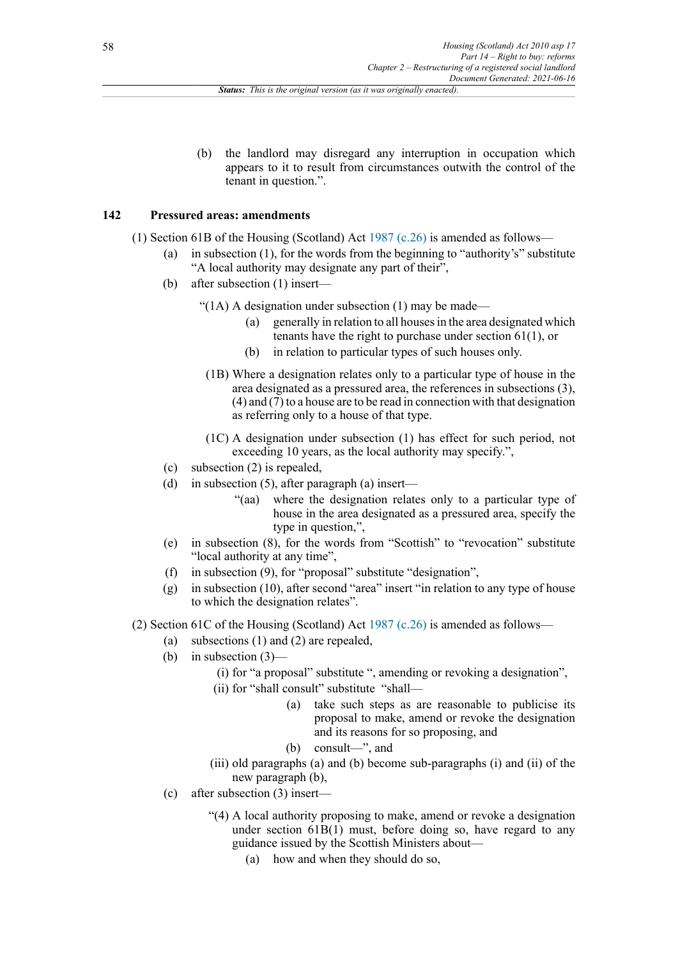(b) the landlord may disregard any interruption in occupation which appears to it to result from circumstances outwith the control of the tenant in question.".

### **142 Pressured areas: amendments**

- (1) Section 61B of the Housing (Scotland) Act [1987 \(c.26\)](http://www.legislation.gov.uk/id/ukpga/1987/26) is amended as follows—
	- (a) in subsection (1), for the words from the beginning to "authority's" substitute "A local authority may designate any part of their",
	- (b) after subsection (1) insert—

" $(1A)$  A designation under subsection  $(1)$  may be made—

- (a) generally in relation to all houses in the area designated which tenants have the right to purchase under section 61(1), or
- (b) in relation to particular types of such houses only.
- (1B) Where a designation relates only to a particular type of house in the area designated as a pressured area, the references in subsections (3), (4) and (7) to a house are to be read in connection with that designation as referring only to a house of that type.
- (1C) A designation under subsection (1) has effect for such period, not exceeding 10 years, as the local authority may specify.",
- (c) subsection (2) is repealed,
- (d) in subsection (5), after paragraph (a) insert—
	- "(aa) where the designation relates only to a particular type of house in the area designated as a pressured area, specify the type in question,",
- (e) in subsection (8), for the words from "Scottish" to "revocation" substitute "local authority at any time",
- (f) in subsection (9), for "proposal" substitute "designation",
- (g) in subsection (10), after second "area" insert "in relation to any type of house to which the designation relates".

(2) Section 61C of the Housing (Scotland) Act [1987 \(c.26\)](http://www.legislation.gov.uk/id/ukpga/1987/26) is amended as follows—

- (a) subsections (1) and (2) are repealed,
- (b) in subsection  $(3)$ 
	- (i) for "a proposal" substitute ", amending or revoking a designation",
	- (ii) for "shall consult" substitute "shall—
		- (a) take such steps as are reasonable to publicise its proposal to make, amend or revoke the designation and its reasons for so proposing, and
		- (b) consult—", and
	- (iii) old paragraphs (a) and (b) become sub-paragraphs (i) and (ii) of the new paragraph (b),
- (c) after subsection (3) insert—
	- "(4) A local authority proposing to make, amend or revoke a designation under section  $61B(1)$  must, before doing so, have regard to any guidance issued by the Scottish Ministers about—
		- (a) how and when they should do so,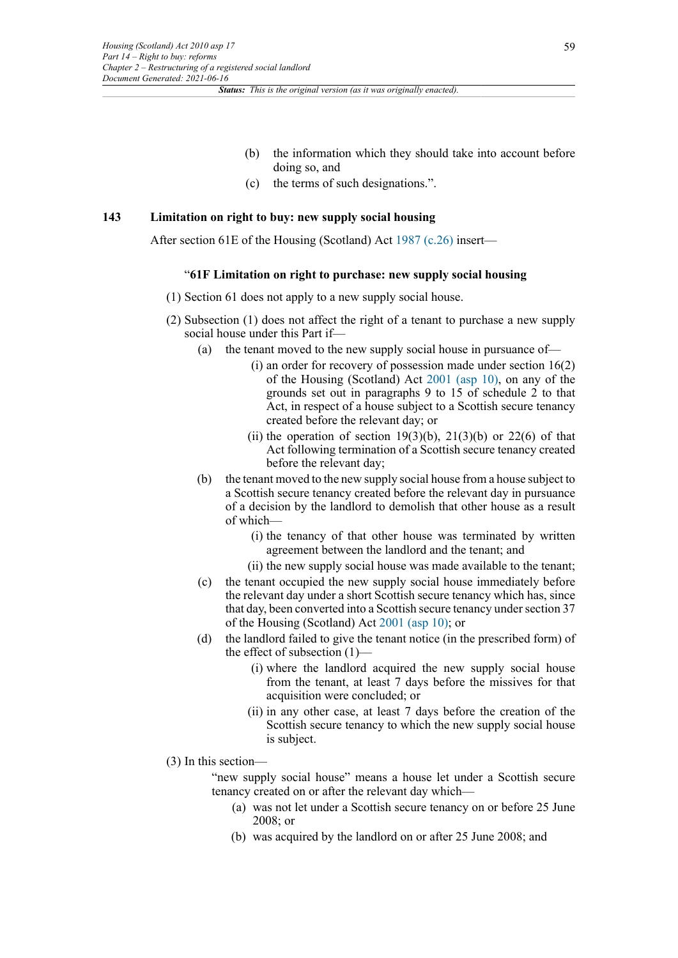- (b) the information which they should take into account before doing so, and
- (c) the terms of such designations.".

#### **143 Limitation on right to buy: new supply social housing**

After section 61E of the Housing (Scotland) Act [1987 \(c.26\)](http://www.legislation.gov.uk/id/ukpga/1987/26) insert—

#### "**61F Limitation on right to purchase: new supply social housing**

- (1) Section 61 does not apply to a new supply social house.
- (2) Subsection (1) does not affect the right of a tenant to purchase a new supply social house under this Part if—
	- (a) the tenant moved to the new supply social house in pursuance of—
		- (i) an order for recovery of possession made under section 16(2) of the Housing (Scotland) Act [2001 \(asp 10\),](http://www.legislation.gov.uk/id/asp/2001/10) on any of the grounds set out in paragraphs 9 to 15 of schedule 2 to that Act, in respect of a house subject to a Scottish secure tenancy created before the relevant day; or
		- (ii) the operation of section  $19(3)(b)$ ,  $21(3)(b)$  or  $22(6)$  of that Act following termination of a Scottish secure tenancy created before the relevant day;
	- (b) the tenant moved to the new supply social house from a house subject to a Scottish secure tenancy created before the relevant day in pursuance of a decision by the landlord to demolish that other house as a result of which—
		- (i) the tenancy of that other house was terminated by written agreement between the landlord and the tenant; and
		- (ii) the new supply social house was made available to the tenant;
	- (c) the tenant occupied the new supply social house immediately before the relevant day under a short Scottish secure tenancy which has, since that day, been converted into a Scottish secure tenancy under section 37 of the Housing (Scotland) Act [2001 \(asp 10\);](http://www.legislation.gov.uk/id/asp/2001/10) or
	- (d) the landlord failed to give the tenant notice (in the prescribed form) of the effect of subsection (1)––
		- (i) where the landlord acquired the new supply social house from the tenant, at least 7 days before the missives for that acquisition were concluded; or
		- (ii) in any other case, at least 7 days before the creation of the Scottish secure tenancy to which the new supply social house is subject.
- (3) In this section—

"new supply social house" means a house let under a Scottish secure tenancy created on or after the relevant day which—

- (a) was not let under a Scottish secure tenancy on or before 25 June 2008; or
- (b) was acquired by the landlord on or after 25 June 2008; and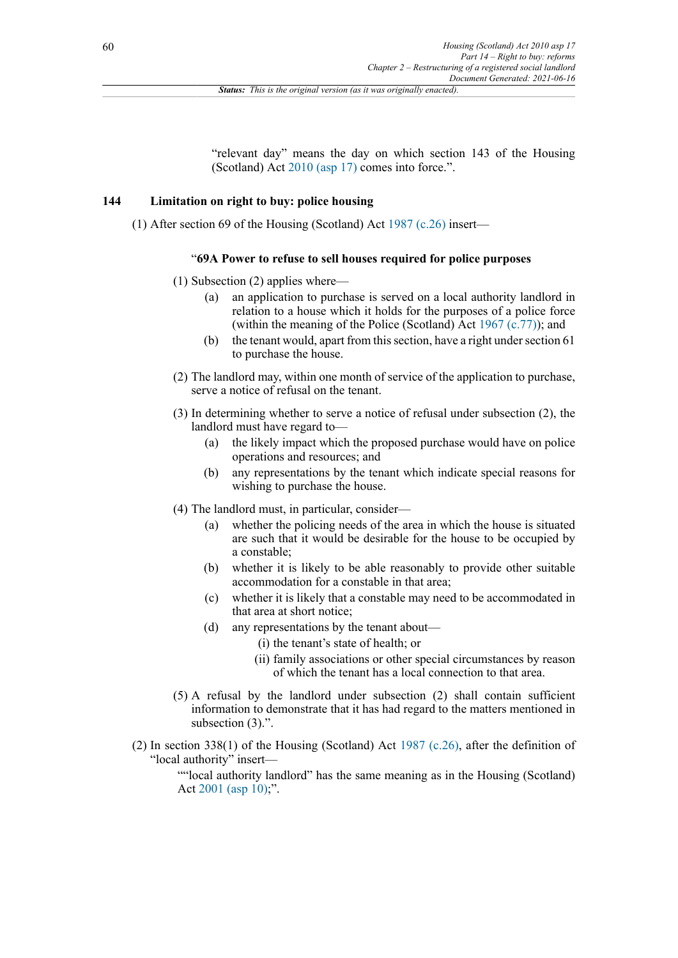"relevant day" means the day on which section 143 of the Housing (Scotland) Act [2010 \(asp 17\)](http://www.legislation.gov.uk/id/asp/2010/17) comes into force.".

#### **144 Limitation on right to buy: police housing**

(1) After section 69 of the Housing (Scotland) Act [1987 \(c.26\)](http://www.legislation.gov.uk/id/ukpga/1987/26) insert—

#### "**69A Power to refuse to sell houses required for police purposes**

- (1) Subsection (2) applies where—
	- (a) an application to purchase is served on a local authority landlord in relation to a house which it holds for the purposes of a police force (within the meaning of the Police (Scotland) Act [1967 \(c.77\)](http://www.legislation.gov.uk/id/ukpga/1967/77)); and
	- (b) the tenant would, apart from this section, have a right under section 61 to purchase the house.
- (2) The landlord may, within one month of service of the application to purchase, serve a notice of refusal on the tenant.
- (3) In determining whether to serve a notice of refusal under subsection (2), the landlord must have regard to—
	- (a) the likely impact which the proposed purchase would have on police operations and resources; and
	- (b) any representations by the tenant which indicate special reasons for wishing to purchase the house.
- (4) The landlord must, in particular, consider—
	- (a) whether the policing needs of the area in which the house is situated are such that it would be desirable for the house to be occupied by a constable;
	- (b) whether it is likely to be able reasonably to provide other suitable accommodation for a constable in that area;
	- (c) whether it is likely that a constable may need to be accommodated in that area at short notice;
	- (d) any representations by the tenant about—
		- (i) the tenant's state of health; or
		- (ii) family associations or other special circumstances by reason of which the tenant has a local connection to that area.
- (5) A refusal by the landlord under subsection (2) shall contain sufficient information to demonstrate that it has had regard to the matters mentioned in subsection  $(3)$ .".
- (2) In section 338(1) of the Housing (Scotland) Act [1987 \(c.26\),](http://www.legislation.gov.uk/id/ukpga/1987/26) after the definition of "local authority" insert—

""local authority landlord" has the same meaning as in the Housing (Scotland) Act  $2001$  (asp  $10$ );".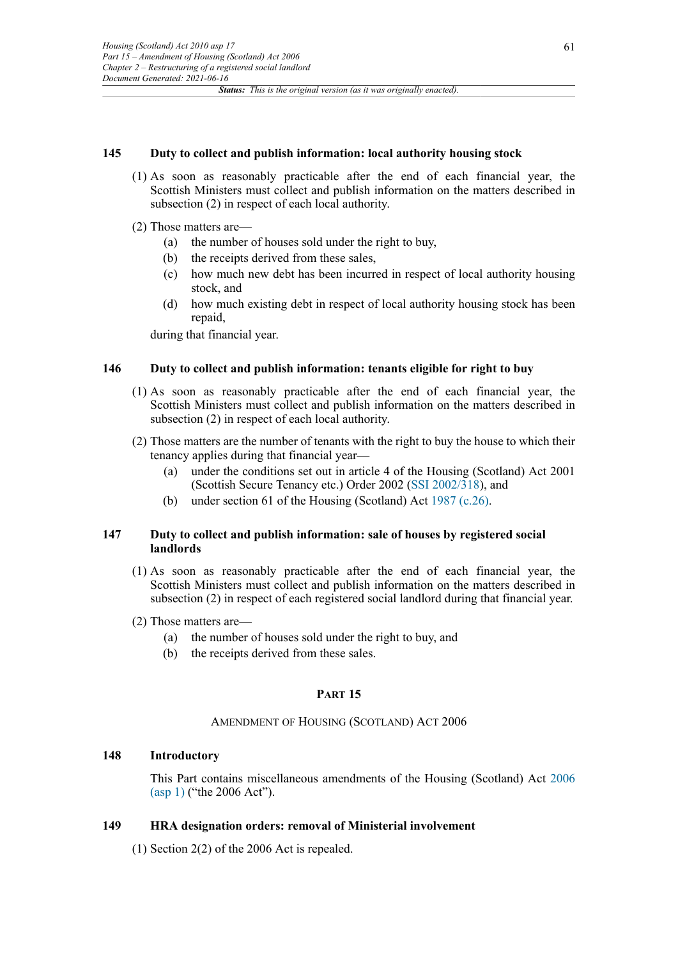#### **145 Duty to collect and publish information: local authority housing stock**

- (1) As soon as reasonably practicable after the end of each financial year, the Scottish Ministers must collect and publish information on the matters described in subsection (2) in respect of each local authority.
- (2) Those matters are—
	- (a) the number of houses sold under the right to buy,
	- (b) the receipts derived from these sales,
	- (c) how much new debt has been incurred in respect of local authority housing stock, and
	- (d) how much existing debt in respect of local authority housing stock has been repaid,

during that financial year.

### **146 Duty to collect and publish information: tenants eligible for right to buy**

- (1) As soon as reasonably practicable after the end of each financial year, the Scottish Ministers must collect and publish information on the matters described in subsection (2) in respect of each local authority.
- (2) Those matters are the number of tenants with the right to buy the house to which their tenancy applies during that financial year—
	- (a) under the conditions set out in article 4 of the Housing (Scotland) Act 2001 (Scottish Secure Tenancy etc.) Order 2002 [\(SSI 2002/318](http://www.legislation.gov.uk/id/ssi/2002/318)), and
	- (b) under section 61 of the Housing (Scotland) Act [1987 \(c.26\)](http://www.legislation.gov.uk/id/ukpga/1987/26).

### **147 Duty to collect and publish information: sale of houses by registered social landlords**

- (1) As soon as reasonably practicable after the end of each financial year, the Scottish Ministers must collect and publish information on the matters described in subsection (2) in respect of each registered social landlord during that financial year.
- (2) Those matters are—
	- (a) the number of houses sold under the right to buy, and
	- (b) the receipts derived from these sales.

### **PART 15**

#### AMENDMENT OF HOUSING (SCOTLAND) ACT 2006

# **148 Introductory**

This Part contains miscellaneous amendments of the Housing (Scotland) Act [2006](http://www.legislation.gov.uk/id/asp/2006/1) [\(asp 1\)](http://www.legislation.gov.uk/id/asp/2006/1) ("the 2006 Act").

### **149 HRA designation orders: removal of Ministerial involvement**

(1) Section 2(2) of the 2006 Act is repealed.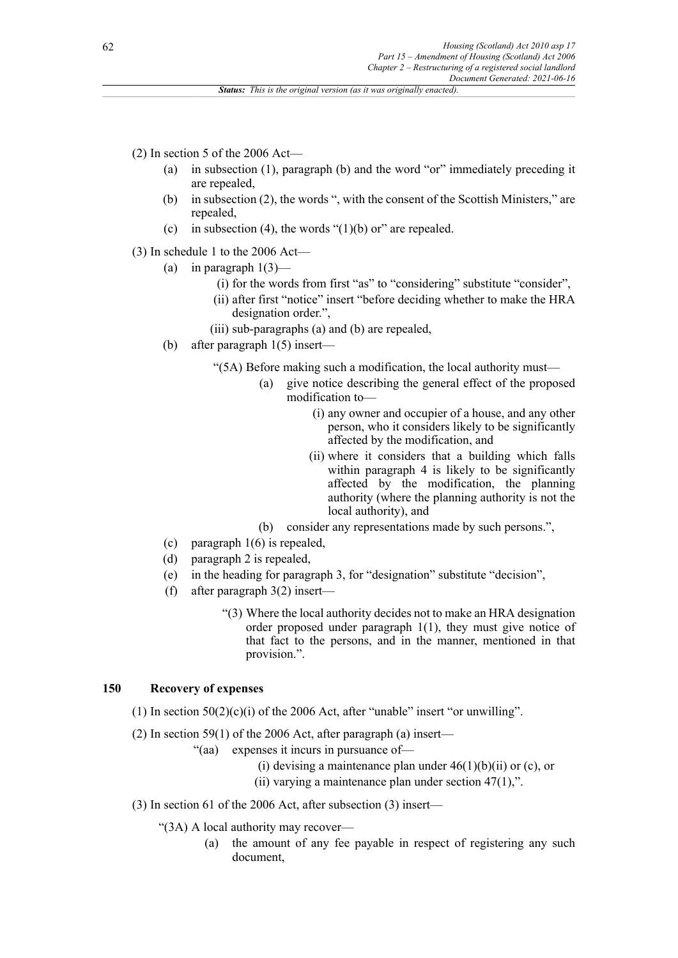(2) In section 5 of the 2006 Act—

- (a) in subsection (1), paragraph (b) and the word "or" immediately preceding it are repealed,
- (b) in subsection (2), the words ", with the consent of the Scottish Ministers," are repealed,
- (c) in subsection (4), the words " $(1)(b)$  or" are repealed.

(3) In schedule 1 to the 2006 Act—

- (a) in paragraph  $1(3)$ 
	- (i) for the words from first "as" to "considering" substitute "consider",
	- (ii) after first "notice" insert "before deciding whether to make the HRA designation order.",
	- (iii) sub-paragraphs (a) and (b) are repealed,
- (b) after paragraph 1(5) insert—

"(5A) Before making such a modification, the local authority must—

- (a) give notice describing the general effect of the proposed modification to—
	- (i) any owner and occupier of a house, and any other person, who it considers likely to be significantly affected by the modification, and
	- (ii) where it considers that a building which falls within paragraph 4 is likely to be significantly affected by the modification, the planning authority (where the planning authority is not the local authority), and
- (b) consider any representations made by such persons.",
- (c) paragraph 1(6) is repealed,
- (d) paragraph 2 is repealed,
- (e) in the heading for paragraph 3, for "designation" substitute "decision",
- (f) after paragraph 3(2) insert—
	- "(3) Where the local authority decides not to make an HRA designation order proposed under paragraph 1(1), they must give notice of that fact to the persons, and in the manner, mentioned in that provision.".

### **150 Recovery of expenses**

- (1) In section  $50(2)(c)(i)$  of the 2006 Act, after "unable" insert "or unwilling".
- (2) In section 59(1) of the 2006 Act, after paragraph (a) insert—
	- "(aa) expenses it incurs in pursuance of—
		- (i) devising a maintenance plan under  $46(1)(b)(ii)$  or (c), or
		- (ii) varying a maintenance plan under section  $47(1)$ ,".
- (3) In section 61 of the 2006 Act, after subsection (3) insert—

"(3A) A local authority may recover—

(a) the amount of any fee payable in respect of registering any such document,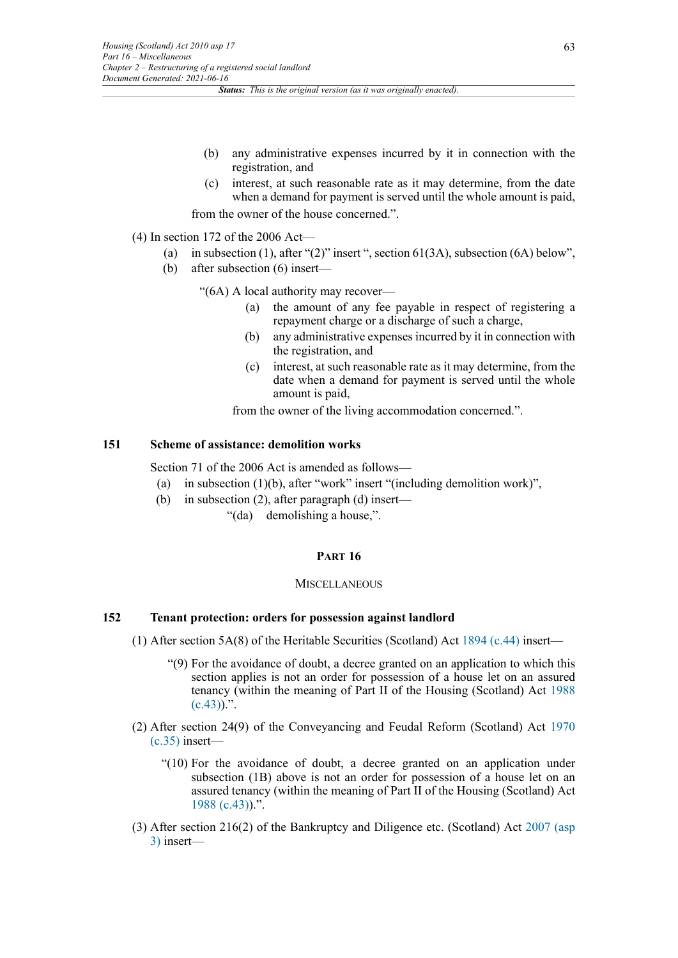- (b) any administrative expenses incurred by it in connection with the registration, and
- (c) interest, at such reasonable rate as it may determine, from the date when a demand for payment is served until the whole amount is paid, from the owner of the house concerned.".

- (4) In section 172 of the 2006 Act—
	- (a) in subsection (1), after " $(2)$ " insert ", section 61(3A), subsection (6A) below",
	- (b) after subsection (6) insert—

"(6A) A local authority may recover—

- (a) the amount of any fee payable in respect of registering a repayment charge or a discharge of such a charge,
- (b) any administrative expenses incurred by it in connection with the registration, and
- (c) interest, at such reasonable rate as it may determine, from the date when a demand for payment is served until the whole amount is paid,

from the owner of the living accommodation concerned.".

# **151 Scheme of assistance: demolition works**

Section 71 of the 2006 Act is amended as follows—

- (a) in subsection (1)(b), after "work" insert "(including demolition work)",
- (b) in subsection (2), after paragraph (d) insert—
	- "(da) demolishing a house,".

# **PART 16**

#### **MISCELLANEOUS**

# **152 Tenant protection: orders for possession against landlord**

- (1) After section 5A(8) of the Heritable Securities (Scotland) Act [1894 \(c.44\)](http://www.legislation.gov.uk/id/ukpga/1894/44) insert—
	- "(9) For the avoidance of doubt, a decree granted on an application to which this section applies is not an order for possession of a house let on an assured tenancy (within the meaning of Part II of the Housing (Scotland) Act [1988](http://www.legislation.gov.uk/id/ukpga/1988/43)  $(c.43)$ .".
- (2) After section 24(9) of the Conveyancing and Feudal Reform (Scotland) Act [1970](http://www.legislation.gov.uk/id/ukpga/1970/35)  $(c.35)$  insert—
	- "(10) For the avoidance of doubt, a decree granted on an application under subsection (1B) above is not an order for possession of a house let on an assured tenancy (within the meaning of Part II of the Housing (Scotland) Act [1988 \(c.43\)\)](http://www.legislation.gov.uk/id/ukpga/1988/43).".
- (3) After section 216(2) of the Bankruptcy and Diligence etc. (Scotland) Act [2007 \(asp](http://www.legislation.gov.uk/id/asp/2007/3) [3\)](http://www.legislation.gov.uk/id/asp/2007/3) insert—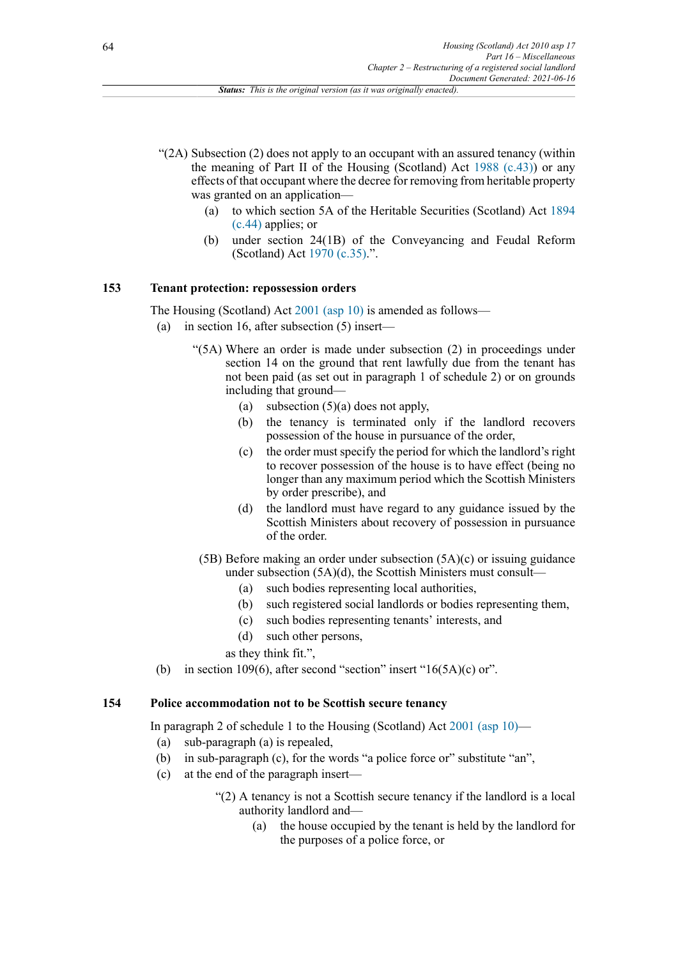- $(2)$  Subsection (2) does not apply to an occupant with an assured tenancy (within the meaning of Part II of the Housing (Scotland) Act [1988 \(c.43\)](http://www.legislation.gov.uk/id/ukpga/1988/43)) or any effects of that occupant where the decree for removing from heritable property was granted on an application—
	- (a) to which section 5A of the Heritable Securities (Scotland) Act [1894](http://www.legislation.gov.uk/id/ukpga/1894/44) [\(c.44\)](http://www.legislation.gov.uk/id/ukpga/1894/44) applies; or
	- (b) under section 24(1B) of the Conveyancing and Feudal Reform (Scotland) Act [1970 \(c.35\).](http://www.legislation.gov.uk/id/ukpga/1970/35)".

### **153 Tenant protection: repossession orders**

The Housing (Scotland) Act [2001 \(asp 10\)](http://www.legislation.gov.uk/id/asp/2001/10) is amended as follows—

- (a) in section 16, after subsection (5) insert—
	- "(5A) Where an order is made under subsection (2) in proceedings under section 14 on the ground that rent lawfully due from the tenant has not been paid (as set out in paragraph 1 of schedule 2) or on grounds including that ground—
		- (a) subsection (5)(a) does not apply,
		- (b) the tenancy is terminated only if the landlord recovers possession of the house in pursuance of the order,
		- (c) the order must specify the period for which the landlord's right to recover possession of the house is to have effect (being no longer than any maximum period which the Scottish Ministers by order prescribe), and
		- (d) the landlord must have regard to any guidance issued by the Scottish Ministers about recovery of possession in pursuance of the order.
		- (5B) Before making an order under subsection (5A)(c) or issuing guidance under subsection  $(5A)(d)$ , the Scottish Ministers must consult-
			- (a) such bodies representing local authorities,
			- (b) such registered social landlords or bodies representing them,
			- (c) such bodies representing tenants' interests, and
			- (d) such other persons,

as they think fit.",

(b) in section 109(6), after second "section" insert " $16(5A)(c)$  or".

# **154 Police accommodation not to be Scottish secure tenancy**

In paragraph 2 of schedule 1 to the Housing (Scotland) Act [2001 \(asp 10\)](http://www.legislation.gov.uk/id/asp/2001/10)—

- (a) sub-paragraph (a) is repealed,
- (b) in sub-paragraph (c), for the words "a police force or" substitute "an",
- (c) at the end of the paragraph insert—
	- "(2) A tenancy is not a Scottish secure tenancy if the landlord is a local authority landlord and—
		- (a) the house occupied by the tenant is held by the landlord for the purposes of a police force, or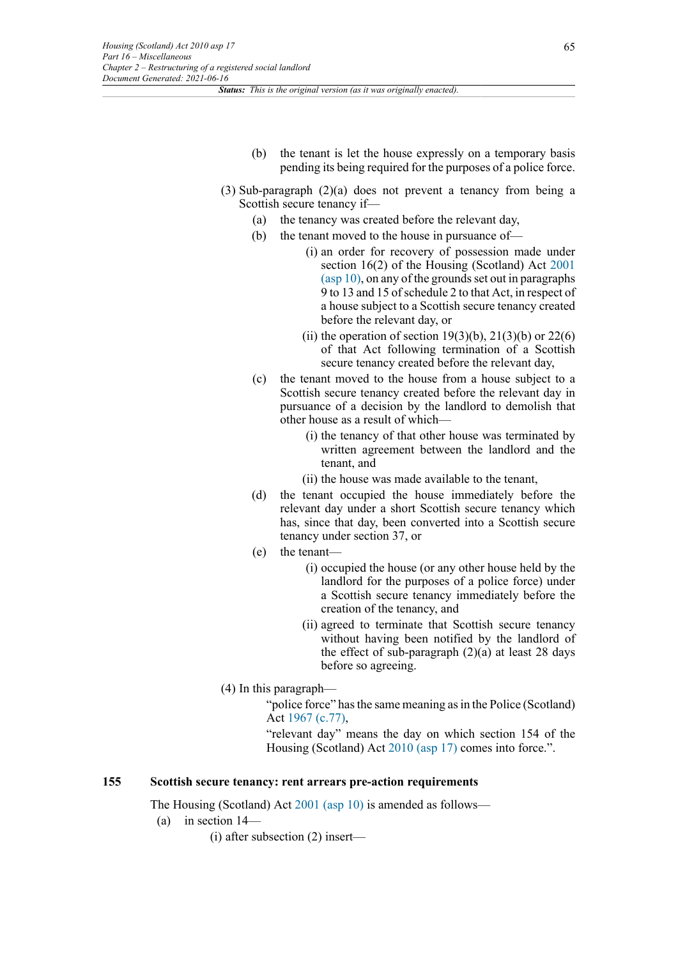- (b) the tenant is let the house expressly on a temporary basis pending its being required for the purposes of a police force.
- (3) Sub-paragraph (2)(a) does not prevent a tenancy from being a Scottish secure tenancy if—
	- (a) the tenancy was created before the relevant day,
	- (b) the tenant moved to the house in pursuance of—
		- (i) an order for recovery of possession made under section 16(2) of the Housing (Scotland) Act [2001](http://www.legislation.gov.uk/id/asp/2001/10) [\(asp 10\),](http://www.legislation.gov.uk/id/asp/2001/10) on any of the grounds set out in paragraphs 9 to 13 and 15 of schedule 2 to that Act, in respect of a house subject to a Scottish secure tenancy created before the relevant day, or
		- (ii) the operation of section  $19(3)(b)$ ,  $21(3)(b)$  or  $22(6)$ of that Act following termination of a Scottish secure tenancy created before the relevant day,
	- (c) the tenant moved to the house from a house subject to a Scottish secure tenancy created before the relevant day in pursuance of a decision by the landlord to demolish that other house as a result of which—
		- (i) the tenancy of that other house was terminated by written agreement between the landlord and the tenant, and
		- (ii) the house was made available to the tenant,
	- (d) the tenant occupied the house immediately before the relevant day under a short Scottish secure tenancy which has, since that day, been converted into a Scottish secure tenancy under section 37, or
	- (e) the tenant—
		- (i) occupied the house (or any other house held by the landlord for the purposes of a police force) under a Scottish secure tenancy immediately before the creation of the tenancy, and
		- (ii) agreed to terminate that Scottish secure tenancy without having been notified by the landlord of the effect of sub-paragraph  $(2)(a)$  at least 28 days before so agreeing.
- (4) In this paragraph—

"police force" has the same meaning as in the Police (Scotland) Act [1967 \(c.77\)](http://www.legislation.gov.uk/id/ukpga/1967/77),

"relevant day" means the day on which section 154 of the Housing (Scotland) Act [2010 \(asp 17\)](http://www.legislation.gov.uk/id/asp/2010/17) comes into force.".

# **155 Scottish secure tenancy: rent arrears pre-action requirements**

The Housing (Scotland) Act [2001 \(asp 10\)](http://www.legislation.gov.uk/id/asp/2001/10) is amended as follows—

- (a) in section 14—
	- (i) after subsection (2) insert—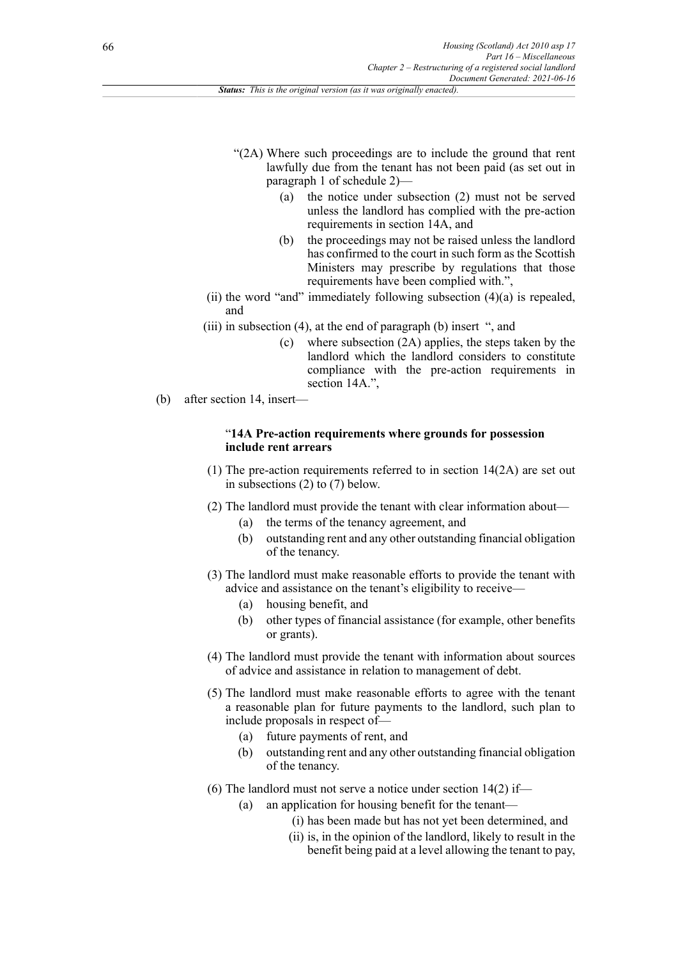- "(2A) Where such proceedings are to include the ground that rent lawfully due from the tenant has not been paid (as set out in paragraph 1 of schedule 2)—
	- (a) the notice under subsection (2) must not be served unless the landlord has complied with the pre-action requirements in section 14A, and
	- (b) the proceedings may not be raised unless the landlord has confirmed to the court in such form as the Scottish Ministers may prescribe by regulations that those requirements have been complied with.",
- (ii) the word "and" immediately following subsection  $(4)(a)$  is repealed, and
- (iii) in subsection (4), at the end of paragraph (b) insert ", and
	- (c) where subsection (2A) applies, the steps taken by the landlord which the landlord considers to constitute compliance with the pre-action requirements in section 14A.",
- (b) after section 14, insert—

### "**14A Pre-action requirements where grounds for possession include rent arrears**

- (1) The pre-action requirements referred to in section 14(2A) are set out in subsections (2) to (7) below.
- (2) The landlord must provide the tenant with clear information about—
	- (a) the terms of the tenancy agreement, and
	- (b) outstanding rent and any other outstanding financial obligation of the tenancy.
- (3) The landlord must make reasonable efforts to provide the tenant with advice and assistance on the tenant's eligibility to receive—
	- (a) housing benefit, and
	- (b) other types of financial assistance (for example, other benefits or grants).
- (4) The landlord must provide the tenant with information about sources of advice and assistance in relation to management of debt.
- (5) The landlord must make reasonable efforts to agree with the tenant a reasonable plan for future payments to the landlord, such plan to include proposals in respect of—
	- (a) future payments of rent, and
	- (b) outstanding rent and any other outstanding financial obligation of the tenancy.
- (6) The landlord must not serve a notice under section  $14(2)$  if—
	- (a) an application for housing benefit for the tenant—
		- (i) has been made but has not yet been determined, and
		- (ii) is, in the opinion of the landlord, likely to result in the benefit being paid at a level allowing the tenant to pay,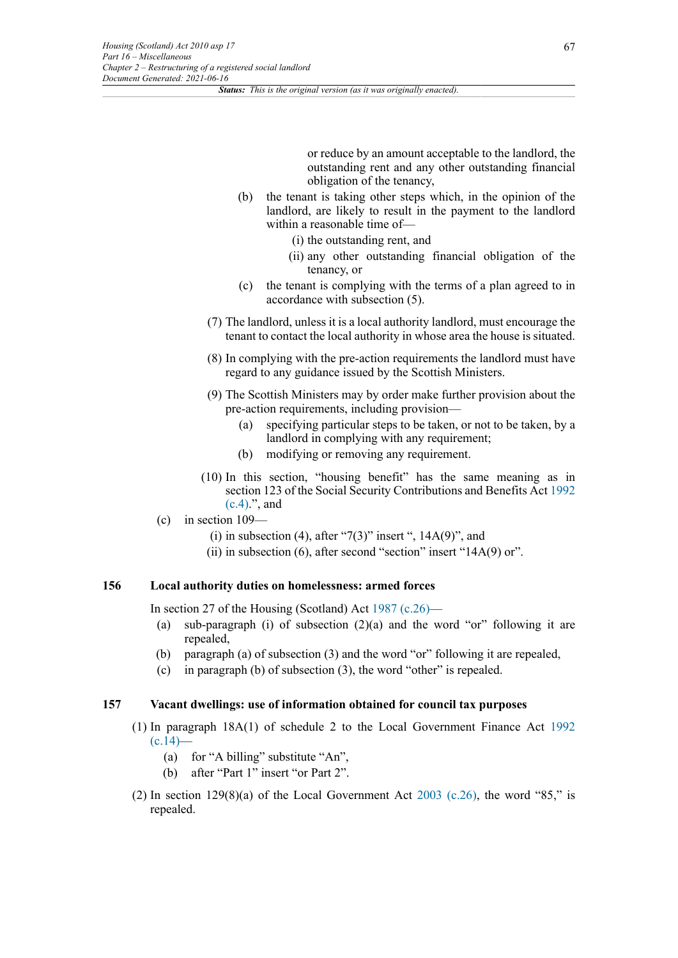or reduce by an amount acceptable to the landlord, the outstanding rent and any other outstanding financial obligation of the tenancy,

- (b) the tenant is taking other steps which, in the opinion of the landlord, are likely to result in the payment to the landlord within a reasonable time of—
	- (i) the outstanding rent, and
	- (ii) any other outstanding financial obligation of the tenancy, or
- (c) the tenant is complying with the terms of a plan agreed to in accordance with subsection (5).
- (7) The landlord, unless it is a local authority landlord, must encourage the tenant to contact the local authority in whose area the house is situated.
- (8) In complying with the pre-action requirements the landlord must have regard to any guidance issued by the Scottish Ministers.
- (9) The Scottish Ministers may by order make further provision about the pre-action requirements, including provision—
	- (a) specifying particular steps to be taken, or not to be taken, by a landlord in complying with any requirement;
	- (b) modifying or removing any requirement.
- (10) In this section, "housing benefit" has the same meaning as in section 123 of the Social Security Contributions and Benefits Act [1992](http://www.legislation.gov.uk/id/ukpga/1992/4) [\(c.4\)](http://www.legislation.gov.uk/id/ukpga/1992/4).", and
- (c) in section 109—
	- (i) in subsection (4), after "7(3)" insert ",  $14A(9)$ ", and
	- (ii) in subsection  $(6)$ , after second "section" insert "14A $(9)$  or".

# **156 Local authority duties on homelessness: armed forces**

In section 27 of the Housing (Scotland) Act [1987 \(c.26\)](http://www.legislation.gov.uk/id/ukpga/1987/26)—

- (a) sub-paragraph (i) of subsection  $(2)(a)$  and the word "or" following it are repealed,
- (b) paragraph (a) of subsection (3) and the word "or" following it are repealed,
- (c) in paragraph (b) of subsection (3), the word "other" is repealed.

### **157 Vacant dwellings: use of information obtained for council tax purposes**

- (1) In paragraph 18A(1) of schedule 2 to the Local Government Finance Act [1992](http://www.legislation.gov.uk/id/ukpga/1992/14)  $(c.14)$ —
	- (a) for "A billing" substitute "An",
	- (b) after "Part 1" insert "or Part 2".
- (2) In section  $129(8)(a)$  of the Local Government Act  $2003$  (c.26), the word "85," is repealed.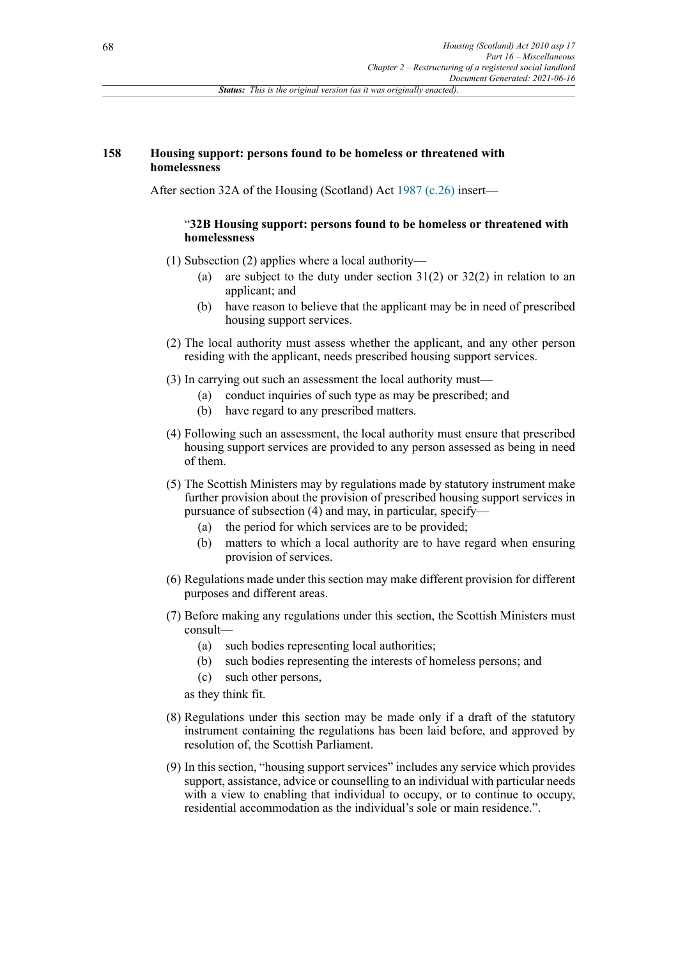### **158 Housing support: persons found to be homeless or threatened with homelessness**

After section 32A of the Housing (Scotland) Act [1987 \(c.26\)](http://www.legislation.gov.uk/id/ukpga/1987/26) insert—

### "**32B Housing support: persons found to be homeless or threatened with homelessness**

- (1) Subsection (2) applies where a local authority—
	- (a) are subject to the duty under section 31(2) or 32(2) in relation to an applicant; and
	- (b) have reason to believe that the applicant may be in need of prescribed housing support services.
- (2) The local authority must assess whether the applicant, and any other person residing with the applicant, needs prescribed housing support services.
- (3) In carrying out such an assessment the local authority must—
	- (a) conduct inquiries of such type as may be prescribed; and
		- (b) have regard to any prescribed matters.
- (4) Following such an assessment, the local authority must ensure that prescribed housing support services are provided to any person assessed as being in need of them.
- (5) The Scottish Ministers may by regulations made by statutory instrument make further provision about the provision of prescribed housing support services in pursuance of subsection (4) and may, in particular, specify—
	- (a) the period for which services are to be provided;
	- (b) matters to which a local authority are to have regard when ensuring provision of services.
- (6) Regulations made under this section may make different provision for different purposes and different areas.
- (7) Before making any regulations under this section, the Scottish Ministers must consult—
	- (a) such bodies representing local authorities;
	- (b) such bodies representing the interests of homeless persons; and
	- (c) such other persons,
	- as they think fit.
- (8) Regulations under this section may be made only if a draft of the statutory instrument containing the regulations has been laid before, and approved by resolution of, the Scottish Parliament.
- (9) In this section, "housing support services" includes any service which provides support, assistance, advice or counselling to an individual with particular needs with a view to enabling that individual to occupy, or to continue to occupy, residential accommodation as the individual's sole or main residence.".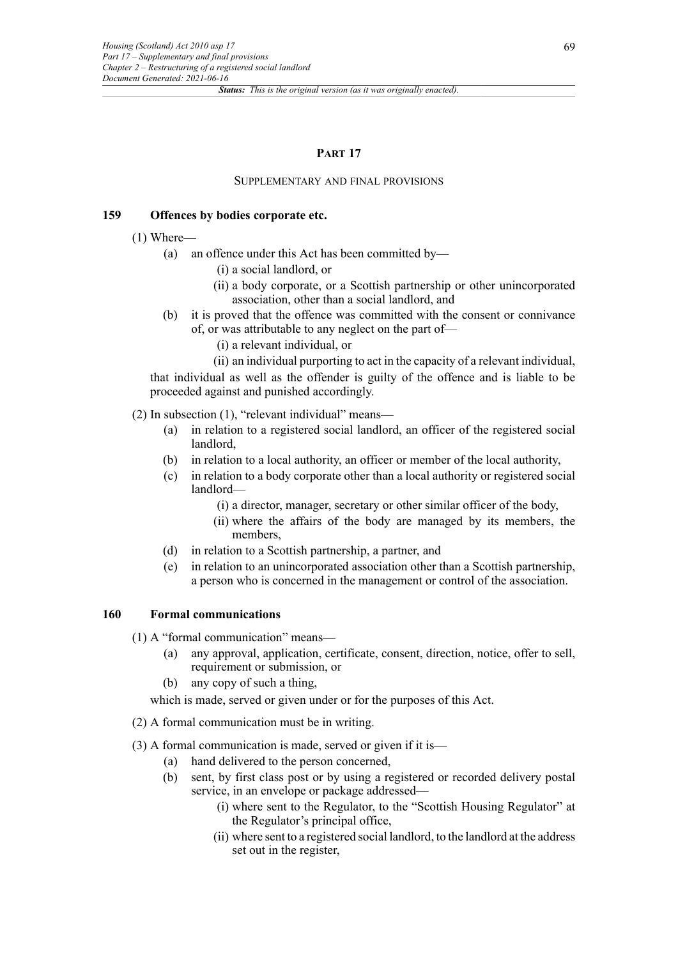### **PART 17**

#### SUPPLEMENTARY AND FINAL PROVISIONS

#### **159 Offences by bodies corporate etc.**

(1) Where—

- (a) an offence under this Act has been committed by—
	- (i) a social landlord, or
	- (ii) a body corporate, or a Scottish partnership or other unincorporated association, other than a social landlord, and
- (b) it is proved that the offence was committed with the consent or connivance of, or was attributable to any neglect on the part of—
	- (i) a relevant individual, or
	- (ii) an individual purporting to act in the capacity of a relevant individual,

that individual as well as the offender is guilty of the offence and is liable to be proceeded against and punished accordingly.

(2) In subsection (1), "relevant individual" means—

- (a) in relation to a registered social landlord, an officer of the registered social landlord,
- (b) in relation to a local authority, an officer or member of the local authority,
- (c) in relation to a body corporate other than a local authority or registered social landlord—
	- (i) a director, manager, secretary or other similar officer of the body,
	- (ii) where the affairs of the body are managed by its members, the members,
- (d) in relation to a Scottish partnership, a partner, and
- (e) in relation to an unincorporated association other than a Scottish partnership, a person who is concerned in the management or control of the association.

### **160 Formal communications**

(1) A "formal communication" means—

- (a) any approval, application, certificate, consent, direction, notice, offer to sell, requirement or submission, or
- (b) any copy of such a thing,

which is made, served or given under or for the purposes of this Act.

(2) A formal communication must be in writing.

(3) A formal communication is made, served or given if it is—

- (a) hand delivered to the person concerned,
- (b) sent, by first class post or by using a registered or recorded delivery postal service, in an envelope or package addressed—
	- (i) where sent to the Regulator, to the "Scottish Housing Regulator" at the Regulator's principal office,
	- (ii) where sent to a registered social landlord, to the landlord at the address set out in the register,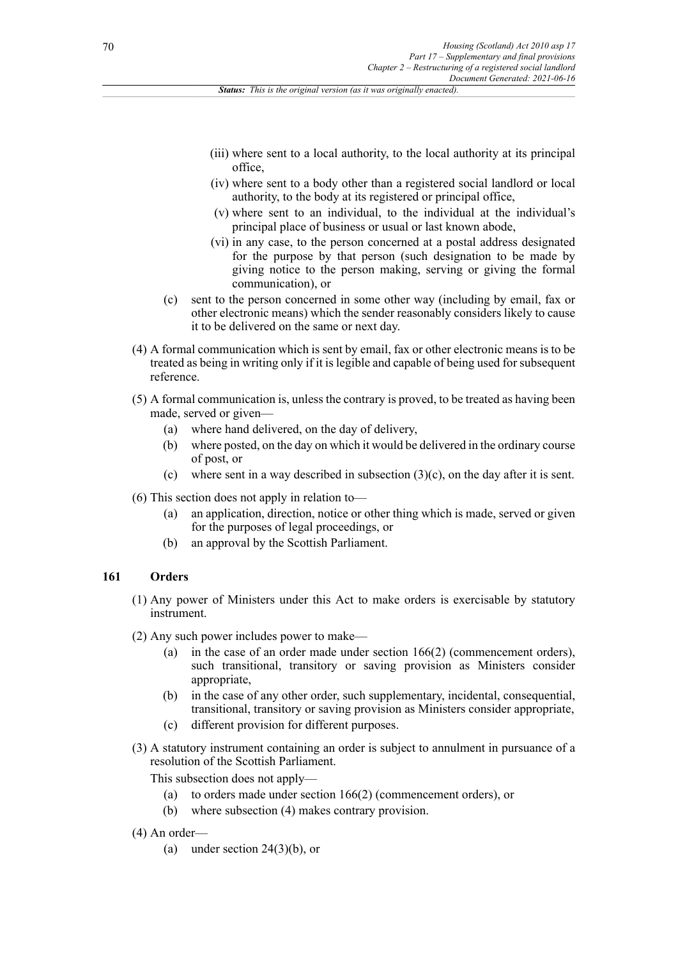- (iii) where sent to a local authority, to the local authority at its principal office,
- (iv) where sent to a body other than a registered social landlord or local authority, to the body at its registered or principal office,
- (v) where sent to an individual, to the individual at the individual's principal place of business or usual or last known abode,
- (vi) in any case, to the person concerned at a postal address designated for the purpose by that person (such designation to be made by giving notice to the person making, serving or giving the formal communication), or
- (c) sent to the person concerned in some other way (including by email, fax or other electronic means) which the sender reasonably considers likely to cause it to be delivered on the same or next day.
- (4) A formal communication which is sent by email, fax or other electronic means is to be treated as being in writing only if it is legible and capable of being used for subsequent reference.
- (5) A formal communication is, unless the contrary is proved, to be treated as having been made, served or given—
	- (a) where hand delivered, on the day of delivery,
	- (b) where posted, on the day on which it would be delivered in the ordinary course of post, or
	- (c) where sent in a way described in subsection  $(3)(c)$ , on the day after it is sent.
- (6) This section does not apply in relation to—
	- (a) an application, direction, notice or other thing which is made, served or given for the purposes of legal proceedings, or
	- (b) an approval by the Scottish Parliament.

#### **161 Orders**

- (1) Any power of Ministers under this Act to make orders is exercisable by statutory instrument.
- (2) Any such power includes power to make—
	- (a) in the case of an order made under section 166(2) (commencement orders), such transitional, transitory or saving provision as Ministers consider appropriate,
	- (b) in the case of any other order, such supplementary, incidental, consequential, transitional, transitory or saving provision as Ministers consider appropriate,
	- (c) different provision for different purposes.
- (3) A statutory instrument containing an order is subject to annulment in pursuance of a resolution of the Scottish Parliament.

This subsection does not apply—

- (a) to orders made under section 166(2) (commencement orders), or
- (b) where subsection (4) makes contrary provision.
- (4) An order—
	- (a) under section  $24(3)(b)$ , or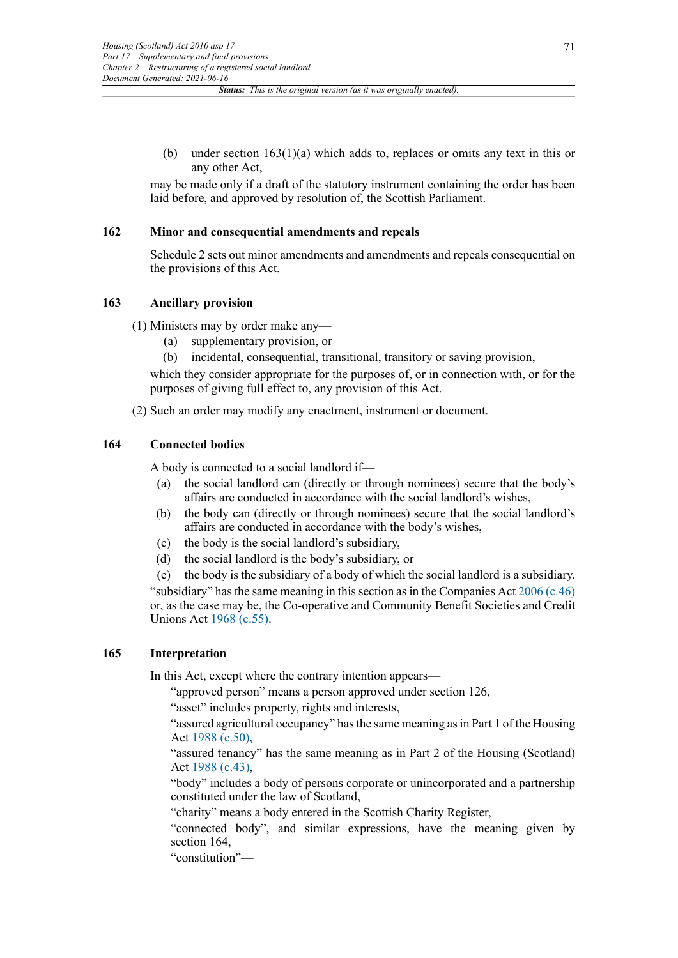(b) under section  $163(1)(a)$  which adds to, replaces or omits any text in this or any other Act,

may be made only if a draft of the statutory instrument containing the order has been laid before, and approved by resolution of, the Scottish Parliament.

### **162 Minor and consequential amendments and repeals**

Schedule 2 sets out minor amendments and amendments and repeals consequential on the provisions of this Act.

#### **163 Ancillary provision**

(1) Ministers may by order make any—

- (a) supplementary provision, or
- (b) incidental, consequential, transitional, transitory or saving provision,

which they consider appropriate for the purposes of, or in connection with, or for the purposes of giving full effect to, any provision of this Act.

(2) Such an order may modify any enactment, instrument or document.

# **164 Connected bodies**

A body is connected to a social landlord if—

- (a) the social landlord can (directly or through nominees) secure that the body's affairs are conducted in accordance with the social landlord's wishes,
- (b) the body can (directly or through nominees) secure that the social landlord's affairs are conducted in accordance with the body's wishes,
- (c) the body is the social landlord's subsidiary,
- (d) the social landlord is the body's subsidiary, or
- (e) the body is the subsidiary of a body of which the social landlord is a subsidiary.

"subsidiary" has the same meaning in this section as in the Companies Act [2006 \(c.46\)](http://www.legislation.gov.uk/id/ukpga/2006/46) or, as the case may be, the Co-operative and Community Benefit Societies and Credit Unions Act [1968 \(c.55\).](http://www.legislation.gov.uk/id/ukpga/1968/55)

# **165 Interpretation**

In this Act, except where the contrary intention appears—

"approved person" means a person approved under section 126,

"asset" includes property, rights and interests,

"assured agricultural occupancy" has the same meaning as in Part 1 of the Housing Act [1988 \(c.50\)](http://www.legislation.gov.uk/id/ukpga/1988/50),

"assured tenancy" has the same meaning as in Part 2 of the Housing (Scotland) Act [1988 \(c.43\)](http://www.legislation.gov.uk/id/ukpga/1988/43),

"body" includes a body of persons corporate or unincorporated and a partnership constituted under the law of Scotland,

"charity" means a body entered in the Scottish Charity Register,

"connected body", and similar expressions, have the meaning given by section 164,

"constitution"—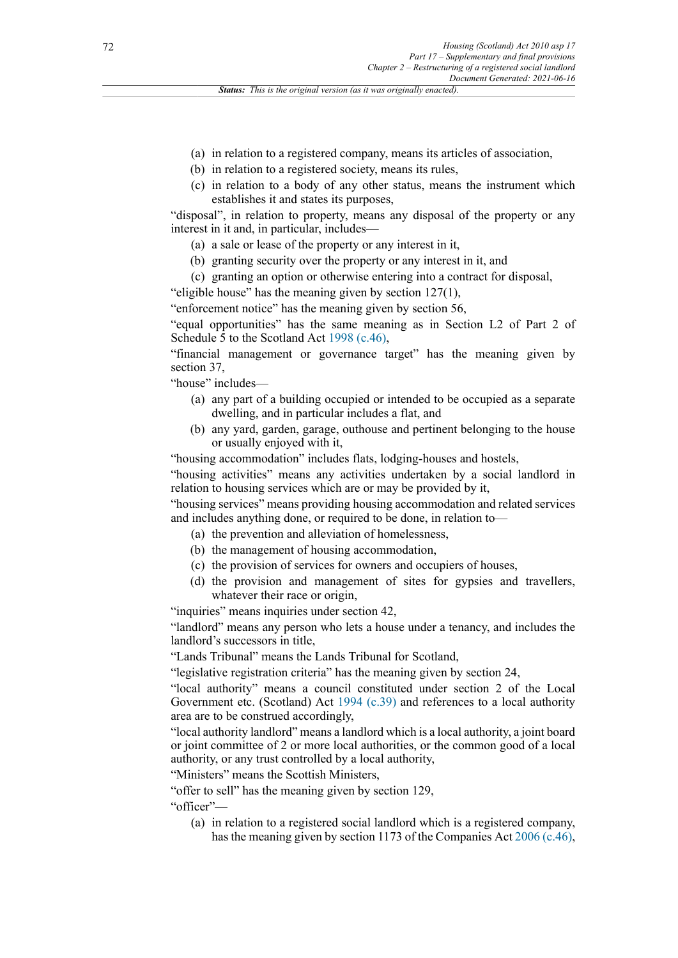- (a) in relation to a registered company, means its articles of association,
- (b) in relation to a registered society, means its rules,
- (c) in relation to a body of any other status, means the instrument which establishes it and states its purposes,

"disposal", in relation to property, means any disposal of the property or any interest in it and, in particular, includes—

- (a) a sale or lease of the property or any interest in it,
- (b) granting security over the property or any interest in it, and
- (c) granting an option or otherwise entering into a contract for disposal,

"eligible house" has the meaning given by section 127(1), "enforcement notice" has the meaning given by section 56,

"equal opportunities" has the same meaning as in Section L2 of Part 2 of Schedule 5 to the Scotland Act [1998 \(c.46\)](http://www.legislation.gov.uk/id/ukpga/1998/46),

"financial management or governance target" has the meaning given by section 37,

"house" includes—

- (a) any part of a building occupied or intended to be occupied as a separate dwelling, and in particular includes a flat, and
- (b) any yard, garden, garage, outhouse and pertinent belonging to the house or usually enjoyed with it,

"housing accommodation" includes flats, lodging-houses and hostels,

"housing activities" means any activities undertaken by a social landlord in relation to housing services which are or may be provided by it,

"housing services" means providing housing accommodation and related services and includes anything done, or required to be done, in relation to—

- (a) the prevention and alleviation of homelessness,
- (b) the management of housing accommodation,
- (c) the provision of services for owners and occupiers of houses,
- (d) the provision and management of sites for gypsies and travellers, whatever their race or origin.

"inquiries" means inquiries under section 42,

"landlord" means any person who lets a house under a tenancy, and includes the landlord's successors in title,

"Lands Tribunal" means the Lands Tribunal for Scotland,

"legislative registration criteria" has the meaning given by section 24,

"local authority" means a council constituted under section 2 of the Local Government etc. (Scotland) Act [1994 \(c.39\)](http://www.legislation.gov.uk/id/ukpga/1994/39) and references to a local authority area are to be construed accordingly,

"local authority landlord" means a landlord which is a local authority, a joint board or joint committee of 2 or more local authorities, or the common good of a local authority, or any trust controlled by a local authority,

"Ministers" means the Scottish Ministers,

"offer to sell" has the meaning given by section 129,

"officer"—

(a) in relation to a registered social landlord which is a registered company, has the meaning given by section 1173 of the Companies Act [2006 \(c.46\),](http://www.legislation.gov.uk/id/ukpga/2006/46)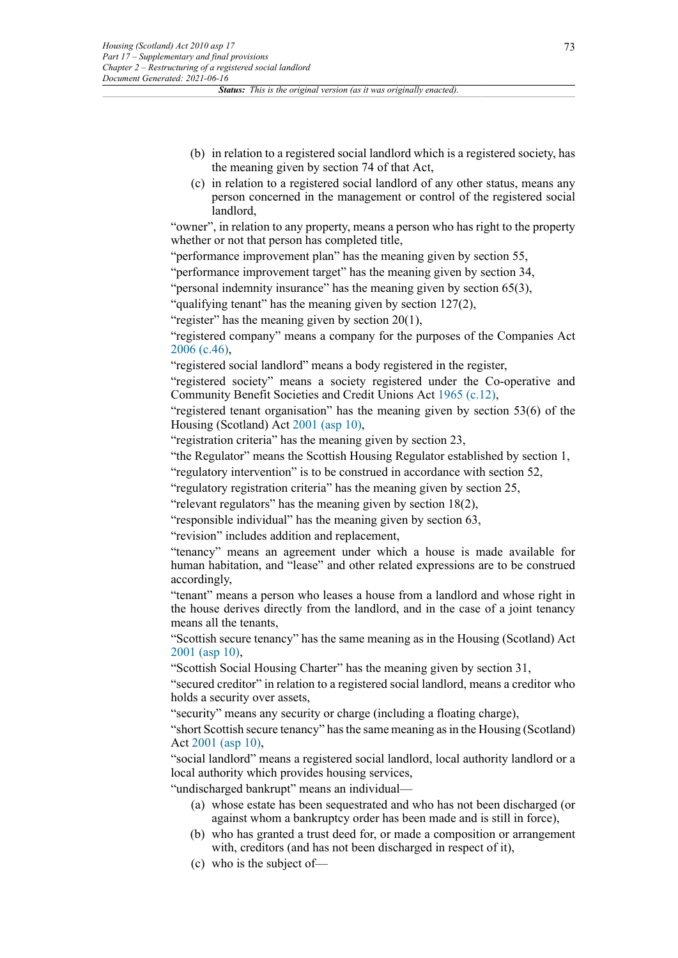- (b) in relation to a registered social landlord which is a registered society, has the meaning given by section 74 of that Act,
- (c) in relation to a registered social landlord of any other status, means any person concerned in the management or control of the registered social landlord,

"owner", in relation to any property, means a person who has right to the property whether or not that person has completed title,

"performance improvement plan" has the meaning given by section 55,

"performance improvement target" has the meaning given by section 34,

"personal indemnity insurance" has the meaning given by section 65(3),

"qualifying tenant" has the meaning given by section 127(2),

"register" has the meaning given by section  $20(1)$ ,

"registered company" means a company for the purposes of the Companies Act [2006 \(c.46\),](http://www.legislation.gov.uk/id/ukpga/2006/46)

"registered social landlord" means a body registered in the register,

"registered society" means a society registered under the Co-operative and Community Benefit Societies and Credit Unions Act [1965 \(c.12\)](http://www.legislation.gov.uk/id/ukpga/1965/12),

"registered tenant organisation" has the meaning given by section 53(6) of the Housing (Scotland) Act [2001 \(asp 10\),](http://www.legislation.gov.uk/id/asp/2001/10)

"registration criteria" has the meaning given by section 23,

"the Regulator" means the Scottish Housing Regulator established by section 1,

"regulatory intervention" is to be construed in accordance with section 52,

"regulatory registration criteria" has the meaning given by section 25,

"relevant regulators" has the meaning given by section 18(2),

"responsible individual" has the meaning given by section 63,

"revision" includes addition and replacement,

"tenancy" means an agreement under which a house is made available for human habitation, and "lease" and other related expressions are to be construed accordingly,

"tenant" means a person who leases a house from a landlord and whose right in the house derives directly from the landlord, and in the case of a joint tenancy means all the tenants,

"Scottish secure tenancy" has the same meaning as in the Housing (Scotland) Act [2001 \(asp 10\)](http://www.legislation.gov.uk/id/asp/2001/10),

"Scottish Social Housing Charter" has the meaning given by section 31,

"secured creditor" in relation to a registered social landlord, means a creditor who holds a security over assets,

"security" means any security or charge (including a floating charge),

"short Scottish secure tenancy" has the same meaning as in the Housing (Scotland) Act [2001 \(asp 10\)](http://www.legislation.gov.uk/id/asp/2001/10),

"social landlord" means a registered social landlord, local authority landlord or a local authority which provides housing services,

"undischarged bankrupt" means an individual—

- (a) whose estate has been sequestrated and who has not been discharged (or against whom a bankruptcy order has been made and is still in force),
- (b) who has granted a trust deed for, or made a composition or arrangement with, creditors (and has not been discharged in respect of it),
- (c) who is the subject of—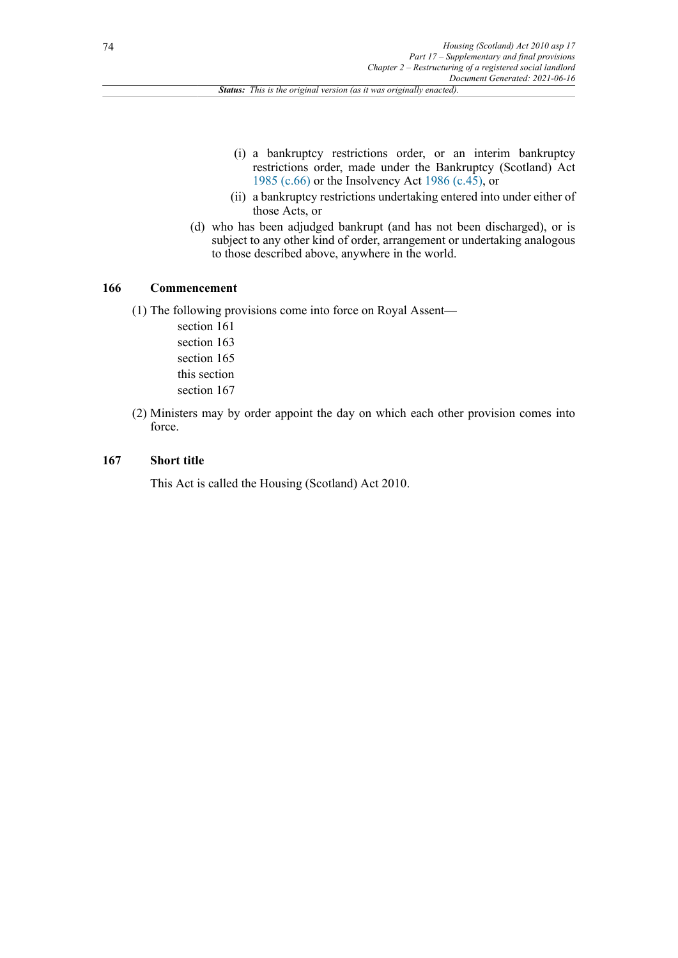- (i) a bankruptcy restrictions order, or an interim bankruptcy restrictions order, made under the Bankruptcy (Scotland) Act [1985 \(c.66\)](http://www.legislation.gov.uk/id/ukpga/1985/66) or the Insolvency Act [1986 \(c.45\),](http://www.legislation.gov.uk/id/ukpga/1986/45) or
- (ii) a bankruptcy restrictions undertaking entered into under either of those Acts, or
- (d) who has been adjudged bankrupt (and has not been discharged), or is subject to any other kind of order, arrangement or undertaking analogous to those described above, anywhere in the world.

## **166 Commencement**

(1) The following provisions come into force on Royal Assent—

- section 161 section 163 section 165 this section section 167
- (2) Ministers may by order appoint the day on which each other provision comes into force.

# **167 Short title**

This Act is called the Housing (Scotland) Act 2010.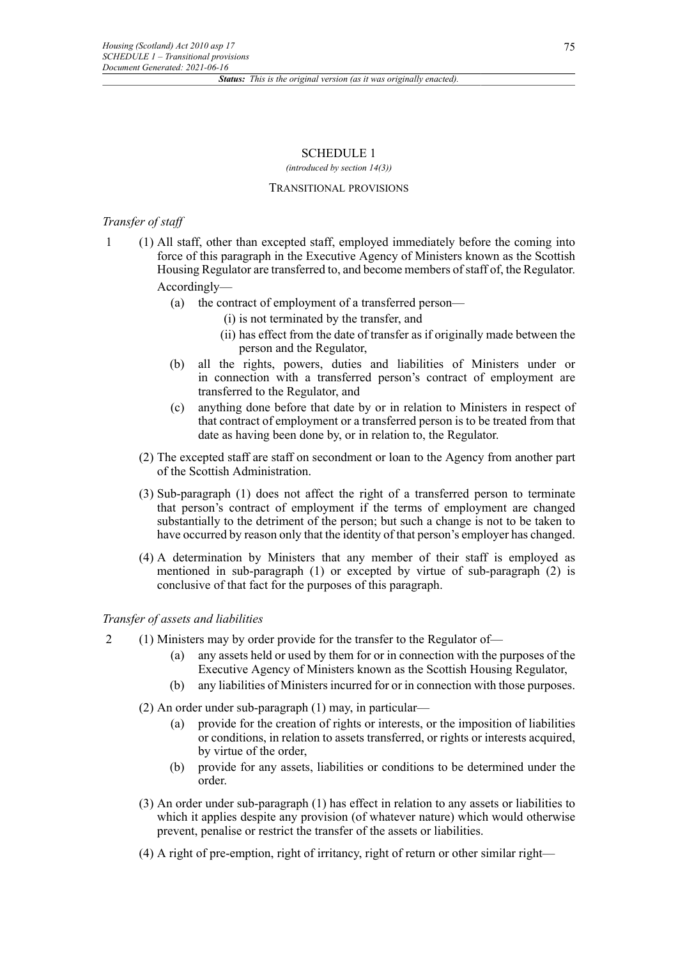## SCHEDULE 1

*(introduced by section 14(3))*

#### TRANSITIONAL PROVISIONS

# *Transfer of staff*

- 1 (1) All staff, other than excepted staff, employed immediately before the coming into force of this paragraph in the Executive Agency of Ministers known as the Scottish Housing Regulator are transferred to, and become members of staff of, the Regulator. Accordingly—
	- (a) the contract of employment of a transferred person—
		- (i) is not terminated by the transfer, and
		- (ii) has effect from the date of transfer as if originally made between the person and the Regulator,
	- (b) all the rights, powers, duties and liabilities of Ministers under or in connection with a transferred person's contract of employment are transferred to the Regulator, and
	- (c) anything done before that date by or in relation to Ministers in respect of that contract of employment or a transferred person is to be treated from that date as having been done by, or in relation to, the Regulator.
	- (2) The excepted staff are staff on secondment or loan to the Agency from another part of the Scottish Administration.
	- (3) Sub-paragraph (1) does not affect the right of a transferred person to terminate that person's contract of employment if the terms of employment are changed substantially to the detriment of the person; but such a change is not to be taken to have occurred by reason only that the identity of that person's employer has changed.
	- (4) A determination by Ministers that any member of their staff is employed as mentioned in sub-paragraph (1) or excepted by virtue of sub-paragraph (2) is conclusive of that fact for the purposes of this paragraph.

## *Transfer of assets and liabilities*

- 2 (1) Ministers may by order provide for the transfer to the Regulator of—
	- (a) any assets held or used by them for or in connection with the purposes of the Executive Agency of Ministers known as the Scottish Housing Regulator,
	- (b) any liabilities of Ministers incurred for or in connection with those purposes.
	- (2) An order under sub-paragraph (1) may, in particular—
		- (a) provide for the creation of rights or interests, or the imposition of liabilities or conditions, in relation to assets transferred, or rights or interests acquired, by virtue of the order,
		- (b) provide for any assets, liabilities or conditions to be determined under the order.
	- (3) An order under sub-paragraph (1) has effect in relation to any assets or liabilities to which it applies despite any provision (of whatever nature) which would otherwise prevent, penalise or restrict the transfer of the assets or liabilities.
	- (4) A right of pre-emption, right of irritancy, right of return or other similar right—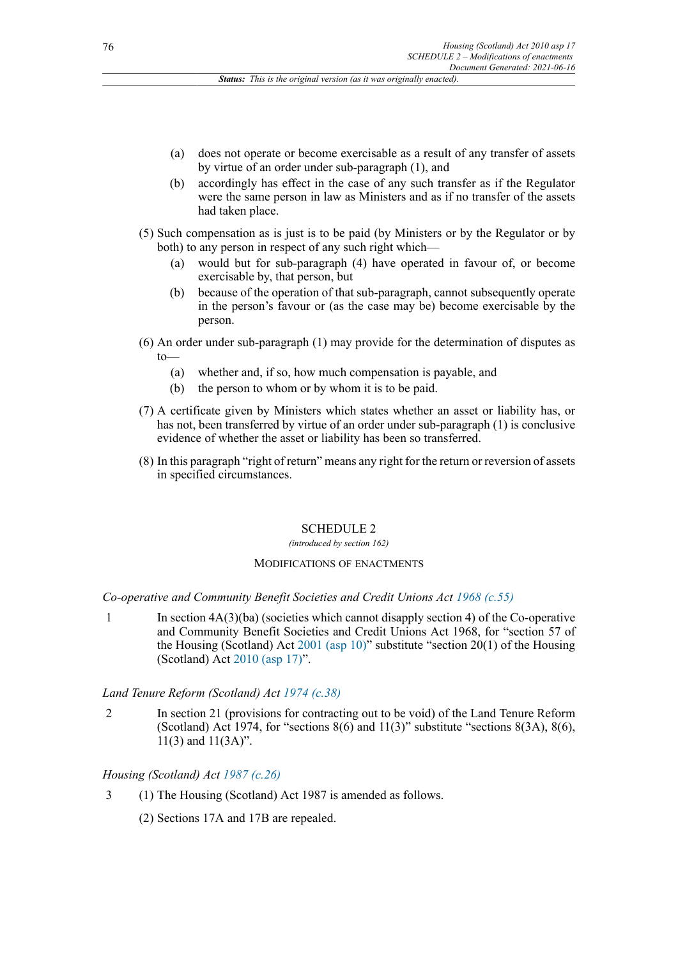- (a) does not operate or become exercisable as a result of any transfer of assets by virtue of an order under sub-paragraph (1), and
- (b) accordingly has effect in the case of any such transfer as if the Regulator were the same person in law as Ministers and as if no transfer of the assets had taken place.
- (5) Such compensation as is just is to be paid (by Ministers or by the Regulator or by both) to any person in respect of any such right which—
	- (a) would but for sub-paragraph (4) have operated in favour of, or become exercisable by, that person, but
	- (b) because of the operation of that sub-paragraph, cannot subsequently operate in the person's favour or (as the case may be) become exercisable by the person.
- (6) An order under sub-paragraph (1) may provide for the determination of disputes as to—
	- (a) whether and, if so, how much compensation is payable, and
	- (b) the person to whom or by whom it is to be paid.
- (7) A certificate given by Ministers which states whether an asset or liability has, or has not, been transferred by virtue of an order under sub-paragraph (1) is conclusive evidence of whether the asset or liability has been so transferred.
- (8) In this paragraph "right of return" means any right for the return or reversion of assets in specified circumstances.

#### SCHEDULE 2

#### *(introduced by section 162)*

#### MODIFICATIONS OF ENACTMENTS

#### *Co-operative and Community Benefit Societies and Credit Unions Act [1968 \(c.55\)](http://www.legislation.gov.uk/id/ukpga/1968/55)*

1 In section 4A(3)(ba) (societies which cannot disapply section 4) of the Co-operative and Community Benefit Societies and Credit Unions Act 1968, for "section 57 of the Housing (Scotland) Act [2001 \(asp 10\)"](http://www.legislation.gov.uk/id/asp/2001/10) substitute "section 20(1) of the Housing (Scotland) Act [2010 \(asp 17\)"](http://www.legislation.gov.uk/id/asp/2010/17).

#### *Land Tenure Reform (Scotland) Act [1974 \(c.38\)](http://www.legislation.gov.uk/id/ukpga/1974/38)*

2 In section 21 (provisions for contracting out to be void) of the Land Tenure Reform (Scotland) Act 1974, for "sections  $8(6)$  and  $11(3)$ " substitute "sections  $8(3A)$ ,  $8(6)$ , 11(3) and 11(3A)".

## *Housing (Scotland) Act [1987 \(c.26\)](http://www.legislation.gov.uk/id/ukpga/1987/26)*

- 3 (1) The Housing (Scotland) Act 1987 is amended as follows.
	- (2) Sections 17A and 17B are repealed.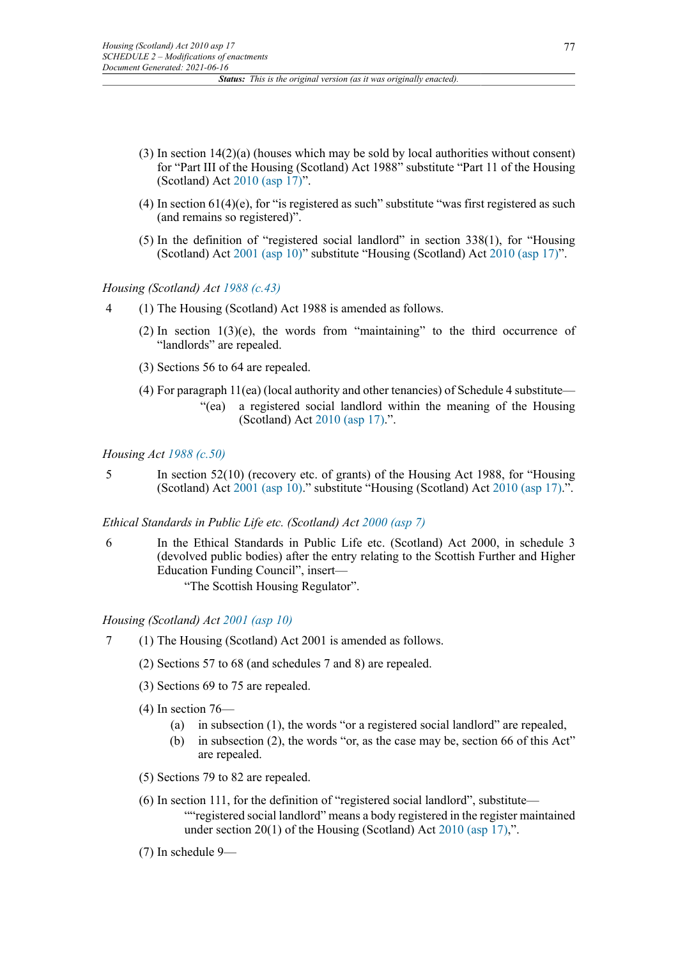- (3) In section 14(2)(a) (houses which may be sold by local authorities without consent) for "Part III of the Housing (Scotland) Act 1988" substitute "Part 11 of the Housing (Scotland) Act [2010 \(asp 17\)"](http://www.legislation.gov.uk/id/asp/2010/17).
- (4) In section  $61(4)$ (e), for "is registered as such" substitute "was first registered as such (and remains so registered)".
- (5) In the definition of "registered social landlord" in section 338(1), for "Housing (Scotland) Act [2001 \(asp 10\)"](http://www.legislation.gov.uk/id/asp/2001/10) substitute "Housing (Scotland) Act [2010 \(asp 17\)"](http://www.legislation.gov.uk/id/asp/2010/17).

*Housing (Scotland) Act [1988 \(c.43\)](http://www.legislation.gov.uk/id/ukpga/1988/43)*

- 4 (1) The Housing (Scotland) Act 1988 is amended as follows.
	- (2) In section  $1(3)(e)$ , the words from "maintaining" to the third occurrence of "landlords" are repealed.
	- (3) Sections 56 to 64 are repealed.
	- (4) For paragraph 11(ea) (local authority and other tenancies) of Schedule 4 substitute—
		- "(ea) a registered social landlord within the meaning of the Housing (Scotland) Act [2010 \(asp 17\).](http://www.legislation.gov.uk/id/asp/2010/17)".

## *Housing Act [1988 \(c.50\)](http://www.legislation.gov.uk/id/ukpga/1988/50)*

5 In section 52(10) (recovery etc. of grants) of the Housing Act 1988, for "Housing (Scotland) Act [2001 \(asp 10\).](http://www.legislation.gov.uk/id/asp/2001/10)" substitute "Housing (Scotland) Act [2010 \(asp 17\)](http://www.legislation.gov.uk/id/asp/2010/17).".

## *Ethical Standards in Public Life etc. (Scotland) Act [2000 \(asp 7\)](http://www.legislation.gov.uk/id/asp/2000/7)*

6 In the Ethical Standards in Public Life etc. (Scotland) Act 2000, in schedule 3 (devolved public bodies) after the entry relating to the Scottish Further and Higher Education Funding Council", insert—

"The Scottish Housing Regulator".

## *Housing (Scotland) Act [2001 \(asp 10\)](http://www.legislation.gov.uk/id/asp/2001/10)*

- 7 (1) The Housing (Scotland) Act 2001 is amended as follows.
	- (2) Sections 57 to 68 (and schedules 7 and 8) are repealed.
	- (3) Sections 69 to 75 are repealed.
	- $(4)$  In section 76—
		- (a) in subsection (1), the words "or a registered social landlord" are repealed,
		- (b) in subsection (2), the words "or, as the case may be, section 66 of this Act" are repealed.
	- (5) Sections 79 to 82 are repealed.
	- (6) In section 111, for the definition of "registered social landlord", substitute— ""registered social landlord" means a body registered in the register maintained under section 20(1) of the Housing (Scotland) Act [2010 \(asp 17\),](http://www.legislation.gov.uk/id/asp/2010/17)".
	- (7) In schedule 9—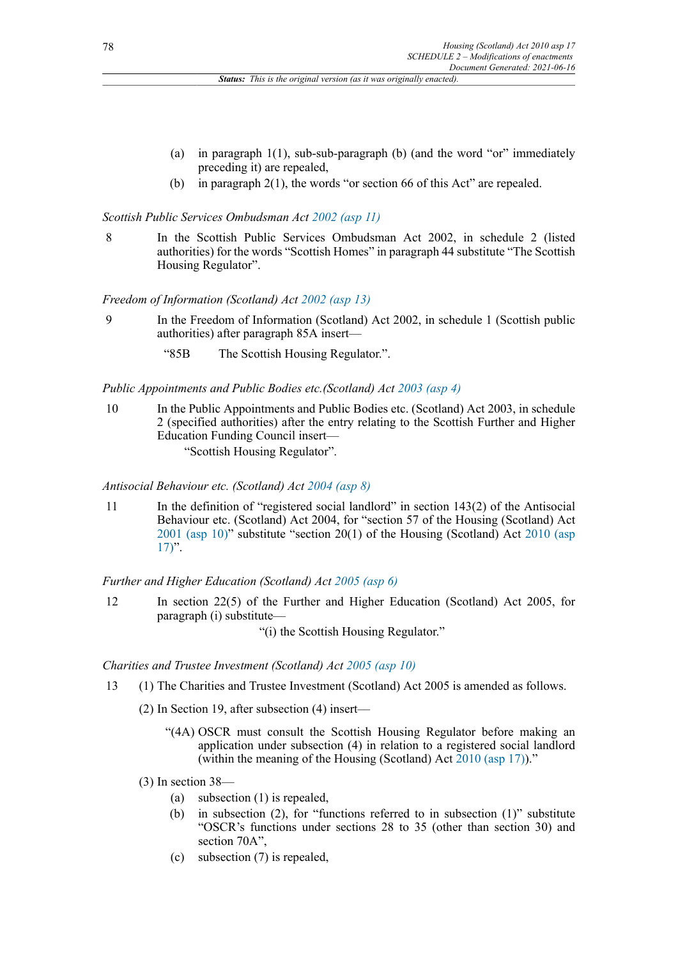- (a) in paragraph 1(1), sub-sub-paragraph (b) (and the word "or" immediately preceding it) are repealed,
- (b) in paragraph 2(1), the words "or section 66 of this Act" are repealed.

# *Scottish Public Services Ombudsman Act [2002](http://www.legislation.gov.uk/id/asp/2002/11) (asp 11)*

8 In the Scottish Public Services Ombudsman Act 2002, in schedule 2 (listed authorities) for the words "Scottish Homes" in paragraph 44 substitute "The Scottish Housing Regulator".

*Freedom of Information (Scotland) Act [2002 \(asp 13\)](http://www.legislation.gov.uk/id/asp/2002/13)*

- 9 In the Freedom of Information (Scotland) Act 2002, in schedule 1 (Scottish public authorities) after paragraph 85A insert—
	- "85B The Scottish Housing Regulator.".

## *Public Appointments and Public Bodies etc.(Scotland) Act [2003 \(asp 4\)](http://www.legislation.gov.uk/id/asp/2003/4)*

10 In the Public Appointments and Public Bodies etc. (Scotland) Act 2003, in schedule 2 (specified authorities) after the entry relating to the Scottish Further and Higher Education Funding Council insert— "Scottish Housing Regulator".

*Antisocial Behaviour etc. (Scotland) Act [2004 \(asp 8\)](http://www.legislation.gov.uk/id/asp/2004/8)*

11 In the definition of "registered social landlord" in section 143(2) of the Antisocial Behaviour etc. (Scotland) Act 2004, for "section 57 of the Housing (Scotland) Act [2001 \(asp 10\)](http://www.legislation.gov.uk/id/asp/2001/10)" substitute "section 20(1) of the Housing (Scotland) Act [2010 \(asp](http://www.legislation.gov.uk/id/asp/2010/17)  $17$ ".

*Further and Higher Education (Scotland) Act [2005 \(asp 6\)](http://www.legislation.gov.uk/id/asp/2005/6)*

12 In section 22(5) of the Further and Higher Education (Scotland) Act 2005, for paragraph (i) substitute—

"(i) the Scottish Housing Regulator."

*Charities and Trustee Investment (Scotland) Act [2005 \(asp 10\)](http://www.legislation.gov.uk/id/asp/2005/10)*

- 13 (1) The Charities and Trustee Investment (Scotland) Act 2005 is amended as follows.
	- (2) In Section 19, after subsection (4) insert––
		- "(4A) OSCR must consult the Scottish Housing Regulator before making an application under subsection (4) in relation to a registered social landlord (within the meaning of the Housing (Scotland) Act [2010 \(asp 17\)\)](http://www.legislation.gov.uk/id/asp/2010/17)."
	- (3) In section 38—
		- (a) subsection (1) is repealed,
		- (b) in subsection (2), for "functions referred to in subsection (1)" substitute "OSCR's functions under sections 28 to 35 (other than section 30) and section 70A",
		- (c) subsection (7) is repealed,